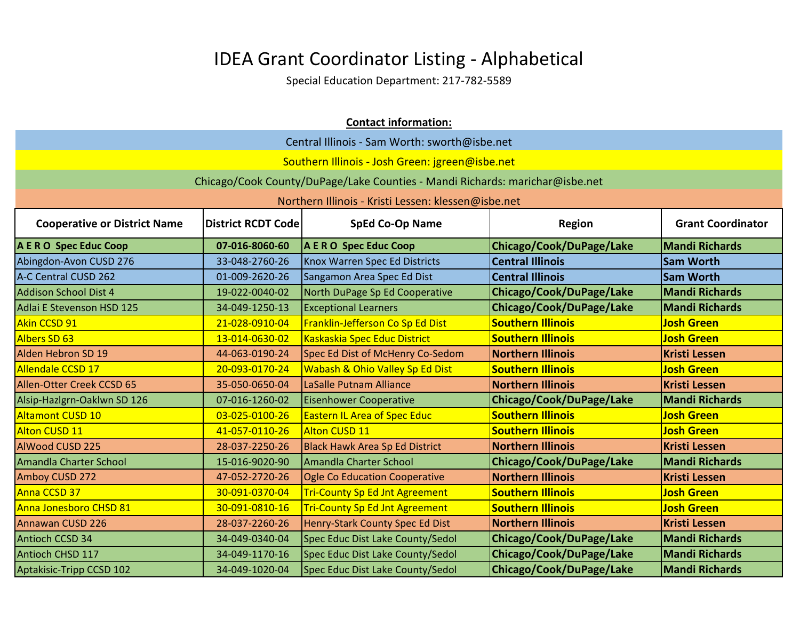|                                     |                                               | <b>Contact information:</b>                                                  |                          |                          |  |
|-------------------------------------|-----------------------------------------------|------------------------------------------------------------------------------|--------------------------|--------------------------|--|
|                                     | Central Illinois - Sam Worth: sworth@isbe.net |                                                                              |                          |                          |  |
|                                     |                                               | Southern Illinois - Josh Green: jgreen@isbe.net                              |                          |                          |  |
|                                     |                                               | Chicago/Cook County/DuPage/Lake Counties - Mandi Richards: marichar@isbe.net |                          |                          |  |
|                                     |                                               | Northern Illinois - Kristi Lessen: klessen@isbe.net                          |                          |                          |  |
| <b>Cooperative or District Name</b> | <b>District RCDT Code</b>                     | <b>SpEd Co-Op Name</b>                                                       | <b>Region</b>            | <b>Grant Coordinator</b> |  |
|                                     |                                               |                                                                              |                          |                          |  |
| A E R O Spec Educ Coop              | 07-016-8060-60                                | A E R O Spec Educ Coop                                                       | Chicago/Cook/DuPage/Lake | <b>Mandi Richards</b>    |  |
| Abingdon-Avon CUSD 276              | 33-048-2760-26                                | Knox Warren Spec Ed Districts                                                | <b>Central Illinois</b>  | <b>Sam Worth</b>         |  |
| A-C Central CUSD 262                | 01-009-2620-26                                | Sangamon Area Spec Ed Dist                                                   | <b>Central Illinois</b>  | <b>Sam Worth</b>         |  |
| <b>Addison School Dist 4</b>        | 19-022-0040-02                                | North DuPage Sp Ed Cooperative                                               | Chicago/Cook/DuPage/Lake | <b>Mandi Richards</b>    |  |
| Adlai E Stevenson HSD 125           | 34-049-1250-13                                | <b>Exceptional Learners</b>                                                  | Chicago/Cook/DuPage/Lake | <b>Mandi Richards</b>    |  |
| Akin CCSD 91                        | 21-028-0910-04                                | Franklin-Jefferson Co Sp Ed Dist                                             | <b>Southern Illinois</b> | <b>Josh Green</b>        |  |
| Albers SD 63                        | 13-014-0630-02                                | <b>Kaskaskia Spec Educ District</b>                                          | <b>Southern Illinois</b> | <b>Josh Green</b>        |  |
| Alden Hebron SD 19                  | 44-063-0190-24                                | Spec Ed Dist of McHenry Co-Sedom                                             | <b>Northern Illinois</b> | <b>Kristi Lessen</b>     |  |
| <b>Allendale CCSD 17</b>            | 20-093-0170-24                                | <b>Wabash &amp; Ohio Valley Sp Ed Dist</b>                                   | <b>Southern Illinois</b> | <b>Josh Green</b>        |  |
| Allen-Otter Creek CCSD 65           | 35-050-0650-04                                | LaSalle Putnam Alliance                                                      | <b>Northern Illinois</b> | <b>Kristi Lessen</b>     |  |
| Alsip-Hazlgrn-Oaklwn SD 126         | 07-016-1260-02                                | <b>Eisenhower Cooperative</b>                                                | Chicago/Cook/DuPage/Lake | <b>Mandi Richards</b>    |  |
| <b>Altamont CUSD 10</b>             | 03-025-0100-26                                | <b>Eastern IL Area of Spec Educ</b>                                          | <b>Southern Illinois</b> | <b>Josh Green</b>        |  |
| <b>Alton CUSD 11</b>                | 41-057-0110-26                                | Alton CUSD 11                                                                | <b>Southern Illinois</b> | <b>Josh Green</b>        |  |
| <b>AlWood CUSD 225</b>              | 28-037-2250-26                                | <b>Black Hawk Area Sp Ed District</b>                                        | <b>Northern Illinois</b> | <b>Kristi Lessen</b>     |  |
| <b>Amandla Charter School</b>       | 15-016-9020-90                                | Amandla Charter School                                                       | Chicago/Cook/DuPage/Lake | <b>Mandi Richards</b>    |  |
| Amboy CUSD 272                      | 47-052-2720-26                                | <b>Ogle Co Education Cooperative</b>                                         | <b>Northern Illinois</b> | <b>Kristi Lessen</b>     |  |
| Anna CCSD 37                        | 30-091-0370-04                                | <b>Tri-County Sp Ed Jnt Agreement</b>                                        | <b>Southern Illinois</b> | <b>Josh Green</b>        |  |
| Anna Jonesboro CHSD 81              | 30-091-0810-16                                | <b>Tri-County Sp Ed Jnt Agreement</b>                                        | <b>Southern Illinois</b> | <b>Josh Green</b>        |  |
| Annawan CUSD 226                    | 28-037-2260-26                                | Henry-Stark County Spec Ed Dist                                              | <b>Northern Illinois</b> | <b>Kristi Lessen</b>     |  |
| Antioch CCSD 34                     | 34-049-0340-04                                | Spec Educ Dist Lake County/Sedol                                             | Chicago/Cook/DuPage/Lake | <b>Mandi Richards</b>    |  |
| Antioch CHSD 117                    | 34-049-1170-16                                | Spec Educ Dist Lake County/Sedol                                             | Chicago/Cook/DuPage/Lake | <b>Mandi Richards</b>    |  |
| Aptakisic-Tripp CCSD 102            | 34-049-1020-04                                | Spec Educ Dist Lake County/Sedol                                             | Chicago/Cook/DuPage/Lake | <b>Mandi Richards</b>    |  |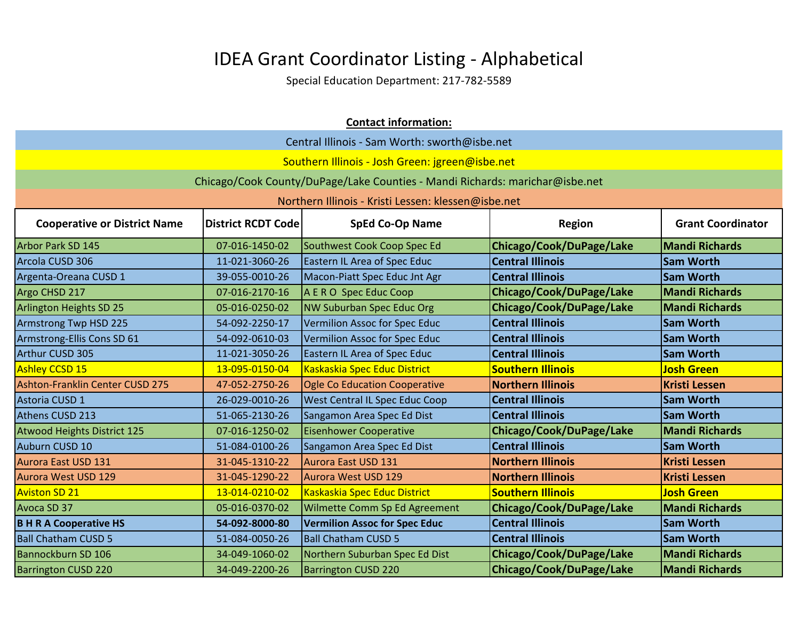| <b>Contact information:</b>                                                                                                             |                |                                                                              |                          |                       |
|-----------------------------------------------------------------------------------------------------------------------------------------|----------------|------------------------------------------------------------------------------|--------------------------|-----------------------|
| Central Illinois - Sam Worth: sworth@isbe.net                                                                                           |                |                                                                              |                          |                       |
|                                                                                                                                         |                | Southern Illinois - Josh Green: jgreen@isbe.net                              |                          |                       |
|                                                                                                                                         |                | Chicago/Cook County/DuPage/Lake Counties - Mandi Richards: marichar@isbe.net |                          |                       |
|                                                                                                                                         |                | Northern Illinois - Kristi Lessen: klessen@isbe.net                          |                          |                       |
| <b>District RCDT Code</b><br><b>SpEd Co-Op Name</b><br><b>Grant Coordinator</b><br><b>Cooperative or District Name</b><br><b>Region</b> |                |                                                                              |                          |                       |
| Arbor Park SD 145                                                                                                                       | 07-016-1450-02 | Southwest Cook Coop Spec Ed                                                  | Chicago/Cook/DuPage/Lake | <b>Mandi Richards</b> |
| Arcola CUSD 306                                                                                                                         | 11-021-3060-26 | Eastern IL Area of Spec Educ                                                 | <b>Central Illinois</b>  | <b>Sam Worth</b>      |
| Argenta-Oreana CUSD 1                                                                                                                   | 39-055-0010-26 | Macon-Piatt Spec Educ Jnt Agr                                                | <b>Central Illinois</b>  | <b>Sam Worth</b>      |
| Argo CHSD 217                                                                                                                           | 07-016-2170-16 | A E R O Spec Educ Coop                                                       | Chicago/Cook/DuPage/Lake | <b>Mandi Richards</b> |
| Arlington Heights SD 25                                                                                                                 | 05-016-0250-02 | <b>NW Suburban Spec Educ Org</b>                                             | Chicago/Cook/DuPage/Lake | <b>Mandi Richards</b> |
| Armstrong Twp HSD 225                                                                                                                   | 54-092-2250-17 | Vermilion Assoc for Spec Educ                                                | <b>Central Illinois</b>  | <b>Sam Worth</b>      |
| Armstrong-Ellis Cons SD 61                                                                                                              | 54-092-0610-03 | Vermilion Assoc for Spec Educ                                                | <b>Central Illinois</b>  | <b>Sam Worth</b>      |
| Arthur CUSD 305                                                                                                                         | 11-021-3050-26 | <b>Eastern IL Area of Spec Educ</b>                                          | <b>Central Illinois</b>  | <b>Sam Worth</b>      |
| <b>Ashley CCSD 15</b>                                                                                                                   | 13-095-0150-04 | Kaskaskia Spec Educ District                                                 | <b>Southern Illinois</b> | <b>Josh Green</b>     |
| Ashton-Franklin Center CUSD 275                                                                                                         | 47-052-2750-26 | Ogle Co Education Cooperative                                                | <b>Northern Illinois</b> | <b>Kristi Lessen</b>  |
| Astoria CUSD 1                                                                                                                          | 26-029-0010-26 | West Central IL Spec Educ Coop                                               | <b>Central Illinois</b>  | <b>Sam Worth</b>      |
| Athens CUSD 213                                                                                                                         | 51-065-2130-26 | Sangamon Area Spec Ed Dist                                                   | <b>Central Illinois</b>  | <b>Sam Worth</b>      |
| <b>Atwood Heights District 125</b>                                                                                                      | 07-016-1250-02 | <b>Eisenhower Cooperative</b>                                                | Chicago/Cook/DuPage/Lake | <b>Mandi Richards</b> |
| Auburn CUSD 10                                                                                                                          | 51-084-0100-26 | Sangamon Area Spec Ed Dist                                                   | <b>Central Illinois</b>  | <b>Sam Worth</b>      |
| Aurora East USD 131                                                                                                                     | 31-045-1310-22 | Aurora East USD 131                                                          | <b>Northern Illinois</b> | <b>Kristi Lessen</b>  |
| <b>Aurora West USD 129</b>                                                                                                              | 31-045-1290-22 | Aurora West USD 129                                                          | <b>Northern Illinois</b> | <b>Kristi Lessen</b>  |
| <b>Aviston SD 21</b>                                                                                                                    | 13-014-0210-02 | Kaskaskia Spec Educ District                                                 | <b>Southern Illinois</b> | <b>Josh Green</b>     |
| Avoca SD 37                                                                                                                             | 05-016-0370-02 | Wilmette Comm Sp Ed Agreement                                                | Chicago/Cook/DuPage/Lake | <b>Mandi Richards</b> |
| <b>B H R A Cooperative HS</b>                                                                                                           | 54-092-8000-80 | <b>Vermilion Assoc for Spec Educ</b>                                         | <b>Central Illinois</b>  | <b>Sam Worth</b>      |
| <b>Ball Chatham CUSD 5</b>                                                                                                              | 51-084-0050-26 | <b>Ball Chatham CUSD 5</b>                                                   | <b>Central Illinois</b>  | <b>Sam Worth</b>      |
| Bannockburn SD 106                                                                                                                      | 34-049-1060-02 | Northern Suburban Spec Ed Dist                                               | Chicago/Cook/DuPage/Lake | <b>Mandi Richards</b> |
| <b>Barrington CUSD 220</b>                                                                                                              | 34-049-2200-26 | <b>Barrington CUSD 220</b>                                                   | Chicago/Cook/DuPage/Lake | <b>Mandi Richards</b> |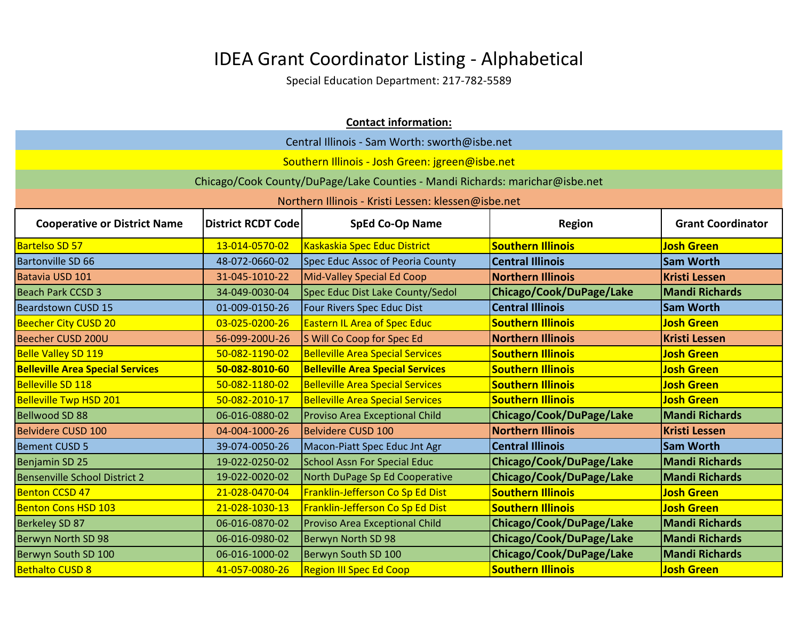|                                                                                                                                         | <b>Contact information:</b>                   |                                                                              |                          |                       |  |
|-----------------------------------------------------------------------------------------------------------------------------------------|-----------------------------------------------|------------------------------------------------------------------------------|--------------------------|-----------------------|--|
|                                                                                                                                         | Central Illinois - Sam Worth: sworth@isbe.net |                                                                              |                          |                       |  |
|                                                                                                                                         |                                               | Southern Illinois - Josh Green: jgreen@isbe.net                              |                          |                       |  |
|                                                                                                                                         |                                               | Chicago/Cook County/DuPage/Lake Counties - Mandi Richards: marichar@isbe.net |                          |                       |  |
|                                                                                                                                         |                                               | Northern Illinois - Kristi Lessen: klessen@isbe.net                          |                          |                       |  |
| <b>SpEd Co-Op Name</b><br><b>Grant Coordinator</b><br><b>Cooperative or District Name</b><br><b>District RCDT Code</b><br><b>Region</b> |                                               |                                                                              |                          |                       |  |
| <b>Bartelso SD 57</b>                                                                                                                   | 13-014-0570-02                                | Kaskaskia Spec Educ District                                                 | <b>Southern Illinois</b> | <b>Josh Green</b>     |  |
| <b>Bartonville SD 66</b>                                                                                                                | 48-072-0660-02                                | Spec Educ Assoc of Peoria County                                             | <b>Central Illinois</b>  | <b>Sam Worth</b>      |  |
| Batavia USD 101                                                                                                                         | 31-045-1010-22                                | Mid-Valley Special Ed Coop                                                   | <b>Northern Illinois</b> | <b>Kristi Lessen</b>  |  |
| <b>Beach Park CCSD 3</b>                                                                                                                | 34-049-0030-04                                | Spec Educ Dist Lake County/Sedol                                             | Chicago/Cook/DuPage/Lake | <b>Mandi Richards</b> |  |
| <b>Beardstown CUSD 15</b>                                                                                                               | 01-009-0150-26                                | Four Rivers Spec Educ Dist                                                   | <b>Central Illinois</b>  | <b>Sam Worth</b>      |  |
| <b>Beecher City CUSD 20</b>                                                                                                             | 03-025-0200-26                                | <b>Eastern IL Area of Spec Educ</b>                                          | <b>Southern Illinois</b> | <b>Josh Green</b>     |  |
| Beecher CUSD 200U                                                                                                                       | 56-099-200U-26                                | S Will Co Coop for Spec Ed                                                   | <b>Northern Illinois</b> | <b>Kristi Lessen</b>  |  |
| <b>Belle Valley SD 119</b>                                                                                                              | 50-082-1190-02                                | <b>Belleville Area Special Services</b>                                      | <b>Southern Illinois</b> | <b>Josh Green</b>     |  |
| <b>Belleville Area Special Services</b>                                                                                                 | 50-082-8010-60                                | <b>Belleville Area Special Services</b>                                      | <b>Southern Illinois</b> | <b>Josh Green</b>     |  |
| <b>Belleville SD 118</b>                                                                                                                | 50-082-1180-02                                | <b>Belleville Area Special Services</b>                                      | <b>Southern Illinois</b> | <b>Josh Green</b>     |  |
| <b>Belleville Twp HSD 201</b>                                                                                                           | 50-082-2010-17                                | <b>Belleville Area Special Services</b>                                      | <b>Southern Illinois</b> | <b>Josh Green</b>     |  |
| <b>Bellwood SD 88</b>                                                                                                                   | 06-016-0880-02                                | <b>Proviso Area Exceptional Child</b>                                        | Chicago/Cook/DuPage/Lake | <b>Mandi Richards</b> |  |
| Belvidere CUSD 100                                                                                                                      | 04-004-1000-26                                | Belvidere CUSD 100                                                           | <b>Northern Illinois</b> | <b>Kristi Lessen</b>  |  |
| <b>Bement CUSD 5</b>                                                                                                                    | 39-074-0050-26                                | Macon-Piatt Spec Educ Jnt Agr                                                | <b>Central Illinois</b>  | <b>Sam Worth</b>      |  |
| Benjamin SD 25                                                                                                                          | 19-022-0250-02                                | <b>School Assn For Special Educ</b>                                          | Chicago/Cook/DuPage/Lake | <b>Mandi Richards</b> |  |
| <b>Bensenville School District 2</b>                                                                                                    | 19-022-0020-02                                | North DuPage Sp Ed Cooperative                                               | Chicago/Cook/DuPage/Lake | <b>Mandi Richards</b> |  |
| <b>Benton CCSD 47</b>                                                                                                                   | 21-028-0470-04                                | Franklin-Jefferson Co Sp Ed Dist                                             | <b>Southern Illinois</b> | <b>Josh Green</b>     |  |
| <b>Benton Cons HSD 103</b>                                                                                                              | 21-028-1030-13                                | Franklin-Jefferson Co Sp Ed Dist                                             | <b>Southern Illinois</b> | <b>Josh Green</b>     |  |
| <b>Berkeley SD 87</b>                                                                                                                   | 06-016-0870-02                                | <b>Proviso Area Exceptional Child</b>                                        | Chicago/Cook/DuPage/Lake | <b>Mandi Richards</b> |  |
| Berwyn North SD 98                                                                                                                      | 06-016-0980-02                                | Berwyn North SD 98                                                           | Chicago/Cook/DuPage/Lake | <b>Mandi Richards</b> |  |
| Berwyn South SD 100                                                                                                                     | 06-016-1000-02                                | Berwyn South SD 100                                                          | Chicago/Cook/DuPage/Lake | <b>Mandi Richards</b> |  |
| <b>Bethalto CUSD 8</b>                                                                                                                  | 41-057-0080-26                                | <b>Region III Spec Ed Coop</b>                                               | <b>Southern Illinois</b> | <b>Josh Green</b>     |  |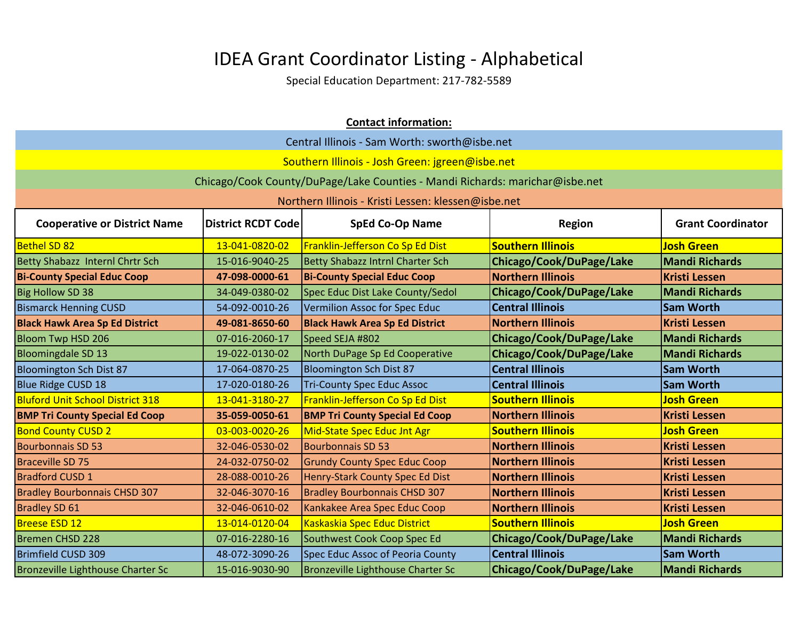|                                                                                                                                         | <b>Contact information:</b> |                                                                              |                          |                       |  |
|-----------------------------------------------------------------------------------------------------------------------------------------|-----------------------------|------------------------------------------------------------------------------|--------------------------|-----------------------|--|
| Central Illinois - Sam Worth: sworth@isbe.net                                                                                           |                             |                                                                              |                          |                       |  |
|                                                                                                                                         |                             | Southern Illinois - Josh Green: jgreen@isbe.net                              |                          |                       |  |
|                                                                                                                                         |                             | Chicago/Cook County/DuPage/Lake Counties - Mandi Richards: marichar@isbe.net |                          |                       |  |
|                                                                                                                                         |                             | Northern Illinois - Kristi Lessen: klessen@isbe.net                          |                          |                       |  |
| <b>SpEd Co-Op Name</b><br><b>Grant Coordinator</b><br><b>Cooperative or District Name</b><br><b>District RCDT Code</b><br><b>Region</b> |                             |                                                                              |                          |                       |  |
| <b>Bethel SD 82</b>                                                                                                                     | 13-041-0820-02              | Franklin-Jefferson Co Sp Ed Dist                                             | <b>Southern Illinois</b> | <b>Josh Green</b>     |  |
| Betty Shabazz Internl Chrtr Sch                                                                                                         | 15-016-9040-25              | <b>Betty Shabazz Intrnl Charter Sch</b>                                      | Chicago/Cook/DuPage/Lake | <b>Mandi Richards</b> |  |
| <b>Bi-County Special Educ Coop</b>                                                                                                      | 47-098-0000-61              | <b>Bi-County Special Educ Coop</b>                                           | <b>Northern Illinois</b> | <b>Kristi Lessen</b>  |  |
| <b>Big Hollow SD 38</b>                                                                                                                 | 34-049-0380-02              | Spec Educ Dist Lake County/Sedol                                             | Chicago/Cook/DuPage/Lake | <b>Mandi Richards</b> |  |
| <b>Bismarck Henning CUSD</b>                                                                                                            | 54-092-0010-26              | Vermilion Assoc for Spec Educ                                                | <b>Central Illinois</b>  | <b>Sam Worth</b>      |  |
| <b>Black Hawk Area Sp Ed District</b>                                                                                                   | 49-081-8650-60              | <b>Black Hawk Area Sp Ed District</b>                                        | <b>Northern Illinois</b> | <b>Kristi Lessen</b>  |  |
| <b>Bloom Twp HSD 206</b>                                                                                                                | 07-016-2060-17              | Speed SEJA #802                                                              | Chicago/Cook/DuPage/Lake | <b>Mandi Richards</b> |  |
| <b>Bloomingdale SD 13</b>                                                                                                               | 19-022-0130-02              | North DuPage Sp Ed Cooperative                                               | Chicago/Cook/DuPage/Lake | <b>Mandi Richards</b> |  |
| <b>Bloomington Sch Dist 87</b>                                                                                                          | 17-064-0870-25              | <b>Bloomington Sch Dist 87</b>                                               | <b>Central Illinois</b>  | <b>Sam Worth</b>      |  |
| <b>Blue Ridge CUSD 18</b>                                                                                                               | 17-020-0180-26              | <b>Tri-County Spec Educ Assoc</b>                                            | <b>Central Illinois</b>  | <b>Sam Worth</b>      |  |
| <b>Bluford Unit School District 318</b>                                                                                                 | 13-041-3180-27              | Franklin-Jefferson Co Sp Ed Dist                                             | <b>Southern Illinois</b> | <b>Josh Green</b>     |  |
| <b>BMP Tri County Special Ed Coop</b>                                                                                                   | 35-059-0050-61              | <b>BMP Tri County Special Ed Coop</b>                                        | <b>Northern Illinois</b> | <b>Kristi Lessen</b>  |  |
| <b>Bond County CUSD 2</b>                                                                                                               | 03-003-0020-26              | Mid-State Spec Educ Jnt Agr                                                  | <b>Southern Illinois</b> | <b>Josh Green</b>     |  |
| <b>Bourbonnais SD 53</b>                                                                                                                | 32-046-0530-02              | <b>Bourbonnais SD 53</b>                                                     | <b>Northern Illinois</b> | <b>Kristi Lessen</b>  |  |
| <b>Braceville SD 75</b>                                                                                                                 | 24-032-0750-02              | <b>Grundy County Spec Educ Coop</b>                                          | <b>Northern Illinois</b> | <b>Kristi Lessen</b>  |  |
| <b>Bradford CUSD 1</b>                                                                                                                  | 28-088-0010-26              | Henry-Stark County Spec Ed Dist                                              | <b>Northern Illinois</b> | <b>Kristi Lessen</b>  |  |
| <b>Bradley Bourbonnais CHSD 307</b>                                                                                                     | 32-046-3070-16              | <b>Bradley Bourbonnais CHSD 307</b>                                          | <b>Northern Illinois</b> | <b>Kristi Lessen</b>  |  |
| <b>Bradley SD 61</b>                                                                                                                    | 32-046-0610-02              | Kankakee Area Spec Educ Coop                                                 | <b>Northern Illinois</b> | <b>Kristi Lessen</b>  |  |
| <b>Breese ESD 12</b>                                                                                                                    | 13-014-0120-04              | Kaskaskia Spec Educ District                                                 | <b>Southern Illinois</b> | <b>Josh Green</b>     |  |
| Bremen CHSD 228                                                                                                                         | 07-016-2280-16              | Southwest Cook Coop Spec Ed                                                  | Chicago/Cook/DuPage/Lake | <b>Mandi Richards</b> |  |
| <b>Brimfield CUSD 309</b>                                                                                                               | 48-072-3090-26              | Spec Educ Assoc of Peoria County                                             | <b>Central Illinois</b>  | <b>Sam Worth</b>      |  |
| Bronzeville Lighthouse Charter Sc                                                                                                       | 15-016-9030-90              | Bronzeville Lighthouse Charter Sc                                            | Chicago/Cook/DuPage/Lake | <b>Mandi Richards</b> |  |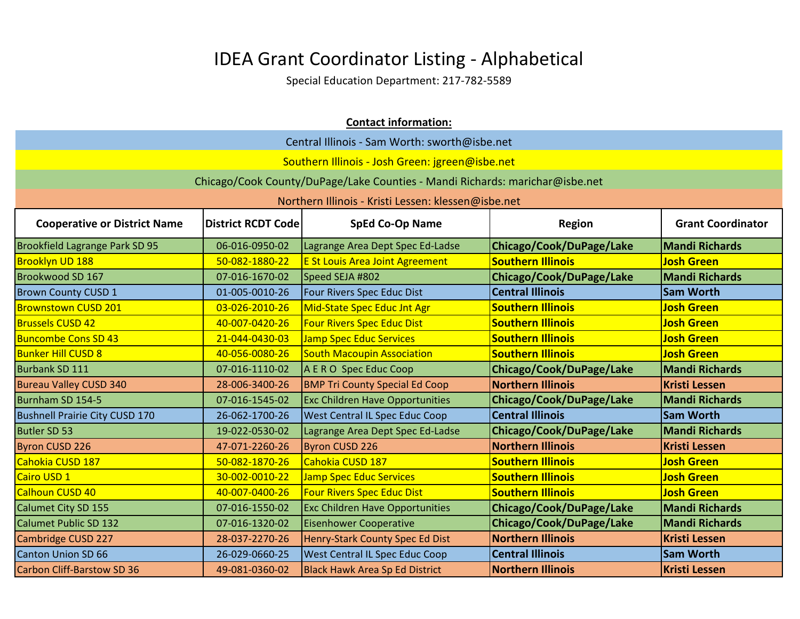| <b>Contact information:</b>                                                                                                             |                                               |                                                                              |                          |                       |  |
|-----------------------------------------------------------------------------------------------------------------------------------------|-----------------------------------------------|------------------------------------------------------------------------------|--------------------------|-----------------------|--|
|                                                                                                                                         | Central Illinois - Sam Worth: sworth@isbe.net |                                                                              |                          |                       |  |
|                                                                                                                                         |                                               | Southern Illinois - Josh Green: jgreen@isbe.net                              |                          |                       |  |
|                                                                                                                                         |                                               | Chicago/Cook County/DuPage/Lake Counties - Mandi Richards: marichar@isbe.net |                          |                       |  |
|                                                                                                                                         |                                               | Northern Illinois - Kristi Lessen: klessen@isbe.net                          |                          |                       |  |
| <b>SpEd Co-Op Name</b><br><b>Grant Coordinator</b><br><b>Cooperative or District Name</b><br><b>District RCDT Code</b><br><b>Region</b> |                                               |                                                                              |                          |                       |  |
| Brookfield Lagrange Park SD 95                                                                                                          | 06-016-0950-02                                | Lagrange Area Dept Spec Ed-Ladse                                             | Chicago/Cook/DuPage/Lake | <b>Mandi Richards</b> |  |
| Brooklyn UD 188                                                                                                                         | 50-082-1880-22                                | <b>E St Louis Area Joint Agreement</b>                                       | <b>Southern Illinois</b> | <b>Josh Green</b>     |  |
| Brookwood SD 167                                                                                                                        | 07-016-1670-02                                | Speed SEJA #802                                                              | Chicago/Cook/DuPage/Lake | <b>Mandi Richards</b> |  |
| <b>Brown County CUSD 1</b>                                                                                                              | 01-005-0010-26                                | Four Rivers Spec Educ Dist                                                   | <b>Central Illinois</b>  | <b>Sam Worth</b>      |  |
| <b>Brownstown CUSD 201</b>                                                                                                              | 03-026-2010-26                                | Mid-State Spec Educ Jnt Agr                                                  | <b>Southern Illinois</b> | <b>Josh Green</b>     |  |
| <b>Brussels CUSD 42</b>                                                                                                                 | 40-007-0420-26                                | <b>Four Rivers Spec Educ Dist</b>                                            | <b>Southern Illinois</b> | <b>Josh Green</b>     |  |
| <b>Buncombe Cons SD 43</b>                                                                                                              | 21-044-0430-03                                | <b>Jamp Spec Educ Services</b>                                               | <b>Southern Illinois</b> | <b>Josh Green</b>     |  |
| <b>Bunker Hill CUSD 8</b>                                                                                                               | 40-056-0080-26                                | <b>South Macoupin Association</b>                                            | <b>Southern Illinois</b> | <b>Josh Green</b>     |  |
| Burbank SD 111                                                                                                                          | 07-016-1110-02                                | A E R O Spec Educ Coop                                                       | Chicago/Cook/DuPage/Lake | <b>Mandi Richards</b> |  |
| <b>Bureau Valley CUSD 340</b>                                                                                                           | 28-006-3400-26                                | <b>BMP Tri County Special Ed Coop</b>                                        | <b>Northern Illinois</b> | <b>Kristi Lessen</b>  |  |
| Burnham SD 154-5                                                                                                                        | 07-016-1545-02                                | <b>Exc Children Have Opportunities</b>                                       | Chicago/Cook/DuPage/Lake | <b>Mandi Richards</b> |  |
| <b>Bushnell Prairie City CUSD 170</b>                                                                                                   | 26-062-1700-26                                | <b>West Central IL Spec Educ Coop</b>                                        | <b>Central Illinois</b>  | <b>Sam Worth</b>      |  |
| <b>Butler SD 53</b>                                                                                                                     | 19-022-0530-02                                | Lagrange Area Dept Spec Ed-Ladse                                             | Chicago/Cook/DuPage/Lake | <b>Mandi Richards</b> |  |
| <b>Byron CUSD 226</b>                                                                                                                   | 47-071-2260-26                                | Byron CUSD 226                                                               | <b>Northern Illinois</b> | <b>Kristi Lessen</b>  |  |
| Cahokia CUSD 187                                                                                                                        | 50-082-1870-26                                | <b>Cahokia CUSD 187</b>                                                      | <b>Southern Illinois</b> | <b>Josh Green</b>     |  |
| Cairo USD 1                                                                                                                             | 30-002-0010-22                                | Jamp Spec Educ Services                                                      | <b>Southern Illinois</b> | <b>Josh Green</b>     |  |
| Calhoun CUSD 40                                                                                                                         | 40-007-0400-26                                | <b>Four Rivers Spec Educ Dist</b>                                            | <b>Southern Illinois</b> | <b>Josh Green</b>     |  |
| Calumet City SD 155                                                                                                                     | 07-016-1550-02                                | <b>Exc Children Have Opportunities</b>                                       | Chicago/Cook/DuPage/Lake | <b>Mandi Richards</b> |  |
| <b>Calumet Public SD 132</b>                                                                                                            | 07-016-1320-02                                | <b>Eisenhower Cooperative</b>                                                | Chicago/Cook/DuPage/Lake | <b>Mandi Richards</b> |  |
| Cambridge CUSD 227                                                                                                                      | 28-037-2270-26                                | Henry-Stark County Spec Ed Dist                                              | <b>Northern Illinois</b> | <b>Kristi Lessen</b>  |  |
| Canton Union SD 66                                                                                                                      | 26-029-0660-25                                | <b>West Central IL Spec Educ Coop</b>                                        | <b>Central Illinois</b>  | <b>Sam Worth</b>      |  |
| <b>Carbon Cliff-Barstow SD 36</b>                                                                                                       | 49-081-0360-02                                | <b>Black Hawk Area Sp Ed District</b>                                        | <b>Northern Illinois</b> | <b>Kristi Lessen</b>  |  |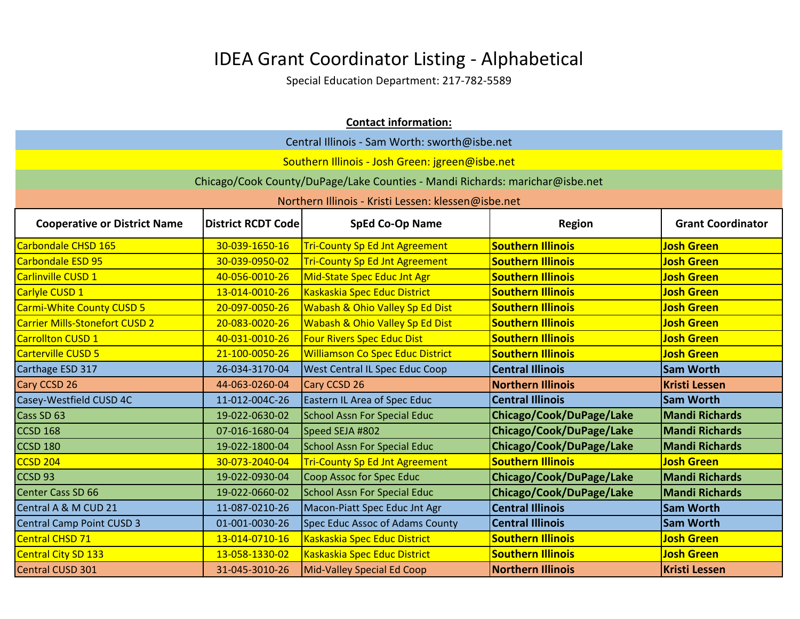| <b>Contact information:</b>                                                                                                             |                                               |                                                                              |                          |                       |  |
|-----------------------------------------------------------------------------------------------------------------------------------------|-----------------------------------------------|------------------------------------------------------------------------------|--------------------------|-----------------------|--|
|                                                                                                                                         | Central Illinois - Sam Worth: sworth@isbe.net |                                                                              |                          |                       |  |
|                                                                                                                                         |                                               | Southern Illinois - Josh Green: jgreen@isbe.net                              |                          |                       |  |
|                                                                                                                                         |                                               | Chicago/Cook County/DuPage/Lake Counties - Mandi Richards: marichar@isbe.net |                          |                       |  |
|                                                                                                                                         |                                               | Northern Illinois - Kristi Lessen: klessen@isbe.net                          |                          |                       |  |
| <b>District RCDT Code</b><br><b>SpEd Co-Op Name</b><br><b>Grant Coordinator</b><br><b>Cooperative or District Name</b><br><b>Region</b> |                                               |                                                                              |                          |                       |  |
| Carbondale CHSD 165                                                                                                                     | 30-039-1650-16                                | <b>Tri-County Sp Ed Jnt Agreement</b>                                        | <b>Southern Illinois</b> | <b>Josh Green</b>     |  |
| Carbondale ESD 95                                                                                                                       | 30-039-0950-02                                | <b>Tri-County Sp Ed Jnt Agreement</b>                                        | <b>Southern Illinois</b> | <b>Josh Green</b>     |  |
| <b>Carlinville CUSD 1</b>                                                                                                               | 40-056-0010-26                                | Mid-State Spec Educ Jnt Agr                                                  | <b>Southern Illinois</b> | <b>Josh Green</b>     |  |
| Carlyle CUSD 1                                                                                                                          | 13-014-0010-26                                | Kaskaskia Spec Educ District                                                 | <b>Southern Illinois</b> | <b>Josh Green</b>     |  |
| <b>Carmi-White County CUSD 5</b>                                                                                                        | 20-097-0050-26                                | Wabash & Ohio Valley Sp Ed Dist                                              | <b>Southern Illinois</b> | <b>Josh Green</b>     |  |
| <b>Carrier Mills-Stonefort CUSD 2</b>                                                                                                   | 20-083-0020-26                                | Wabash & Ohio Valley Sp Ed Dist                                              | <b>Southern Illinois</b> | <b>Josh Green</b>     |  |
| <b>Carrollton CUSD 1</b>                                                                                                                | 40-031-0010-26                                | <b>Four Rivers Spec Educ Dist</b>                                            | <b>Southern Illinois</b> | <b>Josh Green</b>     |  |
| Carterville CUSD 5                                                                                                                      | 21-100-0050-26                                | <b>Williamson Co Spec Educ District</b>                                      | <b>Southern Illinois</b> | <b>Josh Green</b>     |  |
| Carthage ESD 317                                                                                                                        | 26-034-3170-04                                | <b>West Central IL Spec Educ Coop</b>                                        | <b>Central Illinois</b>  | <b>Sam Worth</b>      |  |
| Cary CCSD 26                                                                                                                            | 44-063-0260-04                                | Cary CCSD 26                                                                 | <b>Northern Illinois</b> | <b>Kristi Lessen</b>  |  |
| Casey-Westfield CUSD 4C                                                                                                                 | 11-012-004C-26                                | Eastern IL Area of Spec Educ                                                 | <b>Central Illinois</b>  | <b>Sam Worth</b>      |  |
| Cass SD 63                                                                                                                              | 19-022-0630-02                                | <b>School Assn For Special Educ</b>                                          | Chicago/Cook/DuPage/Lake | <b>Mandi Richards</b> |  |
| CCSD <sub>168</sub>                                                                                                                     | 07-016-1680-04                                | Speed SEJA #802                                                              | Chicago/Cook/DuPage/Lake | <b>Mandi Richards</b> |  |
| CCSD 180                                                                                                                                | 19-022-1800-04                                | <b>School Assn For Special Educ</b>                                          | Chicago/Cook/DuPage/Lake | <b>Mandi Richards</b> |  |
| CCSD <sub>204</sub>                                                                                                                     | 30-073-2040-04                                | <b>Tri-County Sp Ed Jnt Agreement</b>                                        | <b>Southern Illinois</b> | <b>Josh Green</b>     |  |
| CCSD <sub>93</sub>                                                                                                                      | 19-022-0930-04                                | Coop Assoc for Spec Educ                                                     | Chicago/Cook/DuPage/Lake | <b>Mandi Richards</b> |  |
| Center Cass SD 66                                                                                                                       | 19-022-0660-02                                | <b>School Assn For Special Educ</b>                                          | Chicago/Cook/DuPage/Lake | <b>Mandi Richards</b> |  |
| Central A & M CUD 21                                                                                                                    | 11-087-0210-26                                | Macon-Piatt Spec Educ Jnt Agr                                                | <b>Central Illinois</b>  | <b>Sam Worth</b>      |  |
| Central Camp Point CUSD 3                                                                                                               | 01-001-0030-26                                | <b>Spec Educ Assoc of Adams County</b>                                       | <b>Central Illinois</b>  | <b>Sam Worth</b>      |  |
| Central CHSD 71                                                                                                                         | 13-014-0710-16                                | Kaskaskia Spec Educ District                                                 | <b>Southern Illinois</b> | <b>Josh Green</b>     |  |
| Central City SD 133                                                                                                                     | 13-058-1330-02                                | Kaskaskia Spec Educ District                                                 | <b>Southern Illinois</b> | <b>Josh Green</b>     |  |
| Central CUSD 301                                                                                                                        | 31-045-3010-26                                | Mid-Valley Special Ed Coop                                                   | <b>Northern Illinois</b> | <b>Kristi Lessen</b>  |  |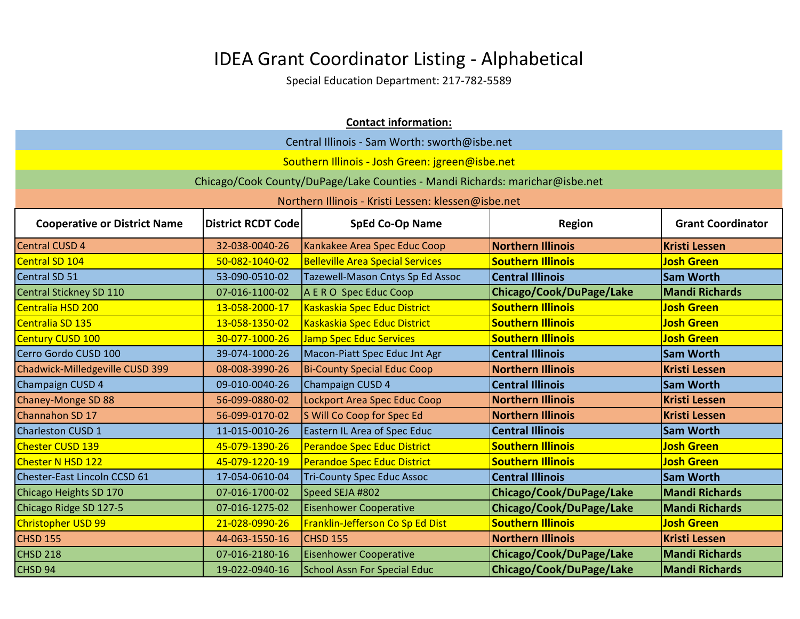| <b>Contact information:</b>                                                                                                             |                |                                                                              |                          |                       |
|-----------------------------------------------------------------------------------------------------------------------------------------|----------------|------------------------------------------------------------------------------|--------------------------|-----------------------|
|                                                                                                                                         |                | Central Illinois - Sam Worth: sworth@isbe.net                                |                          |                       |
|                                                                                                                                         |                | Southern Illinois - Josh Green: jgreen@isbe.net                              |                          |                       |
|                                                                                                                                         |                | Chicago/Cook County/DuPage/Lake Counties - Mandi Richards: marichar@isbe.net |                          |                       |
|                                                                                                                                         |                | Northern Illinois - Kristi Lessen: klessen@isbe.net                          |                          |                       |
| <b>District RCDT Code</b><br><b>SpEd Co-Op Name</b><br><b>Grant Coordinator</b><br><b>Cooperative or District Name</b><br><b>Region</b> |                |                                                                              |                          |                       |
| <b>Central CUSD 4</b>                                                                                                                   | 32-038-0040-26 | Kankakee Area Spec Educ Coop                                                 | <b>Northern Illinois</b> | <b>Kristi Lessen</b>  |
| Central SD 104                                                                                                                          | 50-082-1040-02 | <b>Belleville Area Special Services</b>                                      | <b>Southern Illinois</b> | <b>Josh Green</b>     |
| Central SD 51                                                                                                                           | 53-090-0510-02 | Tazewell-Mason Cntys Sp Ed Assoc                                             | <b>Central Illinois</b>  | <b>Sam Worth</b>      |
| <b>Central Stickney SD 110</b>                                                                                                          | 07-016-1100-02 | A E R O Spec Educ Coop                                                       | Chicago/Cook/DuPage/Lake | <b>Mandi Richards</b> |
| Centralia HSD 200                                                                                                                       | 13-058-2000-17 | Kaskaskia Spec Educ District                                                 | <b>Southern Illinois</b> | <b>Josh Green</b>     |
| Centralia SD 135                                                                                                                        | 13-058-1350-02 | Kaskaskia Spec Educ District                                                 | <b>Southern Illinois</b> | <b>Josh Green</b>     |
| <b>Century CUSD 100</b>                                                                                                                 | 30-077-1000-26 | <b>Jamp Spec Educ Services</b>                                               | <b>Southern Illinois</b> | <b>Josh Green</b>     |
| Cerro Gordo CUSD 100                                                                                                                    | 39-074-1000-26 | Macon-Piatt Spec Educ Jnt Agr                                                | <b>Central Illinois</b>  | <b>Sam Worth</b>      |
| Chadwick-Milledgeville CUSD 399                                                                                                         | 08-008-3990-26 | <b>Bi-County Special Educ Coop</b>                                           | <b>Northern Illinois</b> | <b>Kristi Lessen</b>  |
| Champaign CUSD 4                                                                                                                        | 09-010-0040-26 | Champaign CUSD 4                                                             | <b>Central Illinois</b>  | <b>Sam Worth</b>      |
| Chaney-Monge SD 88                                                                                                                      | 56-099-0880-02 | Lockport Area Spec Educ Coop                                                 | <b>Northern Illinois</b> | <b>Kristi Lessen</b>  |
| Channahon SD 17                                                                                                                         | 56-099-0170-02 | S Will Co Coop for Spec Ed                                                   | <b>Northern Illinois</b> | <b>Kristi Lessen</b>  |
| <b>Charleston CUSD 1</b>                                                                                                                | 11-015-0010-26 | <b>Eastern IL Area of Spec Educ</b>                                          | <b>Central Illinois</b>  | <b>Sam Worth</b>      |
| Chester CUSD 139                                                                                                                        | 45-079-1390-26 | <b>Perandoe Spec Educ District</b>                                           | <b>Southern Illinois</b> | <b>Josh Green</b>     |
| Chester N HSD 122                                                                                                                       | 45-079-1220-19 | <b>Perandoe Spec Educ District</b>                                           | <b>Southern Illinois</b> | <b>Josh Green</b>     |
| Chester-East Lincoln CCSD 61                                                                                                            | 17-054-0610-04 | <b>Tri-County Spec Educ Assoc</b>                                            | <b>Central Illinois</b>  | <b>Sam Worth</b>      |
| Chicago Heights SD 170                                                                                                                  | 07-016-1700-02 | Speed SEJA #802                                                              | Chicago/Cook/DuPage/Lake | <b>Mandi Richards</b> |
| Chicago Ridge SD 127-5                                                                                                                  | 07-016-1275-02 | <b>Eisenhower Cooperative</b>                                                | Chicago/Cook/DuPage/Lake | <b>Mandi Richards</b> |
| <b>Christopher USD 99</b>                                                                                                               | 21-028-0990-26 | Franklin-Jefferson Co Sp Ed Dist                                             | <b>Southern Illinois</b> | <b>Josh Green</b>     |
| CHSD 155                                                                                                                                | 44-063-1550-16 | <b>CHSD 155</b>                                                              | <b>Northern Illinois</b> | <b>Kristi Lessen</b>  |
| CHSD 218                                                                                                                                | 07-016-2180-16 | <b>Eisenhower Cooperative</b>                                                | Chicago/Cook/DuPage/Lake | <b>Mandi Richards</b> |
| CHSD <sub>94</sub>                                                                                                                      | 19-022-0940-16 | <b>School Assn For Special Educ</b>                                          | Chicago/Cook/DuPage/Lake | <b>Mandi Richards</b> |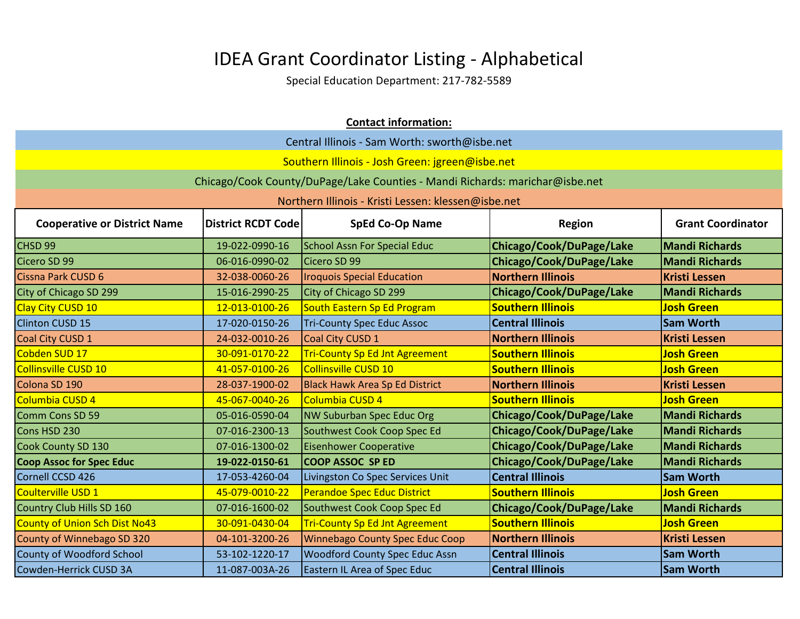| <b>Contact information:</b>                                                                                                             |                |                                                                              |                          |                       |
|-----------------------------------------------------------------------------------------------------------------------------------------|----------------|------------------------------------------------------------------------------|--------------------------|-----------------------|
| Central Illinois - Sam Worth: sworth@isbe.net                                                                                           |                |                                                                              |                          |                       |
|                                                                                                                                         |                | Southern Illinois - Josh Green: jgreen@isbe.net                              |                          |                       |
|                                                                                                                                         |                | Chicago/Cook County/DuPage/Lake Counties - Mandi Richards: marichar@isbe.net |                          |                       |
|                                                                                                                                         |                | Northern Illinois - Kristi Lessen: klessen@isbe.net                          |                          |                       |
| <b>SpEd Co-Op Name</b><br><b>Grant Coordinator</b><br><b>Cooperative or District Name</b><br><b>District RCDT Code</b><br><b>Region</b> |                |                                                                              |                          |                       |
| CHSD <sub>99</sub>                                                                                                                      | 19-022-0990-16 | <b>School Assn For Special Educ</b>                                          | Chicago/Cook/DuPage/Lake | <b>Mandi Richards</b> |
| Cicero SD 99                                                                                                                            | 06-016-0990-02 | Cicero SD 99                                                                 | Chicago/Cook/DuPage/Lake | <b>Mandi Richards</b> |
| Cissna Park CUSD 6                                                                                                                      | 32-038-0060-26 | <b>Iroquois Special Education</b>                                            | <b>Northern Illinois</b> | <b>Kristi Lessen</b>  |
| City of Chicago SD 299                                                                                                                  | 15-016-2990-25 | City of Chicago SD 299                                                       | Chicago/Cook/DuPage/Lake | <b>Mandi Richards</b> |
| Clay City CUSD 10                                                                                                                       | 12-013-0100-26 | South Eastern Sp Ed Program                                                  | <b>Southern Illinois</b> | <b>Josh Green</b>     |
| <b>Clinton CUSD 15</b>                                                                                                                  | 17-020-0150-26 | <b>Tri-County Spec Educ Assoc</b>                                            | <b>Central Illinois</b>  | <b>Sam Worth</b>      |
| Coal City CUSD 1                                                                                                                        | 24-032-0010-26 | Coal City CUSD 1                                                             | <b>Northern Illinois</b> | <b>Kristi Lessen</b>  |
| Cobden SUD 17                                                                                                                           | 30-091-0170-22 | <b>Tri-County Sp Ed Jnt Agreement</b>                                        | <b>Southern Illinois</b> | <b>Josh Green</b>     |
| Collinsville CUSD 10                                                                                                                    | 41-057-0100-26 | Collinsville CUSD 10                                                         | <b>Southern Illinois</b> | <b>Josh Green</b>     |
| Colona SD 190                                                                                                                           | 28-037-1900-02 | <b>Black Hawk Area Sp Ed District</b>                                        | <b>Northern Illinois</b> | <b>Kristi Lessen</b>  |
| Columbia CUSD 4                                                                                                                         | 45-067-0040-26 | Columbia CUSD 4                                                              | <b>Southern Illinois</b> | <b>Josh Green</b>     |
| Comm Cons SD 59                                                                                                                         | 05-016-0590-04 | NW Suburban Spec Educ Org                                                    | Chicago/Cook/DuPage/Lake | <b>Mandi Richards</b> |
| Cons HSD 230                                                                                                                            | 07-016-2300-13 | Southwest Cook Coop Spec Ed                                                  | Chicago/Cook/DuPage/Lake | <b>Mandi Richards</b> |
| Cook County SD 130                                                                                                                      | 07-016-1300-02 | <b>Eisenhower Cooperative</b>                                                | Chicago/Cook/DuPage/Lake | <b>Mandi Richards</b> |
| <b>Coop Assoc for Spec Educ</b>                                                                                                         | 19-022-0150-61 | <b>COOP ASSOC SP ED</b>                                                      | Chicago/Cook/DuPage/Lake | <b>Mandi Richards</b> |
| Cornell CCSD 426                                                                                                                        | 17-053-4260-04 | Livingston Co Spec Services Unit                                             | <b>Central Illinois</b>  | <b>Sam Worth</b>      |
| Coulterville USD 1                                                                                                                      | 45-079-0010-22 | <b>Perandoe Spec Educ District</b>                                           | <b>Southern Illinois</b> | <b>Josh Green</b>     |
| Country Club Hills SD 160                                                                                                               | 07-016-1600-02 | Southwest Cook Coop Spec Ed                                                  | Chicago/Cook/DuPage/Lake | <b>Mandi Richards</b> |
| County of Union Sch Dist No43                                                                                                           | 30-091-0430-04 | <b>Tri-County Sp Ed Jnt Agreement</b>                                        | <b>Southern Illinois</b> | <b>Josh Green</b>     |
| County of Winnebago SD 320                                                                                                              | 04-101-3200-26 | <b>Winnebago County Spec Educ Coop</b>                                       | <b>Northern Illinois</b> | <b>Kristi Lessen</b>  |
| County of Woodford School                                                                                                               | 53-102-1220-17 | <b>Woodford County Spec Educ Assn</b>                                        | <b>Central Illinois</b>  | <b>Sam Worth</b>      |
| Cowden-Herrick CUSD 3A                                                                                                                  | 11-087-003A-26 | <b>Eastern IL Area of Spec Educ</b>                                          | <b>Central Illinois</b>  | <b>Sam Worth</b>      |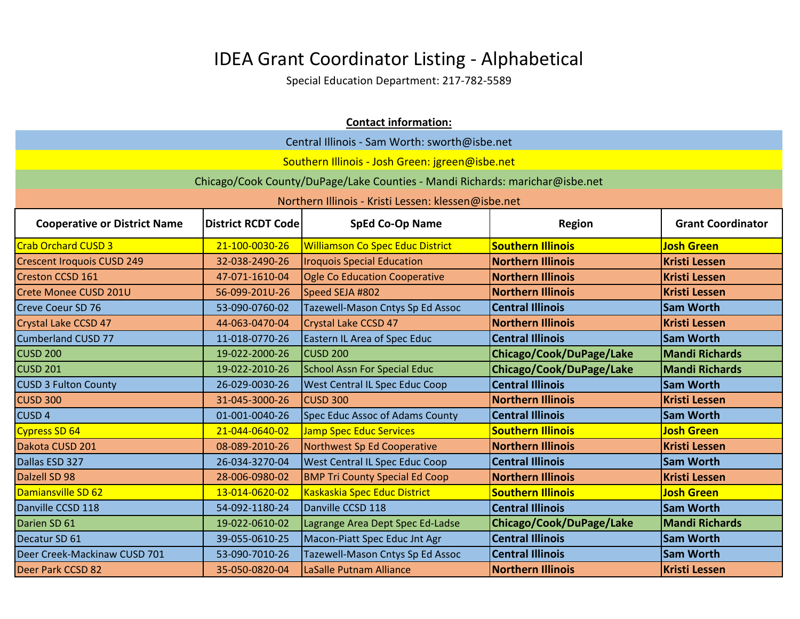|                                                                                                                                         | <b>Contact information:</b>                   |                                                                              |                          |                       |  |
|-----------------------------------------------------------------------------------------------------------------------------------------|-----------------------------------------------|------------------------------------------------------------------------------|--------------------------|-----------------------|--|
|                                                                                                                                         | Central Illinois - Sam Worth: sworth@isbe.net |                                                                              |                          |                       |  |
|                                                                                                                                         |                                               | Southern Illinois - Josh Green: jgreen@isbe.net                              |                          |                       |  |
|                                                                                                                                         |                                               | Chicago/Cook County/DuPage/Lake Counties - Mandi Richards: marichar@isbe.net |                          |                       |  |
|                                                                                                                                         |                                               | Northern Illinois - Kristi Lessen: klessen@isbe.net                          |                          |                       |  |
| <b>Cooperative or District Name</b><br><b>District RCDT Code</b><br><b>SpEd Co-Op Name</b><br><b>Grant Coordinator</b><br><b>Region</b> |                                               |                                                                              |                          |                       |  |
| <b>Crab Orchard CUSD 3</b>                                                                                                              | 21-100-0030-26                                | <b>Williamson Co Spec Educ District</b>                                      | <b>Southern Illinois</b> | <b>Josh Green</b>     |  |
| <b>Crescent Iroquois CUSD 249</b>                                                                                                       | 32-038-2490-26                                | <b>Iroquois Special Education</b>                                            | <b>Northern Illinois</b> | <b>Kristi Lessen</b>  |  |
| <b>Creston CCSD 161</b>                                                                                                                 | 47-071-1610-04                                | <b>Ogle Co Education Cooperative</b>                                         | <b>Northern Illinois</b> | <b>Kristi Lessen</b>  |  |
| Crete Monee CUSD 201U                                                                                                                   | 56-099-201U-26                                | Speed SEJA #802                                                              | <b>Northern Illinois</b> | <b>Kristi Lessen</b>  |  |
| <b>Creve Coeur SD 76</b>                                                                                                                | 53-090-0760-02                                | Tazewell-Mason Cntys Sp Ed Assoc                                             | <b>Central Illinois</b>  | <b>Sam Worth</b>      |  |
| Crystal Lake CCSD 47                                                                                                                    | 44-063-0470-04                                | <b>Crystal Lake CCSD 47</b>                                                  | <b>Northern Illinois</b> | <b>Kristi Lessen</b>  |  |
| <b>Cumberland CUSD 77</b>                                                                                                               | 11-018-0770-26                                | <b>Eastern IL Area of Spec Educ</b>                                          | <b>Central Illinois</b>  | <b>Sam Worth</b>      |  |
| <b>CUSD 200</b>                                                                                                                         | 19-022-2000-26                                | <b>CUSD 200</b>                                                              | Chicago/Cook/DuPage/Lake | <b>Mandi Richards</b> |  |
| CUSD <sub>201</sub>                                                                                                                     | 19-022-2010-26                                | <b>School Assn For Special Educ</b>                                          | Chicago/Cook/DuPage/Lake | <b>Mandi Richards</b> |  |
| <b>CUSD 3 Fulton County</b>                                                                                                             | 26-029-0030-26                                | <b>West Central IL Spec Educ Coop</b>                                        | <b>Central Illinois</b>  | <b>Sam Worth</b>      |  |
| <b>CUSD 300</b>                                                                                                                         | 31-045-3000-26                                | <b>CUSD 300</b>                                                              | <b>Northern Illinois</b> | <b>Kristi Lessen</b>  |  |
| <b>CUSD4</b>                                                                                                                            | 01-001-0040-26                                | Spec Educ Assoc of Adams County                                              | <b>Central Illinois</b>  | <b>Sam Worth</b>      |  |
| <b>Cypress SD 64</b>                                                                                                                    | 21-044-0640-02                                | <b>Jamp Spec Educ Services</b>                                               | <b>Southern Illinois</b> | <b>Josh Green</b>     |  |
| Dakota CUSD 201                                                                                                                         | 08-089-2010-26                                | Northwest Sp Ed Cooperative                                                  | <b>Northern Illinois</b> | <b>Kristi Lessen</b>  |  |
| Dallas ESD 327                                                                                                                          | 26-034-3270-04                                | <b>West Central IL Spec Educ Coop</b>                                        | <b>Central Illinois</b>  | <b>Sam Worth</b>      |  |
| Dalzell SD 98                                                                                                                           | 28-006-0980-02                                | <b>BMP Tri County Special Ed Coop</b>                                        | <b>Northern Illinois</b> | <b>Kristi Lessen</b>  |  |
| Damiansville SD 62                                                                                                                      | 13-014-0620-02                                | Kaskaskia Spec Educ District                                                 | <b>Southern Illinois</b> | <b>Josh Green</b>     |  |
| Danville CCSD 118                                                                                                                       | 54-092-1180-24                                | Danville CCSD 118                                                            | <b>Central Illinois</b>  | <b>Sam Worth</b>      |  |
| Darien SD 61                                                                                                                            | 19-022-0610-02                                | Lagrange Area Dept Spec Ed-Ladse                                             | Chicago/Cook/DuPage/Lake | <b>Mandi Richards</b> |  |
| Decatur SD 61                                                                                                                           | 39-055-0610-25                                | Macon-Piatt Spec Educ Jnt Agr                                                | <b>Central Illinois</b>  | <b>Sam Worth</b>      |  |
| Deer Creek-Mackinaw CUSD 701                                                                                                            | 53-090-7010-26                                | Tazewell-Mason Cntys Sp Ed Assoc                                             | <b>Central Illinois</b>  | <b>Sam Worth</b>      |  |
| Deer Park CCSD 82                                                                                                                       | 35-050-0820-04                                | LaSalle Putnam Alliance                                                      | <b>Northern Illinois</b> | <b>Kristi Lessen</b>  |  |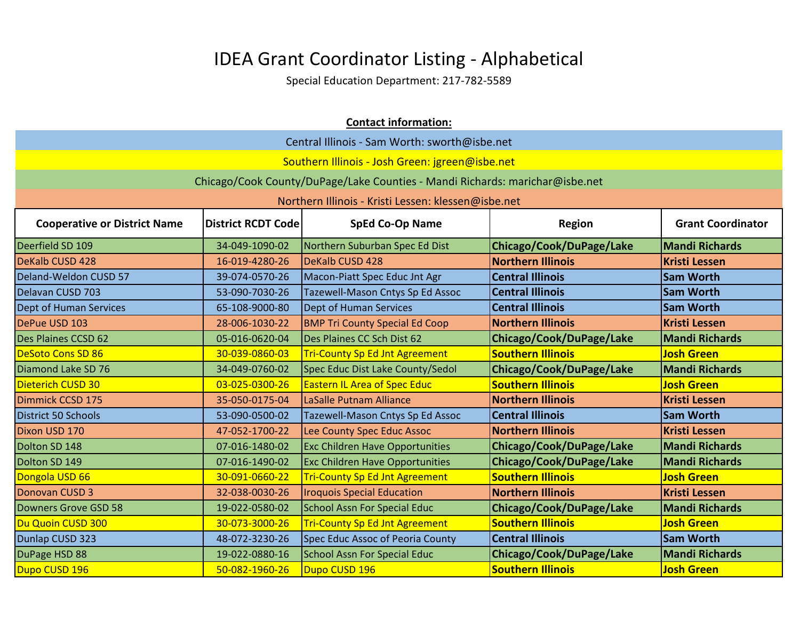|                                                                                                                                         | <b>Contact information:</b>                   |                                                                              |                          |                       |  |
|-----------------------------------------------------------------------------------------------------------------------------------------|-----------------------------------------------|------------------------------------------------------------------------------|--------------------------|-----------------------|--|
|                                                                                                                                         | Central Illinois - Sam Worth: sworth@isbe.net |                                                                              |                          |                       |  |
|                                                                                                                                         |                                               | Southern Illinois - Josh Green: jgreen@isbe.net                              |                          |                       |  |
|                                                                                                                                         |                                               | Chicago/Cook County/DuPage/Lake Counties - Mandi Richards: marichar@isbe.net |                          |                       |  |
|                                                                                                                                         |                                               | Northern Illinois - Kristi Lessen: klessen@isbe.net                          |                          |                       |  |
| <b>SpEd Co-Op Name</b><br><b>Grant Coordinator</b><br><b>Cooperative or District Name</b><br><b>District RCDT Code</b><br><b>Region</b> |                                               |                                                                              |                          |                       |  |
| Deerfield SD 109                                                                                                                        | 34-049-1090-02                                | Northern Suburban Spec Ed Dist                                               | Chicago/Cook/DuPage/Lake | <b>Mandi Richards</b> |  |
| DeKalb CUSD 428                                                                                                                         | 16-019-4280-26                                | DeKalb CUSD 428                                                              | <b>Northern Illinois</b> | <b>Kristi Lessen</b>  |  |
| Deland-Weldon CUSD 57                                                                                                                   | 39-074-0570-26                                | Macon-Piatt Spec Educ Jnt Agr                                                | <b>Central Illinois</b>  | <b>Sam Worth</b>      |  |
| Delavan CUSD 703                                                                                                                        | 53-090-7030-26                                | Tazewell-Mason Cntys Sp Ed Assoc                                             | <b>Central Illinois</b>  | <b>Sam Worth</b>      |  |
| Dept of Human Services                                                                                                                  | 65-108-9000-80                                | Dept of Human Services                                                       | <b>Central Illinois</b>  | <b>Sam Worth</b>      |  |
| DePue USD 103                                                                                                                           | 28-006-1030-22                                | <b>BMP Tri County Special Ed Coop</b>                                        | <b>Northern Illinois</b> | <b>Kristi Lessen</b>  |  |
| Des Plaines CCSD 62                                                                                                                     | 05-016-0620-04                                | Des Plaines CC Sch Dist 62                                                   | Chicago/Cook/DuPage/Lake | <b>Mandi Richards</b> |  |
| <b>DeSoto Cons SD 86</b>                                                                                                                | 30-039-0860-03                                | <b>Tri-County Sp Ed Jnt Agreement</b>                                        | <b>Southern Illinois</b> | <b>Josh Green</b>     |  |
| Diamond Lake SD 76                                                                                                                      | 34-049-0760-02                                | Spec Educ Dist Lake County/Sedol                                             | Chicago/Cook/DuPage/Lake | <b>Mandi Richards</b> |  |
| Dieterich CUSD 30                                                                                                                       | 03-025-0300-26                                | <b>Eastern IL Area of Spec Educ</b>                                          | <b>Southern Illinois</b> | <b>Josh Green</b>     |  |
| Dimmick CCSD 175                                                                                                                        | 35-050-0175-04                                | <b>LaSalle Putnam Alliance</b>                                               | <b>Northern Illinois</b> | <b>Kristi Lessen</b>  |  |
| District 50 Schools                                                                                                                     | 53-090-0500-02                                | Tazewell-Mason Cntys Sp Ed Assoc                                             | <b>Central Illinois</b>  | <b>Sam Worth</b>      |  |
| Dixon USD 170                                                                                                                           | 47-052-1700-22                                | Lee County Spec Educ Assoc                                                   | <b>Northern Illinois</b> | <b>Kristi Lessen</b>  |  |
| Dolton SD 148                                                                                                                           | 07-016-1480-02                                | <b>Exc Children Have Opportunities</b>                                       | Chicago/Cook/DuPage/Lake | <b>Mandi Richards</b> |  |
| Dolton SD 149                                                                                                                           | 07-016-1490-02                                | <b>Exc Children Have Opportunities</b>                                       | Chicago/Cook/DuPage/Lake | <b>Mandi Richards</b> |  |
| Dongola USD 66                                                                                                                          | 30-091-0660-22                                | <b>Tri-County Sp Ed Jnt Agreement</b>                                        | <b>Southern Illinois</b> | <b>Josh Green</b>     |  |
| Donovan CUSD 3                                                                                                                          | 32-038-0030-26                                | <b>Iroquois Special Education</b>                                            | <b>Northern Illinois</b> | <b>Kristi Lessen</b>  |  |
| Downers Grove GSD 58                                                                                                                    | 19-022-0580-02                                | <b>School Assn For Special Educ</b>                                          | Chicago/Cook/DuPage/Lake | <b>Mandi Richards</b> |  |
| Du Quoin CUSD 300                                                                                                                       | 30-073-3000-26                                | <b>Tri-County Sp Ed Jnt Agreement</b>                                        | <b>Southern Illinois</b> | <b>Josh Green</b>     |  |
| Dunlap CUSD 323                                                                                                                         | 48-072-3230-26                                | Spec Educ Assoc of Peoria County                                             | <b>Central Illinois</b>  | <b>Sam Worth</b>      |  |
| DuPage HSD 88                                                                                                                           | 19-022-0880-16                                | <b>School Assn For Special Educ</b>                                          | Chicago/Cook/DuPage/Lake | <b>Mandi Richards</b> |  |
| Dupo CUSD 196                                                                                                                           | 50-082-1960-26                                | Dupo CUSD 196                                                                | <b>Southern Illinois</b> | <b>Josh Green</b>     |  |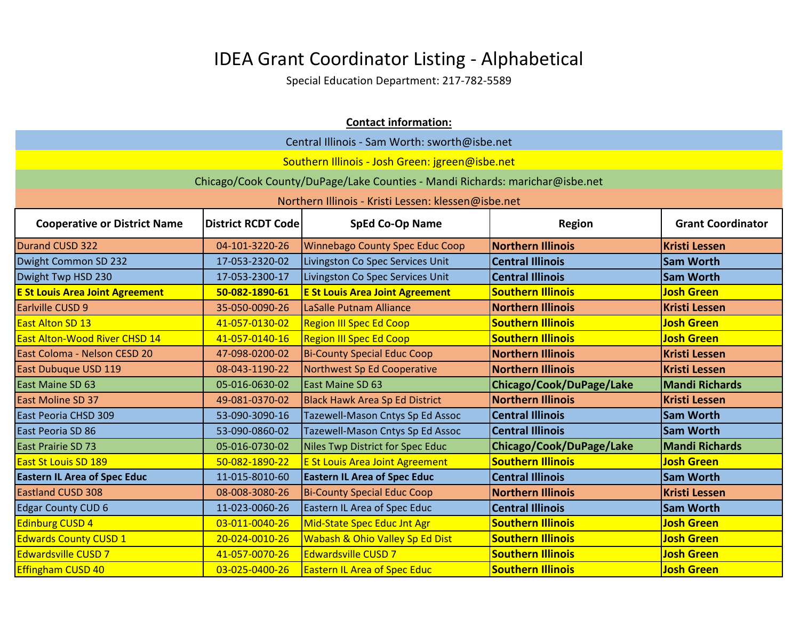| <b>Contact information:</b>                   |                                                                                                  |                                                                              |                          |                       |  |
|-----------------------------------------------|--------------------------------------------------------------------------------------------------|------------------------------------------------------------------------------|--------------------------|-----------------------|--|
| Central Illinois - Sam Worth: sworth@isbe.net |                                                                                                  |                                                                              |                          |                       |  |
|                                               |                                                                                                  | Southern Illinois - Josh Green: jgreen@isbe.net                              |                          |                       |  |
|                                               |                                                                                                  | Chicago/Cook County/DuPage/Lake Counties - Mandi Richards: marichar@isbe.net |                          |                       |  |
|                                               |                                                                                                  | Northern Illinois - Kristi Lessen: klessen@isbe.net                          |                          |                       |  |
| <b>Cooperative or District Name</b>           | <b>SpEd Co-Op Name</b><br><b>Grant Coordinator</b><br><b>District RCDT Code</b><br><b>Region</b> |                                                                              |                          |                       |  |
| Durand CUSD 322                               | 04-101-3220-26                                                                                   | <b>Winnebago County Spec Educ Coop</b>                                       | <b>Northern Illinois</b> | <b>Kristi Lessen</b>  |  |
| Dwight Common SD 232                          | 17-053-2320-02                                                                                   | Livingston Co Spec Services Unit                                             | <b>Central Illinois</b>  | <b>Sam Worth</b>      |  |
| Dwight Twp HSD 230                            | 17-053-2300-17                                                                                   | Livingston Co Spec Services Unit                                             | <b>Central Illinois</b>  | <b>Sam Worth</b>      |  |
| <b>E St Louis Area Joint Agreement</b>        | 50-082-1890-61                                                                                   | <b>E St Louis Area Joint Agreement</b>                                       | <b>Southern Illinois</b> | <b>Josh Green</b>     |  |
| Earlville CUSD 9                              | 35-050-0090-26                                                                                   | LaSalle Putnam Alliance                                                      | <b>Northern Illinois</b> | <b>Kristi Lessen</b>  |  |
| <b>East Alton SD 13</b>                       | 41-057-0130-02                                                                                   | <b>Region III Spec Ed Coop</b>                                               | <b>Southern Illinois</b> | <b>Josh Green</b>     |  |
| <b>East Alton-Wood River CHSD 14</b>          | 41-057-0140-16                                                                                   | <b>Region III Spec Ed Coop</b>                                               | <b>Southern Illinois</b> | <b>Josh Green</b>     |  |
| East Coloma - Nelson CESD 20                  | 47-098-0200-02                                                                                   | <b>Bi-County Special Educ Coop</b>                                           | <b>Northern Illinois</b> | <b>Kristi Lessen</b>  |  |
| East Dubuque USD 119                          | 08-043-1190-22                                                                                   | Northwest Sp Ed Cooperative                                                  | <b>Northern Illinois</b> | <b>Kristi Lessen</b>  |  |
| East Maine SD 63                              | 05-016-0630-02                                                                                   | East Maine SD 63                                                             | Chicago/Cook/DuPage/Lake | <b>Mandi Richards</b> |  |
| <b>East Moline SD 37</b>                      | 49-081-0370-02                                                                                   | <b>Black Hawk Area Sp Ed District</b>                                        | <b>Northern Illinois</b> | <b>Kristi Lessen</b>  |  |
| East Peoria CHSD 309                          | 53-090-3090-16                                                                                   | Tazewell-Mason Cntys Sp Ed Assoc                                             | <b>Central Illinois</b>  | <b>Sam Worth</b>      |  |
| East Peoria SD 86                             | 53-090-0860-02                                                                                   | Tazewell-Mason Cntys Sp Ed Assoc                                             | <b>Central Illinois</b>  | <b>Sam Worth</b>      |  |
| East Prairie SD 73                            | 05-016-0730-02                                                                                   | Niles Twp District for Spec Educ                                             | Chicago/Cook/DuPage/Lake | <b>Mandi Richards</b> |  |
| <b>East St Louis SD 189</b>                   | 50-082-1890-22                                                                                   | <b>E St Louis Area Joint Agreement</b>                                       | <b>Southern Illinois</b> | <b>Josh Green</b>     |  |
| <b>Eastern IL Area of Spec Educ</b>           | 11-015-8010-60                                                                                   | <b>Eastern IL Area of Spec Educ</b>                                          | <b>Central Illinois</b>  | <b>Sam Worth</b>      |  |
| <b>Eastland CUSD 308</b>                      | 08-008-3080-26                                                                                   | <b>Bi-County Special Educ Coop</b>                                           | <b>Northern Illinois</b> | <b>Kristi Lessen</b>  |  |
| <b>Edgar County CUD 6</b>                     | 11-023-0060-26                                                                                   | Eastern IL Area of Spec Educ                                                 | <b>Central Illinois</b>  | <b>Sam Worth</b>      |  |
| Edinburg CUSD 4                               | 03-011-0040-26                                                                                   | Mid-State Spec Educ Jnt Agr                                                  | <b>Southern Illinois</b> | <b>Josh Green</b>     |  |
| <b>Edwards County CUSD 1</b>                  | 20-024-0010-26                                                                                   | Wabash & Ohio Valley Sp Ed Dist                                              | <b>Southern Illinois</b> | <b>Josh Green</b>     |  |
| <b>Edwardsville CUSD 7</b>                    | 41-057-0070-26                                                                                   | <b>Edwardsville CUSD 7</b>                                                   | <b>Southern Illinois</b> | <b>Josh Green</b>     |  |
| <b>Effingham CUSD 40</b>                      | 03-025-0400-26                                                                                   | <b>Eastern IL Area of Spec Educ</b>                                          | <b>Southern Illinois</b> | <b>Josh Green</b>     |  |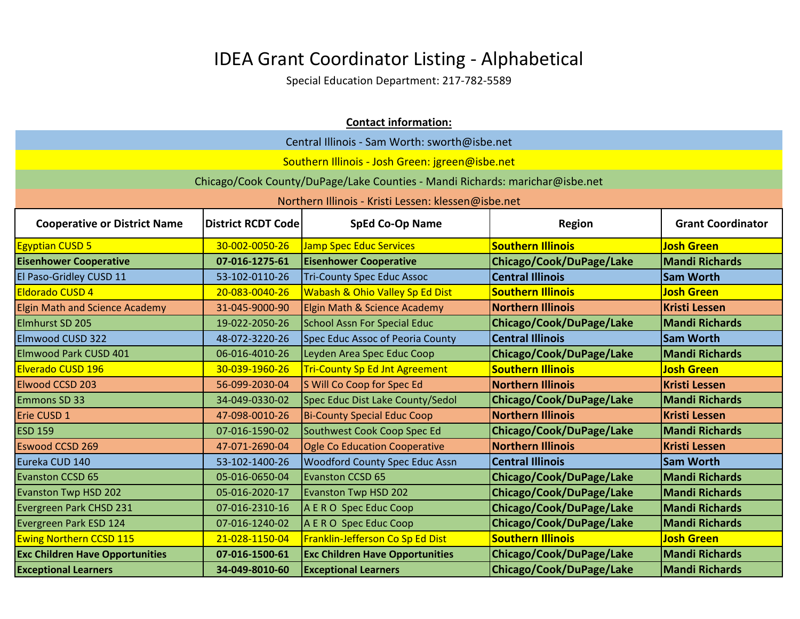| <b>Contact information:</b>                                                                                                             |                |                                                                              |                          |                       |
|-----------------------------------------------------------------------------------------------------------------------------------------|----------------|------------------------------------------------------------------------------|--------------------------|-----------------------|
|                                                                                                                                         |                | Central Illinois - Sam Worth: sworth@isbe.net                                |                          |                       |
|                                                                                                                                         |                | Southern Illinois - Josh Green: jgreen@isbe.net                              |                          |                       |
|                                                                                                                                         |                | Chicago/Cook County/DuPage/Lake Counties - Mandi Richards: marichar@isbe.net |                          |                       |
|                                                                                                                                         |                | Northern Illinois - Kristi Lessen: klessen@isbe.net                          |                          |                       |
| <b>District RCDT Code</b><br><b>SpEd Co-Op Name</b><br><b>Grant Coordinator</b><br><b>Cooperative or District Name</b><br><b>Region</b> |                |                                                                              |                          |                       |
| <b>Egyptian CUSD 5</b>                                                                                                                  | 30-002-0050-26 | <b>Jamp Spec Educ Services</b>                                               | <b>Southern Illinois</b> | <b>Josh Green</b>     |
| <b>Eisenhower Cooperative</b>                                                                                                           | 07-016-1275-61 | <b>Eisenhower Cooperative</b>                                                | Chicago/Cook/DuPage/Lake | <b>Mandi Richards</b> |
| El Paso-Gridley CUSD 11                                                                                                                 | 53-102-0110-26 | <b>Tri-County Spec Educ Assoc</b>                                            | <b>Central Illinois</b>  | <b>Sam Worth</b>      |
| <b>Eldorado CUSD 4</b>                                                                                                                  | 20-083-0040-26 | Wabash & Ohio Valley Sp Ed Dist                                              | <b>Southern Illinois</b> | <b>Josh Green</b>     |
| <b>Elgin Math and Science Academy</b>                                                                                                   | 31-045-9000-90 | Elgin Math & Science Academy                                                 | <b>Northern Illinois</b> | <b>Kristi Lessen</b>  |
| Elmhurst SD 205                                                                                                                         | 19-022-2050-26 | <b>School Assn For Special Educ</b>                                          | Chicago/Cook/DuPage/Lake | <b>Mandi Richards</b> |
| Elmwood CUSD 322                                                                                                                        | 48-072-3220-26 | Spec Educ Assoc of Peoria County                                             | <b>Central Illinois</b>  | <b>Sam Worth</b>      |
| Elmwood Park CUSD 401                                                                                                                   | 06-016-4010-26 | Leyden Area Spec Educ Coop                                                   | Chicago/Cook/DuPage/Lake | <b>Mandi Richards</b> |
| Elverado CUSD 196                                                                                                                       | 30-039-1960-26 | <b>Tri-County Sp Ed Jnt Agreement</b>                                        | <b>Southern Illinois</b> | <b>Josh Green</b>     |
| Elwood CCSD 203                                                                                                                         | 56-099-2030-04 | S Will Co Coop for Spec Ed                                                   | <b>Northern Illinois</b> | <b>Kristi Lessen</b>  |
| Emmons SD 33                                                                                                                            | 34-049-0330-02 | Spec Educ Dist Lake County/Sedol                                             | Chicago/Cook/DuPage/Lake | <b>Mandi Richards</b> |
| Erie CUSD 1                                                                                                                             | 47-098-0010-26 | <b>Bi-County Special Educ Coop</b>                                           | <b>Northern Illinois</b> | <b>Kristi Lessen</b>  |
| <b>ESD 159</b>                                                                                                                          | 07-016-1590-02 | Southwest Cook Coop Spec Ed                                                  | Chicago/Cook/DuPage/Lake | <b>Mandi Richards</b> |
| <b>Eswood CCSD 269</b>                                                                                                                  | 47-071-2690-04 | <b>Ogle Co Education Cooperative</b>                                         | <b>Northern Illinois</b> | <b>Kristi Lessen</b>  |
| Eureka CUD 140                                                                                                                          | 53-102-1400-26 | <b>Woodford County Spec Educ Assn</b>                                        | <b>Central Illinois</b>  | <b>Sam Worth</b>      |
| <b>Evanston CCSD 65</b>                                                                                                                 | 05-016-0650-04 | <b>Evanston CCSD 65</b>                                                      | Chicago/Cook/DuPage/Lake | <b>Mandi Richards</b> |
| <b>Evanston Twp HSD 202</b>                                                                                                             | 05-016-2020-17 | <b>Evanston Twp HSD 202</b>                                                  | Chicago/Cook/DuPage/Lake | <b>Mandi Richards</b> |
| Evergreen Park CHSD 231                                                                                                                 | 07-016-2310-16 | A E R O Spec Educ Coop                                                       | Chicago/Cook/DuPage/Lake | <b>Mandi Richards</b> |
| Evergreen Park ESD 124                                                                                                                  | 07-016-1240-02 | A E R O Spec Educ Coop                                                       | Chicago/Cook/DuPage/Lake | <b>Mandi Richards</b> |
| <b>Ewing Northern CCSD 115</b>                                                                                                          | 21-028-1150-04 | Franklin-Jefferson Co Sp Ed Dist                                             | <b>Southern Illinois</b> | <b>Josh Green</b>     |
| <b>Exc Children Have Opportunities</b>                                                                                                  | 07-016-1500-61 | <b>Exc Children Have Opportunities</b>                                       | Chicago/Cook/DuPage/Lake | <b>Mandi Richards</b> |
| <b>Exceptional Learners</b>                                                                                                             | 34-049-8010-60 | <b>Exceptional Learners</b>                                                  | Chicago/Cook/DuPage/Lake | <b>Mandi Richards</b> |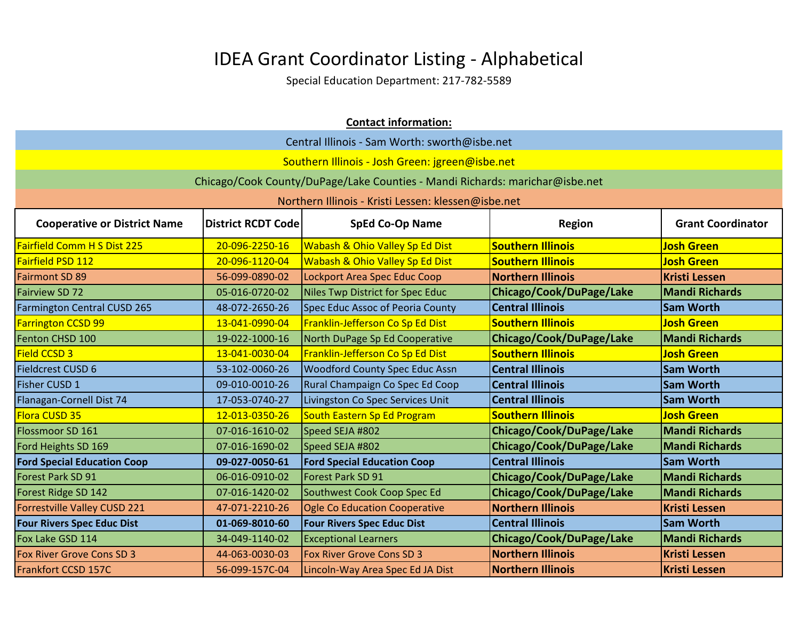| <b>Contact information:</b>         |                           |                                                                              |                          |                          |
|-------------------------------------|---------------------------|------------------------------------------------------------------------------|--------------------------|--------------------------|
|                                     |                           | Central Illinois - Sam Worth: sworth@isbe.net                                |                          |                          |
|                                     |                           | Southern Illinois - Josh Green: jgreen@isbe.net                              |                          |                          |
|                                     |                           | Chicago/Cook County/DuPage/Lake Counties - Mandi Richards: marichar@isbe.net |                          |                          |
|                                     |                           | Northern Illinois - Kristi Lessen: klessen@isbe.net                          |                          |                          |
|                                     |                           |                                                                              |                          |                          |
| <b>Cooperative or District Name</b> | <b>District RCDT Code</b> | <b>SpEd Co-Op Name</b>                                                       | <b>Region</b>            | <b>Grant Coordinator</b> |
| <b>Fairfield Comm H S Dist 225</b>  | 20-096-2250-16            | Wabash & Ohio Valley Sp Ed Dist                                              | <b>Southern Illinois</b> | <b>Josh Green</b>        |
| Fairfield PSD 112                   | 20-096-1120-04            | Wabash & Ohio Valley Sp Ed Dist                                              | <b>Southern Illinois</b> | <b>Josh Green</b>        |
| <b>Fairmont SD 89</b>               | 56-099-0890-02            | Lockport Area Spec Educ Coop                                                 | <b>Northern Illinois</b> | <b>Kristi Lessen</b>     |
| <b>Fairview SD 72</b>               | 05-016-0720-02            | Niles Twp District for Spec Educ                                             | Chicago/Cook/DuPage/Lake | <b>Mandi Richards</b>    |
| <b>Farmington Central CUSD 265</b>  | 48-072-2650-26            | Spec Educ Assoc of Peoria County                                             | <b>Central Illinois</b>  | <b>Sam Worth</b>         |
| <b>Farrington CCSD 99</b>           | 13-041-0990-04            | Franklin-Jefferson Co Sp Ed Dist                                             | <b>Southern Illinois</b> | <b>Josh Green</b>        |
| Fenton CHSD 100                     | 19-022-1000-16            | North DuPage Sp Ed Cooperative                                               | Chicago/Cook/DuPage/Lake | <b>Mandi Richards</b>    |
| <b>Field CCSD 3</b>                 | 13-041-0030-04            | Franklin-Jefferson Co Sp Ed Dist                                             | <b>Southern Illinois</b> | <b>Josh Green</b>        |
| <b>Fieldcrest CUSD 6</b>            | 53-102-0060-26            | <b>Woodford County Spec Educ Assn</b>                                        | <b>Central Illinois</b>  | <b>Sam Worth</b>         |
| Fisher CUSD 1                       | 09-010-0010-26            | Rural Champaign Co Spec Ed Coop                                              | <b>Central Illinois</b>  | <b>Sam Worth</b>         |
| Flanagan-Cornell Dist 74            | 17-053-0740-27            | Livingston Co Spec Services Unit                                             | <b>Central Illinois</b>  | <b>Sam Worth</b>         |
| Flora CUSD 35                       | 12-013-0350-26            | South Eastern Sp Ed Program                                                  | <b>Southern Illinois</b> | <b>Josh Green</b>        |
| Flossmoor SD 161                    | 07-016-1610-02            | Speed SEJA #802                                                              | Chicago/Cook/DuPage/Lake | <b>Mandi Richards</b>    |
| Ford Heights SD 169                 | 07-016-1690-02            | Speed SEJA #802                                                              | Chicago/Cook/DuPage/Lake | <b>Mandi Richards</b>    |
| <b>Ford Special Education Coop</b>  | 09-027-0050-61            | <b>Ford Special Education Coop</b>                                           | <b>Central Illinois</b>  | <b>Sam Worth</b>         |
| Forest Park SD 91                   | 06-016-0910-02            | Forest Park SD 91                                                            | Chicago/Cook/DuPage/Lake | <b>Mandi Richards</b>    |
| Forest Ridge SD 142                 | 07-016-1420-02            | Southwest Cook Coop Spec Ed                                                  | Chicago/Cook/DuPage/Lake | <b>Mandi Richards</b>    |
| <b>Forrestville Valley CUSD 221</b> | 47-071-2210-26            | Ogle Co Education Cooperative                                                | <b>Northern Illinois</b> | <b>Kristi Lessen</b>     |
| <b>Four Rivers Spec Educ Dist</b>   | 01-069-8010-60            | <b>Four Rivers Spec Educ Dist</b>                                            | <b>Central Illinois</b>  | <b>Sam Worth</b>         |
| Fox Lake GSD 114                    | 34-049-1140-02            | <b>Exceptional Learners</b>                                                  | Chicago/Cook/DuPage/Lake | <b>Mandi Richards</b>    |
| Fox River Grove Cons SD 3           | 44-063-0030-03            | <b>Fox River Grove Cons SD 3</b>                                             | <b>Northern Illinois</b> | <b>Kristi Lessen</b>     |
| Frankfort CCSD 157C                 | 56-099-157C-04            | Lincoln-Way Area Spec Ed JA Dist                                             | <b>Northern Illinois</b> | <b>Kristi Lessen</b>     |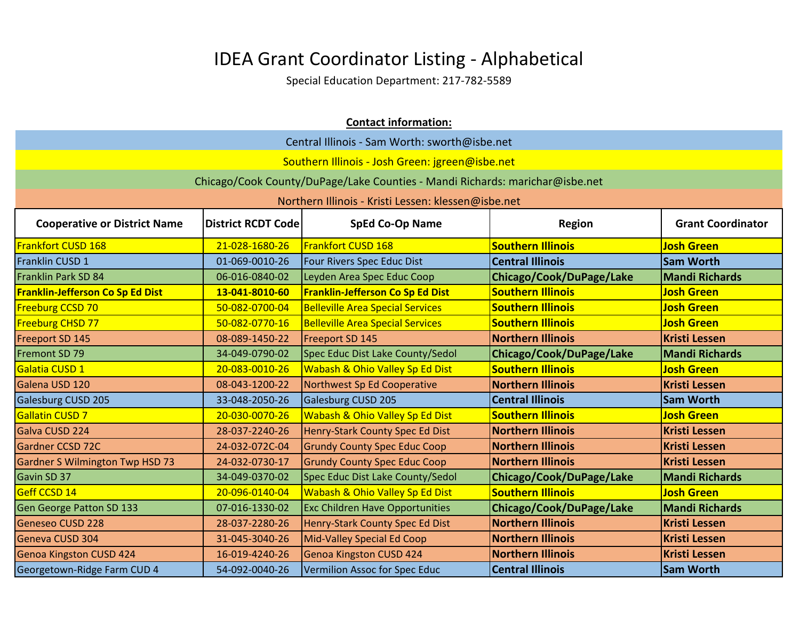|                                         |                                                                                           | <b>Contact information:</b>                                                  |                          |                       |  |
|-----------------------------------------|-------------------------------------------------------------------------------------------|------------------------------------------------------------------------------|--------------------------|-----------------------|--|
|                                         |                                                                                           | Central Illinois - Sam Worth: sworth@isbe.net                                |                          |                       |  |
|                                         |                                                                                           | Southern Illinois - Josh Green: jgreen@isbe.net                              |                          |                       |  |
|                                         |                                                                                           | Chicago/Cook County/DuPage/Lake Counties - Mandi Richards: marichar@isbe.net |                          |                       |  |
|                                         |                                                                                           | Northern Illinois - Kristi Lessen: klessen@isbe.net                          |                          |                       |  |
| <b>Cooperative or District Name</b>     | <b>Grant Coordinator</b><br><b>District RCDT Code</b><br><b>SpEd Co-Op Name</b><br>Region |                                                                              |                          |                       |  |
| Frankfort CUSD 168                      | 21-028-1680-26                                                                            | <b>Frankfort CUSD 168</b>                                                    | <b>Southern Illinois</b> | <b>Josh Green</b>     |  |
| Franklin CUSD 1                         | 01-069-0010-26                                                                            | Four Rivers Spec Educ Dist                                                   | <b>Central Illinois</b>  | <b>Sam Worth</b>      |  |
| <b>Franklin Park SD 84</b>              | 06-016-0840-02                                                                            | Leyden Area Spec Educ Coop                                                   | Chicago/Cook/DuPage/Lake | <b>Mandi Richards</b> |  |
| <b>Franklin-Jefferson Co Sp Ed Dist</b> | 13-041-8010-60                                                                            | <b>Franklin-Jefferson Co Sp Ed Dist</b>                                      | <b>Southern Illinois</b> | <b>Josh Green</b>     |  |
| <b>Freeburg CCSD 70</b>                 | 50-082-0700-04                                                                            | <b>Belleville Area Special Services</b>                                      | <b>Southern Illinois</b> | <b>Josh Green</b>     |  |
| <b>Freeburg CHSD 77</b>                 | 50-082-0770-16                                                                            | <b>Belleville Area Special Services</b>                                      | <b>Southern Illinois</b> | <b>Josh Green</b>     |  |
| Freeport SD 145                         | 08-089-1450-22                                                                            | Freeport SD 145                                                              | <b>Northern Illinois</b> | <b>Kristi Lessen</b>  |  |
| Fremont SD 79                           | 34-049-0790-02                                                                            | Spec Educ Dist Lake County/Sedol                                             | Chicago/Cook/DuPage/Lake | <b>Mandi Richards</b> |  |
| Galatia CUSD 1                          | 20-083-0010-26                                                                            | Wabash & Ohio Valley Sp Ed Dist                                              | <b>Southern Illinois</b> | <b>Josh Green</b>     |  |
| Galena USD 120                          | 08-043-1200-22                                                                            | Northwest Sp Ed Cooperative                                                  | <b>Northern Illinois</b> | <b>Kristi Lessen</b>  |  |
| Galesburg CUSD 205                      | 33-048-2050-26                                                                            | Galesburg CUSD 205                                                           | <b>Central Illinois</b>  | <b>Sam Worth</b>      |  |
| <b>Gallatin CUSD 7</b>                  | 20-030-0070-26                                                                            | <b>Wabash &amp; Ohio Valley Sp Ed Dist</b>                                   | <b>Southern Illinois</b> | <b>Josh Green</b>     |  |
| Galva CUSD 224                          | 28-037-2240-26                                                                            | Henry-Stark County Spec Ed Dist                                              | <b>Northern Illinois</b> | <b>Kristi Lessen</b>  |  |
| Gardner CCSD 72C                        | 24-032-072C-04                                                                            | <b>Grundy County Spec Educ Coop</b>                                          | <b>Northern Illinois</b> | <b>Kristi Lessen</b>  |  |
| <b>Gardner S Wilmington Twp HSD 73</b>  | 24-032-0730-17                                                                            | <b>Grundy County Spec Educ Coop</b>                                          | <b>Northern Illinois</b> | <b>Kristi Lessen</b>  |  |
| Gavin SD 37                             | 34-049-0370-02                                                                            | Spec Educ Dist Lake County/Sedol                                             | Chicago/Cook/DuPage/Lake | <b>Mandi Richards</b> |  |
| Geff CCSD <sub>14</sub>                 | 20-096-0140-04                                                                            | <b>Wabash &amp; Ohio Valley Sp Ed Dist</b>                                   | <b>Southern Illinois</b> | <b>Josh Green</b>     |  |
| <b>Gen George Patton SD 133</b>         | 07-016-1330-02                                                                            | <b>Exc Children Have Opportunities</b>                                       | Chicago/Cook/DuPage/Lake | <b>Mandi Richards</b> |  |
| <b>Geneseo CUSD 228</b>                 | 28-037-2280-26                                                                            | Henry-Stark County Spec Ed Dist                                              | <b>Northern Illinois</b> | <b>Kristi Lessen</b>  |  |
| Geneva CUSD 304                         | 31-045-3040-26                                                                            | <b>Mid-Valley Special Ed Coop</b>                                            | <b>Northern Illinois</b> | <b>Kristi Lessen</b>  |  |
| <b>Genoa Kingston CUSD 424</b>          | 16-019-4240-26                                                                            | <b>Genoa Kingston CUSD 424</b>                                               | <b>Northern Illinois</b> | <b>Kristi Lessen</b>  |  |
| Georgetown-Ridge Farm CUD 4             | 54-092-0040-26                                                                            | Vermilion Assoc for Spec Educ                                                | <b>Central Illinois</b>  | <b>Sam Worth</b>      |  |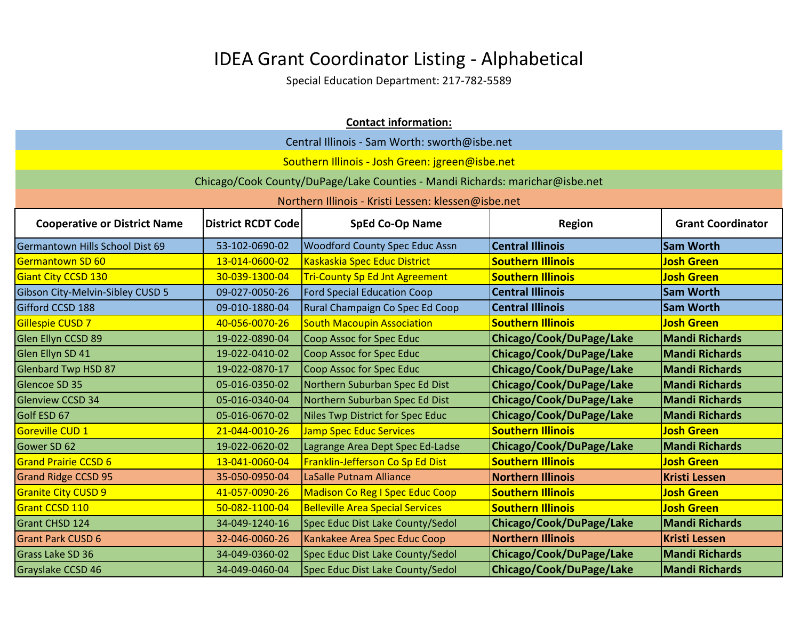| <b>Contact information:</b>         |                                                                                                  |                                                                              |                          |                       |  |  |
|-------------------------------------|--------------------------------------------------------------------------------------------------|------------------------------------------------------------------------------|--------------------------|-----------------------|--|--|
|                                     | Central Illinois - Sam Worth: sworth@isbe.net                                                    |                                                                              |                          |                       |  |  |
|                                     |                                                                                                  | Southern Illinois - Josh Green: jgreen@isbe.net                              |                          |                       |  |  |
|                                     |                                                                                                  | Chicago/Cook County/DuPage/Lake Counties - Mandi Richards: marichar@isbe.net |                          |                       |  |  |
|                                     |                                                                                                  | Northern Illinois - Kristi Lessen: klessen@isbe.net                          |                          |                       |  |  |
| <b>Cooperative or District Name</b> | <b>SpEd Co-Op Name</b><br><b>District RCDT Code</b><br><b>Grant Coordinator</b><br><b>Region</b> |                                                                              |                          |                       |  |  |
| Germantown Hills School Dist 69     | 53-102-0690-02                                                                                   | <b>Woodford County Spec Educ Assn</b>                                        | <b>Central Illinois</b>  | <b>Sam Worth</b>      |  |  |
| Germantown SD 60                    | 13-014-0600-02                                                                                   | Kaskaskia Spec Educ District                                                 | <b>Southern Illinois</b> | <b>Josh Green</b>     |  |  |
| Giant City CCSD 130                 | 30-039-1300-04                                                                                   | <b>Tri-County Sp Ed Jnt Agreement</b>                                        | <b>Southern Illinois</b> | <b>Josh Green</b>     |  |  |
| Gibson City-Melvin-Sibley CUSD 5    | 09-027-0050-26                                                                                   | <b>Ford Special Education Coop</b>                                           | <b>Central Illinois</b>  | <b>Sam Worth</b>      |  |  |
| Gifford CCSD 188                    | 09-010-1880-04                                                                                   | Rural Champaign Co Spec Ed Coop                                              | <b>Central Illinois</b>  | <b>Sam Worth</b>      |  |  |
| Gillespie CUSD 7                    | 40-056-0070-26                                                                                   | <b>South Macoupin Association</b>                                            | <b>Southern Illinois</b> | <b>Josh Green</b>     |  |  |
| Glen Ellyn CCSD 89                  | 19-022-0890-04                                                                                   | Coop Assoc for Spec Educ                                                     | Chicago/Cook/DuPage/Lake | <b>Mandi Richards</b> |  |  |
| Glen Ellyn SD 41                    | 19-022-0410-02                                                                                   | Coop Assoc for Spec Educ                                                     | Chicago/Cook/DuPage/Lake | <b>Mandi Richards</b> |  |  |
| <b>Glenbard Twp HSD 87</b>          | 19-022-0870-17                                                                                   | Coop Assoc for Spec Educ                                                     | Chicago/Cook/DuPage/Lake | <b>Mandi Richards</b> |  |  |
| Glencoe SD 35                       | 05-016-0350-02                                                                                   | Northern Suburban Spec Ed Dist                                               | Chicago/Cook/DuPage/Lake | <b>Mandi Richards</b> |  |  |
| <b>Glenview CCSD 34</b>             | 05-016-0340-04                                                                                   | Northern Suburban Spec Ed Dist                                               | Chicago/Cook/DuPage/Lake | <b>Mandi Richards</b> |  |  |
| Golf ESD 67                         | 05-016-0670-02                                                                                   | Niles Twp District for Spec Educ                                             | Chicago/Cook/DuPage/Lake | <b>Mandi Richards</b> |  |  |
| <b>Goreville CUD 1</b>              | 21-044-0010-26                                                                                   | <b>Jamp Spec Educ Services</b>                                               | <b>Southern Illinois</b> | <b>Josh Green</b>     |  |  |
| Gower SD 62                         | 19-022-0620-02                                                                                   | Lagrange Area Dept Spec Ed-Ladse                                             | Chicago/Cook/DuPage/Lake | <b>Mandi Richards</b> |  |  |
| <b>Grand Prairie CCSD 6</b>         | 13-041-0060-04                                                                                   | Franklin-Jefferson Co Sp Ed Dist                                             | <b>Southern Illinois</b> | <b>Josh Green</b>     |  |  |
| <b>Grand Ridge CCSD 95</b>          | 35-050-0950-04                                                                                   | LaSalle Putnam Alliance                                                      | <b>Northern Illinois</b> | <b>Kristi Lessen</b>  |  |  |
| <b>Granite City CUSD 9</b>          | 41-057-0090-26                                                                                   | <b>Madison Co Reg I Spec Educ Coop</b>                                       | <b>Southern Illinois</b> | <b>Josh Green</b>     |  |  |
| Grant CCSD 110                      | 50-082-1100-04                                                                                   | <b>Belleville Area Special Services</b>                                      | <b>Southern Illinois</b> | <b>Josh Green</b>     |  |  |
| <b>Grant CHSD 124</b>               | 34-049-1240-16                                                                                   | Spec Educ Dist Lake County/Sedol                                             | Chicago/Cook/DuPage/Lake | <b>Mandi Richards</b> |  |  |
| <b>Grant Park CUSD 6</b>            | 32-046-0060-26                                                                                   | Kankakee Area Spec Educ Coop                                                 | <b>Northern Illinois</b> | <b>Kristi Lessen</b>  |  |  |
| <b>Grass Lake SD 36</b>             | 34-049-0360-02                                                                                   | Spec Educ Dist Lake County/Sedol                                             | Chicago/Cook/DuPage/Lake | <b>Mandi Richards</b> |  |  |
| Grayslake CCSD 46                   | 34-049-0460-04                                                                                   | Spec Educ Dist Lake County/Sedol                                             | Chicago/Cook/DuPage/Lake | <b>Mandi Richards</b> |  |  |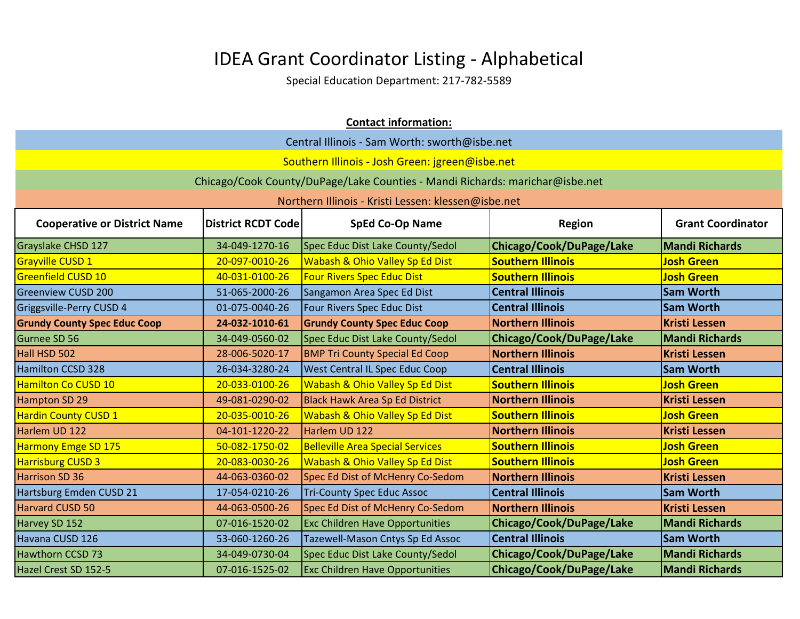| <b>Contact information:</b>         |                           |                                                                              |                          |                          |
|-------------------------------------|---------------------------|------------------------------------------------------------------------------|--------------------------|--------------------------|
|                                     |                           | Central Illinois - Sam Worth: sworth@isbe.net                                |                          |                          |
|                                     |                           | Southern Illinois - Josh Green: jgreen@isbe.net                              |                          |                          |
|                                     |                           | Chicago/Cook County/DuPage/Lake Counties - Mandi Richards: marichar@isbe.net |                          |                          |
|                                     |                           | Northern Illinois - Kristi Lessen: klessen@isbe.net                          |                          |                          |
| <b>Cooperative or District Name</b> | <b>District RCDT Code</b> | <b>SpEd Co-Op Name</b>                                                       | <b>Region</b>            | <b>Grant Coordinator</b> |
| Grayslake CHSD 127                  | 34-049-1270-16            | Spec Educ Dist Lake County/Sedol                                             | Chicago/Cook/DuPage/Lake | <b>Mandi Richards</b>    |
| Grayville CUSD 1                    | 20-097-0010-26            | Wabash & Ohio Valley Sp Ed Dist                                              | <b>Southern Illinois</b> | <b>Josh Green</b>        |
| <b>Greenfield CUSD 10</b>           | 40-031-0100-26            | <b>Four Rivers Spec Educ Dist</b>                                            | <b>Southern Illinois</b> | <b>Josh Green</b>        |
| <b>Greenview CUSD 200</b>           | 51-065-2000-26            | Sangamon Area Spec Ed Dist                                                   | <b>Central Illinois</b>  | <b>Sam Worth</b>         |
| Griggsville-Perry CUSD 4            | 01-075-0040-26            | Four Rivers Spec Educ Dist                                                   | <b>Central Illinois</b>  | <b>Sam Worth</b>         |
| <b>Grundy County Spec Educ Coop</b> | 24-032-1010-61            | <b>Grundy County Spec Educ Coop</b>                                          | <b>Northern Illinois</b> | <b>Kristi Lessen</b>     |
| Gurnee SD 56                        | 34-049-0560-02            | Spec Educ Dist Lake County/Sedol                                             | Chicago/Cook/DuPage/Lake | <b>Mandi Richards</b>    |
| Hall HSD 502                        | 28-006-5020-17            | <b>BMP Tri County Special Ed Coop</b>                                        | <b>Northern Illinois</b> | <b>Kristi Lessen</b>     |
| <b>Hamilton CCSD 328</b>            | 26-034-3280-24            | <b>West Central IL Spec Educ Coop</b>                                        | <b>Central Illinois</b>  | <b>Sam Worth</b>         |
| <b>Hamilton Co CUSD 10</b>          | 20-033-0100-26            | <b>Wabash &amp; Ohio Valley Sp Ed Dist</b>                                   | <b>Southern Illinois</b> | <b>Josh Green</b>        |
| Hampton SD 29                       | 49-081-0290-02            | <b>Black Hawk Area Sp Ed District</b>                                        | <b>Northern Illinois</b> | <b>Kristi Lessen</b>     |
| <b>Hardin County CUSD 1</b>         | 20-035-0010-26            | Wabash & Ohio Valley Sp Ed Dist                                              | <b>Southern Illinois</b> | <b>Josh Green</b>        |
| Harlem UD 122                       | 04-101-1220-22            | Harlem UD 122                                                                | <b>Northern Illinois</b> | <b>Kristi Lessen</b>     |
| <b>Harmony Emge SD 175</b>          | 50-082-1750-02            | <b>Belleville Area Special Services</b>                                      | <b>Southern Illinois</b> | <b>Josh Green</b>        |
| <b>Harrisburg CUSD 3</b>            | 20-083-0030-26            | <b>Wabash &amp; Ohio Valley Sp Ed Dist</b>                                   | <b>Southern Illinois</b> | <b>Josh Green</b>        |
| Harrison SD 36                      | 44-063-0360-02            | Spec Ed Dist of McHenry Co-Sedom                                             | <b>Northern Illinois</b> | <b>Kristi Lessen</b>     |
| Hartsburg Emden CUSD 21             | 17-054-0210-26            | <b>Tri-County Spec Educ Assoc</b>                                            | <b>Central Illinois</b>  | <b>Sam Worth</b>         |
| Harvard CUSD 50                     | 44-063-0500-26            | Spec Ed Dist of McHenry Co-Sedom                                             | <b>Northern Illinois</b> | <b>Kristi Lessen</b>     |
| Harvey SD 152                       | 07-016-1520-02            | <b>Exc Children Have Opportunities</b>                                       | Chicago/Cook/DuPage/Lake | <b>Mandi Richards</b>    |
| Havana CUSD 126                     | 53-060-1260-26            | Tazewell-Mason Cntys Sp Ed Assoc                                             | <b>Central Illinois</b>  | <b>Sam Worth</b>         |
| <b>Hawthorn CCSD 73</b>             | 34-049-0730-04            | Spec Educ Dist Lake County/Sedol                                             | Chicago/Cook/DuPage/Lake | <b>Mandi Richards</b>    |
| Hazel Crest SD 152-5                | 07-016-1525-02            | <b>Exc Children Have Opportunities</b>                                       | Chicago/Cook/DuPage/Lake | <b>Mandi Richards</b>    |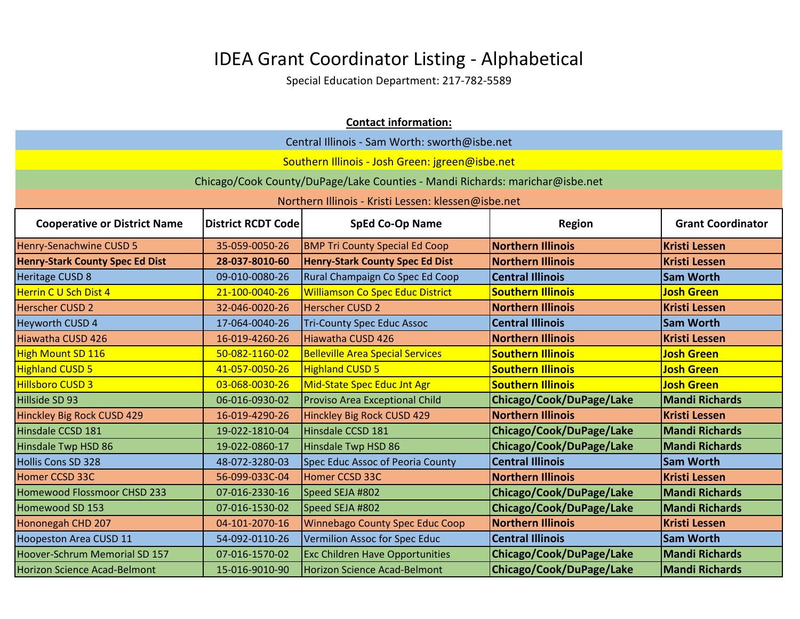|                                                                                                                                         |                | <b>Contact information:</b>                                                  |                          |                       |  |
|-----------------------------------------------------------------------------------------------------------------------------------------|----------------|------------------------------------------------------------------------------|--------------------------|-----------------------|--|
|                                                                                                                                         |                | Central Illinois - Sam Worth: sworth@isbe.net                                |                          |                       |  |
|                                                                                                                                         |                | Southern Illinois - Josh Green: jgreen@isbe.net                              |                          |                       |  |
|                                                                                                                                         |                | Chicago/Cook County/DuPage/Lake Counties - Mandi Richards: marichar@isbe.net |                          |                       |  |
|                                                                                                                                         |                | Northern Illinois - Kristi Lessen: klessen@isbe.net                          |                          |                       |  |
| <b>District RCDT Code</b><br><b>SpEd Co-Op Name</b><br><b>Grant Coordinator</b><br><b>Cooperative or District Name</b><br><b>Region</b> |                |                                                                              |                          |                       |  |
| Henry-Senachwine CUSD 5                                                                                                                 | 35-059-0050-26 | <b>BMP Tri County Special Ed Coop</b>                                        | <b>Northern Illinois</b> | <b>Kristi Lessen</b>  |  |
| <b>Henry-Stark County Spec Ed Dist</b>                                                                                                  | 28-037-8010-60 | <b>Henry-Stark County Spec Ed Dist</b>                                       | <b>Northern Illinois</b> | <b>Kristi Lessen</b>  |  |
| Heritage CUSD 8                                                                                                                         | 09-010-0080-26 | Rural Champaign Co Spec Ed Coop                                              | <b>Central Illinois</b>  | <b>Sam Worth</b>      |  |
| <b>Herrin C U Sch Dist 4</b>                                                                                                            | 21-100-0040-26 | <b>Williamson Co Spec Educ District</b>                                      | <b>Southern Illinois</b> | <b>Josh Green</b>     |  |
| <b>Herscher CUSD 2</b>                                                                                                                  | 32-046-0020-26 | <b>Herscher CUSD 2</b>                                                       | <b>Northern Illinois</b> | <b>Kristi Lessen</b>  |  |
| <b>Heyworth CUSD 4</b>                                                                                                                  | 17-064-0040-26 | <b>Tri-County Spec Educ Assoc</b>                                            | <b>Central Illinois</b>  | <b>Sam Worth</b>      |  |
| Hiawatha CUSD 426                                                                                                                       | 16-019-4260-26 | Hiawatha CUSD 426                                                            | <b>Northern Illinois</b> | <b>Kristi Lessen</b>  |  |
| High Mount SD 116                                                                                                                       | 50-082-1160-02 | <b>Belleville Area Special Services</b>                                      | <b>Southern Illinois</b> | <b>Josh Green</b>     |  |
| <b>Highland CUSD 5</b>                                                                                                                  | 41-057-0050-26 | <b>Highland CUSD 5</b>                                                       | <b>Southern Illinois</b> | <b>Josh Green</b>     |  |
| <b>Hillsboro CUSD 3</b>                                                                                                                 | 03-068-0030-26 | Mid-State Spec Educ Jnt Agr                                                  | <b>Southern Illinois</b> | <b>Josh Green</b>     |  |
| Hillside SD 93                                                                                                                          | 06-016-0930-02 | <b>Proviso Area Exceptional Child</b>                                        | Chicago/Cook/DuPage/Lake | <b>Mandi Richards</b> |  |
| Hinckley Big Rock CUSD 429                                                                                                              | 16-019-4290-26 | Hinckley Big Rock CUSD 429                                                   | <b>Northern Illinois</b> | <b>Kristi Lessen</b>  |  |
| Hinsdale CCSD 181                                                                                                                       | 19-022-1810-04 | Hinsdale CCSD 181                                                            | Chicago/Cook/DuPage/Lake | <b>Mandi Richards</b> |  |
| Hinsdale Twp HSD 86                                                                                                                     | 19-022-0860-17 | Hinsdale Twp HSD 86                                                          | Chicago/Cook/DuPage/Lake | <b>Mandi Richards</b> |  |
| <b>Hollis Cons SD 328</b>                                                                                                               | 48-072-3280-03 | Spec Educ Assoc of Peoria County                                             | <b>Central Illinois</b>  | <b>Sam Worth</b>      |  |
| Homer CCSD 33C                                                                                                                          | 56-099-033C-04 | Homer CCSD 33C                                                               | <b>Northern Illinois</b> | <b>Kristi Lessen</b>  |  |
| Homewood Flossmoor CHSD 233                                                                                                             | 07-016-2330-16 | Speed SEJA #802                                                              | Chicago/Cook/DuPage/Lake | <b>Mandi Richards</b> |  |
| Homewood SD 153                                                                                                                         | 07-016-1530-02 | Speed SEJA #802                                                              | Chicago/Cook/DuPage/Lake | <b>Mandi Richards</b> |  |
| Hononegah CHD 207                                                                                                                       | 04-101-2070-16 | <b>Winnebago County Spec Educ Coop</b>                                       | <b>Northern Illinois</b> | <b>Kristi Lessen</b>  |  |
| <b>Hoopeston Area CUSD 11</b>                                                                                                           | 54-092-0110-26 | Vermilion Assoc for Spec Educ                                                | <b>Central Illinois</b>  | <b>Sam Worth</b>      |  |
| Hoover-Schrum Memorial SD 157                                                                                                           | 07-016-1570-02 | <b>Exc Children Have Opportunities</b>                                       | Chicago/Cook/DuPage/Lake | <b>Mandi Richards</b> |  |
| <b>Horizon Science Acad-Belmont</b>                                                                                                     | 15-016-9010-90 | <b>Horizon Science Acad-Belmont</b>                                          | Chicago/Cook/DuPage/Lake | <b>Mandi Richards</b> |  |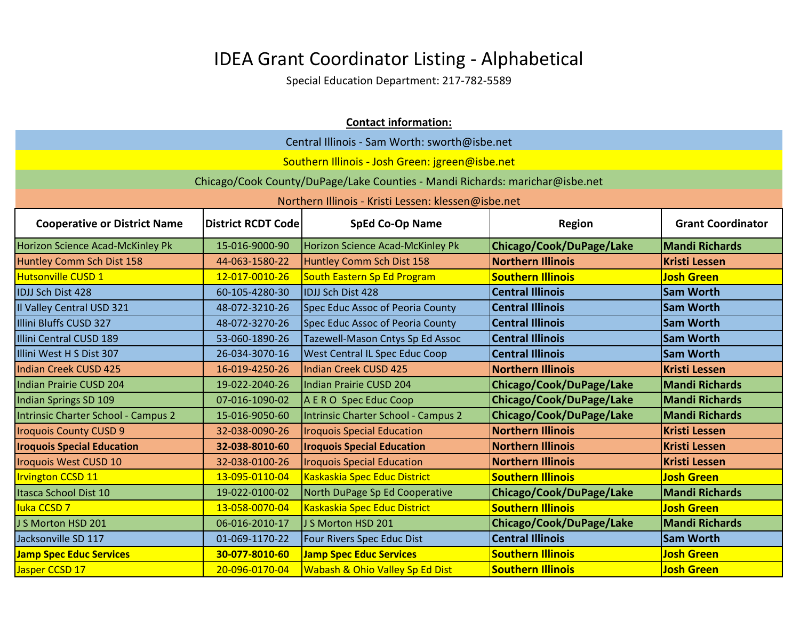|                                     | <b>Contact information:</b>                                                                      |                                                                              |                          |                       |  |
|-------------------------------------|--------------------------------------------------------------------------------------------------|------------------------------------------------------------------------------|--------------------------|-----------------------|--|
|                                     |                                                                                                  | Central Illinois - Sam Worth: sworth@isbe.net                                |                          |                       |  |
|                                     |                                                                                                  | Southern Illinois - Josh Green: jgreen@isbe.net                              |                          |                       |  |
|                                     |                                                                                                  | Chicago/Cook County/DuPage/Lake Counties - Mandi Richards: marichar@isbe.net |                          |                       |  |
|                                     |                                                                                                  | Northern Illinois - Kristi Lessen: klessen@isbe.net                          |                          |                       |  |
| <b>Cooperative or District Name</b> | <b>SpEd Co-Op Name</b><br><b>Grant Coordinator</b><br><b>District RCDT Code</b><br><b>Region</b> |                                                                              |                          |                       |  |
| Horizon Science Acad-McKinley Pk    | 15-016-9000-90                                                                                   | Horizon Science Acad-McKinley Pk                                             | Chicago/Cook/DuPage/Lake | <b>Mandi Richards</b> |  |
| Huntley Comm Sch Dist 158           | 44-063-1580-22                                                                                   | Huntley Comm Sch Dist 158                                                    | <b>Northern Illinois</b> | <b>Kristi Lessen</b>  |  |
| Hutsonville CUSD 1                  | 12-017-0010-26                                                                                   | South Eastern Sp Ed Program                                                  | <b>Southern Illinois</b> | <b>Josh Green</b>     |  |
| IDJJ Sch Dist 428                   | 60-105-4280-30                                                                                   | <b>IDJJ Sch Dist 428</b>                                                     | <b>Central Illinois</b>  | <b>Sam Worth</b>      |  |
| Il Valley Central USD 321           | 48-072-3210-26                                                                                   | Spec Educ Assoc of Peoria County                                             | <b>Central Illinois</b>  | <b>Sam Worth</b>      |  |
| Illini Bluffs CUSD 327              | 48-072-3270-26                                                                                   | Spec Educ Assoc of Peoria County                                             | <b>Central Illinois</b>  | <b>Sam Worth</b>      |  |
| Illini Central CUSD 189             | 53-060-1890-26                                                                                   | Tazewell-Mason Cntys Sp Ed Assoc                                             | <b>Central Illinois</b>  | <b>Sam Worth</b>      |  |
| Illini West H S Dist 307            | 26-034-3070-16                                                                                   | <b>West Central IL Spec Educ Coop</b>                                        | <b>Central Illinois</b>  | <b>Sam Worth</b>      |  |
| Indian Creek CUSD 425               | 16-019-4250-26                                                                                   | Indian Creek CUSD 425                                                        | <b>Northern Illinois</b> | <b>Kristi Lessen</b>  |  |
| Indian Prairie CUSD 204             | 19-022-2040-26                                                                                   | Indian Prairie CUSD 204                                                      | Chicago/Cook/DuPage/Lake | <b>Mandi Richards</b> |  |
| <b>Indian Springs SD 109</b>        | 07-016-1090-02                                                                                   | A E R O Spec Educ Coop                                                       | Chicago/Cook/DuPage/Lake | <b>Mandi Richards</b> |  |
| Intrinsic Charter School - Campus 2 | 15-016-9050-60                                                                                   | Intrinsic Charter School - Campus 2                                          | Chicago/Cook/DuPage/Lake | <b>Mandi Richards</b> |  |
| <b>Iroquois County CUSD 9</b>       | 32-038-0090-26                                                                                   | <b>Iroquois Special Education</b>                                            | <b>Northern Illinois</b> | <b>Kristi Lessen</b>  |  |
| <b>Iroquois Special Education</b>   | 32-038-8010-60                                                                                   | <b>Iroquois Special Education</b>                                            | <b>Northern Illinois</b> | <b>Kristi Lessen</b>  |  |
| <b>Iroquois West CUSD 10</b>        | 32-038-0100-26                                                                                   | <b>Iroquois Special Education</b>                                            | <b>Northern Illinois</b> | <b>Kristi Lessen</b>  |  |
| <b>Irvington CCSD 11</b>            | 13-095-0110-04                                                                                   | Kaskaskia Spec Educ District                                                 | <b>Southern Illinois</b> | <b>Josh Green</b>     |  |
| Itasca School Dist 10               | 19-022-0100-02                                                                                   | North DuPage Sp Ed Cooperative                                               | Chicago/Cook/DuPage/Lake | <b>Mandi Richards</b> |  |
| <b>luka CCSD 7</b>                  | 13-058-0070-04                                                                                   | Kaskaskia Spec Educ District                                                 | <b>Southern Illinois</b> | <b>Josh Green</b>     |  |
| J S Morton HSD 201                  | 06-016-2010-17                                                                                   | J S Morton HSD 201                                                           | Chicago/Cook/DuPage/Lake | <b>Mandi Richards</b> |  |
| Jacksonville SD 117                 | 01-069-1170-22                                                                                   | Four Rivers Spec Educ Dist                                                   | <b>Central Illinois</b>  | <b>Sam Worth</b>      |  |
| <b>Jamp Spec Educ Services</b>      | 30-077-8010-60                                                                                   | <b>Jamp Spec Educ Services</b>                                               | <b>Southern Illinois</b> | <b>Josh Green</b>     |  |
| Jasper CCSD 17                      | 20-096-0170-04                                                                                   | <b>Wabash &amp; Ohio Valley Sp Ed Dist</b>                                   | <b>Southern Illinois</b> | <b>Josh Green</b>     |  |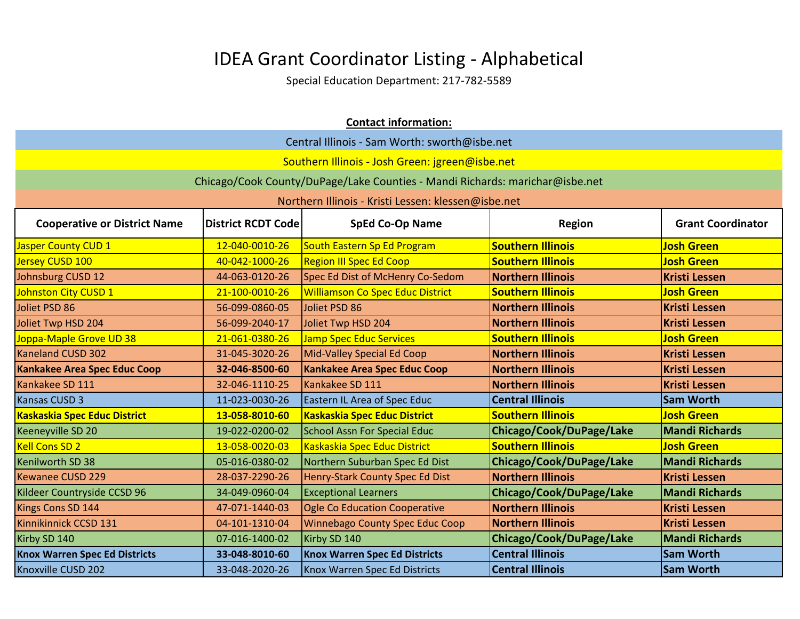| <b>Contact information:</b>          |                                               |                                                                              |                          |                          |
|--------------------------------------|-----------------------------------------------|------------------------------------------------------------------------------|--------------------------|--------------------------|
|                                      | Central Illinois - Sam Worth: sworth@isbe.net |                                                                              |                          |                          |
|                                      |                                               | Southern Illinois - Josh Green: jgreen@isbe.net                              |                          |                          |
|                                      |                                               | Chicago/Cook County/DuPage/Lake Counties - Mandi Richards: marichar@isbe.net |                          |                          |
|                                      |                                               | Northern Illinois - Kristi Lessen: klessen@isbe.net                          |                          |                          |
| <b>Cooperative or District Name</b>  | <b>District RCDT Code</b>                     | <b>SpEd Co-Op Name</b>                                                       | <b>Region</b>            | <b>Grant Coordinator</b> |
| Jasper County CUD 1                  | 12-040-0010-26                                | South Eastern Sp Ed Program                                                  | <b>Southern Illinois</b> | <b>Josh Green</b>        |
| Jersey CUSD 100                      | 40-042-1000-26                                | <b>Region III Spec Ed Coop</b>                                               | <b>Southern Illinois</b> | <b>Josh Green</b>        |
| Johnsburg CUSD 12                    | 44-063-0120-26                                | Spec Ed Dist of McHenry Co-Sedom                                             | <b>Northern Illinois</b> | <b>Kristi Lessen</b>     |
| Johnston City CUSD 1                 | 21-100-0010-26                                | <b>Williamson Co Spec Educ District</b>                                      | <b>Southern Illinois</b> | <b>Josh Green</b>        |
| Joliet PSD 86                        | 56-099-0860-05                                | Joliet PSD 86                                                                | <b>Northern Illinois</b> | <b>Kristi Lessen</b>     |
| Joliet Twp HSD 204                   | 56-099-2040-17                                | Joliet Twp HSD 204                                                           | <b>Northern Illinois</b> | <b>Kristi Lessen</b>     |
| Joppa-Maple Grove UD 38              | 21-061-0380-26                                | <b>Jamp Spec Educ Services</b>                                               | <b>Southern Illinois</b> | <b>Josh Green</b>        |
| Kaneland CUSD 302                    | 31-045-3020-26                                | Mid-Valley Special Ed Coop                                                   | <b>Northern Illinois</b> | <b>Kristi Lessen</b>     |
| Kankakee Area Spec Educ Coop         | 32-046-8500-60                                | <b>Kankakee Area Spec Educ Coop</b>                                          | <b>Northern Illinois</b> | <b>Kristi Lessen</b>     |
| Kankakee SD 111                      | 32-046-1110-25                                | Kankakee SD 111                                                              | <b>Northern Illinois</b> | <b>Kristi Lessen</b>     |
| Kansas CUSD 3                        | 11-023-0030-26                                | <b>Eastern IL Area of Spec Educ</b>                                          | <b>Central Illinois</b>  | <b>Sam Worth</b>         |
| <b>Kaskaskia Spec Educ District</b>  | 13-058-8010-60                                | <b>Kaskaskia Spec Educ District</b>                                          | <b>Southern Illinois</b> | <b>Josh Green</b>        |
| Keeneyville SD 20                    | 19-022-0200-02                                | <b>School Assn For Special Educ</b>                                          | Chicago/Cook/DuPage/Lake | <b>Mandi Richards</b>    |
| <b>Kell Cons SD 2</b>                | 13-058-0020-03                                | Kaskaskia Spec Educ District                                                 | <b>Southern Illinois</b> | <b>Josh Green</b>        |
| Kenilworth SD 38                     | 05-016-0380-02                                | Northern Suburban Spec Ed Dist                                               | Chicago/Cook/DuPage/Lake | <b>Mandi Richards</b>    |
| Kewanee CUSD 229                     | 28-037-2290-26                                | Henry-Stark County Spec Ed Dist                                              | <b>Northern Illinois</b> | <b>Kristi Lessen</b>     |
| Kildeer Countryside CCSD 96          | 34-049-0960-04                                | <b>Exceptional Learners</b>                                                  | Chicago/Cook/DuPage/Lake | <b>Mandi Richards</b>    |
| Kings Cons SD 144                    | 47-071-1440-03                                | <b>Ogle Co Education Cooperative</b>                                         | <b>Northern Illinois</b> | <b>Kristi Lessen</b>     |
| Kinnikinnick CCSD 131                | 04-101-1310-04                                | <b>Winnebago County Spec Educ Coop</b>                                       | <b>Northern Illinois</b> | <b>Kristi Lessen</b>     |
| Kirby SD 140                         | 07-016-1400-02                                | Kirby SD 140                                                                 | Chicago/Cook/DuPage/Lake | <b>Mandi Richards</b>    |
| <b>Knox Warren Spec Ed Districts</b> | 33-048-8010-60                                | <b>Knox Warren Spec Ed Districts</b>                                         | <b>Central Illinois</b>  | <b>Sam Worth</b>         |
| Knoxville CUSD 202                   | 33-048-2020-26                                | <b>Knox Warren Spec Ed Districts</b>                                         | <b>Central Illinois</b>  | <b>Sam Worth</b>         |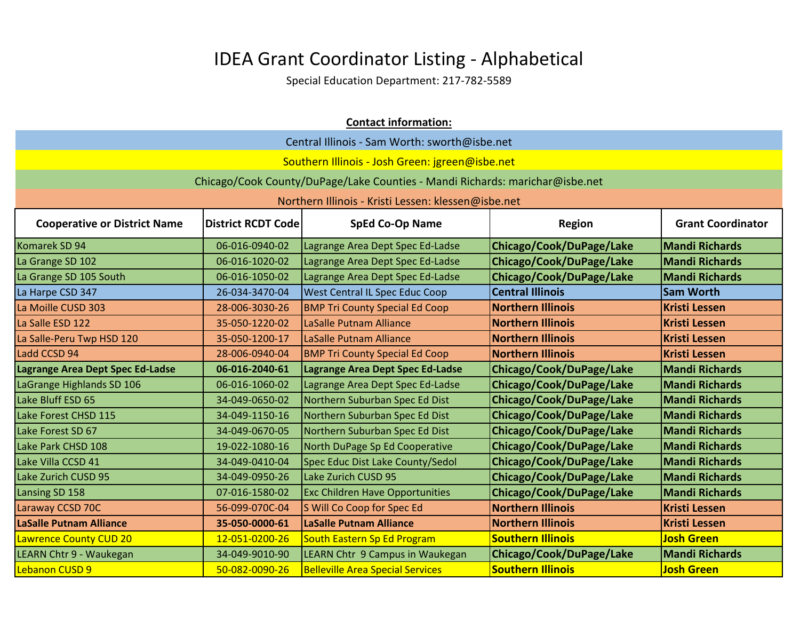| <b>Contact information:</b>         |                                               |                                                                              |                          |                          |  |
|-------------------------------------|-----------------------------------------------|------------------------------------------------------------------------------|--------------------------|--------------------------|--|
|                                     | Central Illinois - Sam Worth: sworth@isbe.net |                                                                              |                          |                          |  |
|                                     |                                               | Southern Illinois - Josh Green: jgreen@isbe.net                              |                          |                          |  |
|                                     |                                               | Chicago/Cook County/DuPage/Lake Counties - Mandi Richards: marichar@isbe.net |                          |                          |  |
|                                     |                                               | Northern Illinois - Kristi Lessen: klessen@isbe.net                          |                          |                          |  |
|                                     |                                               |                                                                              |                          |                          |  |
| <b>Cooperative or District Name</b> | <b>District RCDT Code</b>                     | <b>SpEd Co-Op Name</b>                                                       | <b>Region</b>            | <b>Grant Coordinator</b> |  |
| Komarek SD 94                       | 06-016-0940-02                                | Lagrange Area Dept Spec Ed-Ladse                                             | Chicago/Cook/DuPage/Lake | <b>Mandi Richards</b>    |  |
| La Grange SD 102                    | 06-016-1020-02                                | Lagrange Area Dept Spec Ed-Ladse                                             | Chicago/Cook/DuPage/Lake | <b>Mandi Richards</b>    |  |
| La Grange SD 105 South              | 06-016-1050-02                                | Lagrange Area Dept Spec Ed-Ladse                                             | Chicago/Cook/DuPage/Lake | <b>Mandi Richards</b>    |  |
| La Harpe CSD 347                    | 26-034-3470-04                                | <b>West Central IL Spec Educ Coop</b>                                        | <b>Central Illinois</b>  | <b>Sam Worth</b>         |  |
| La Moille CUSD 303                  | 28-006-3030-26                                | <b>BMP Tri County Special Ed Coop</b>                                        | <b>Northern Illinois</b> | <b>Kristi Lessen</b>     |  |
| La Salle ESD 122                    | 35-050-1220-02                                | LaSalle Putnam Alliance                                                      | <b>Northern Illinois</b> | <b>Kristi Lessen</b>     |  |
| La Salle-Peru Twp HSD 120           | 35-050-1200-17                                | LaSalle Putnam Alliance                                                      | <b>Northern Illinois</b> | <b>Kristi Lessen</b>     |  |
| Ladd CCSD 94                        | 28-006-0940-04                                | <b>BMP Tri County Special Ed Coop</b>                                        | <b>Northern Illinois</b> | <b>Kristi Lessen</b>     |  |
| Lagrange Area Dept Spec Ed-Ladse    | 06-016-2040-61                                | Lagrange Area Dept Spec Ed-Ladse                                             | Chicago/Cook/DuPage/Lake | <b>Mandi Richards</b>    |  |
| LaGrange Highlands SD 106           | 06-016-1060-02                                | Lagrange Area Dept Spec Ed-Ladse                                             | Chicago/Cook/DuPage/Lake | <b>Mandi Richards</b>    |  |
| Lake Bluff ESD 65                   | 34-049-0650-02                                | Northern Suburban Spec Ed Dist                                               | Chicago/Cook/DuPage/Lake | <b>Mandi Richards</b>    |  |
| Lake Forest CHSD 115                | 34-049-1150-16                                | Northern Suburban Spec Ed Dist                                               | Chicago/Cook/DuPage/Lake | <b>Mandi Richards</b>    |  |
| Lake Forest SD 67                   | 34-049-0670-05                                | Northern Suburban Spec Ed Dist                                               | Chicago/Cook/DuPage/Lake | <b>Mandi Richards</b>    |  |
| Lake Park CHSD 108                  | 19-022-1080-16                                | North DuPage Sp Ed Cooperative                                               | Chicago/Cook/DuPage/Lake | <b>Mandi Richards</b>    |  |
| Lake Villa CCSD 41                  | 34-049-0410-04                                | Spec Educ Dist Lake County/Sedol                                             | Chicago/Cook/DuPage/Lake | <b>Mandi Richards</b>    |  |
| Lake Zurich CUSD 95                 | 34-049-0950-26                                | Lake Zurich CUSD 95                                                          | Chicago/Cook/DuPage/Lake | <b>Mandi Richards</b>    |  |
| Lansing SD 158                      | 07-016-1580-02                                | <b>Exc Children Have Opportunities</b>                                       | Chicago/Cook/DuPage/Lake | <b>Mandi Richards</b>    |  |
| Laraway CCSD 70C                    | 56-099-070C-04                                | S Will Co Coop for Spec Ed                                                   | <b>Northern Illinois</b> | <b>Kristi Lessen</b>     |  |
| <b>LaSalle Putnam Alliance</b>      | 35-050-0000-61                                | <b>LaSalle Putnam Alliance</b>                                               | <b>Northern Illinois</b> | <b>Kristi Lessen</b>     |  |
| <b>Lawrence County CUD 20</b>       | 12-051-0200-26                                | South Eastern Sp Ed Program                                                  | <b>Southern Illinois</b> | <b>Josh Green</b>        |  |
| LEARN Chtr 9 - Waukegan             | 34-049-9010-90                                | LEARN Chtr 9 Campus in Waukegan                                              | Chicago/Cook/DuPage/Lake | <b>Mandi Richards</b>    |  |
| Lebanon CUSD 9                      | 50-082-0090-26                                | <b>Belleville Area Special Services</b>                                      | <b>Southern Illinois</b> | <b>Josh Green</b>        |  |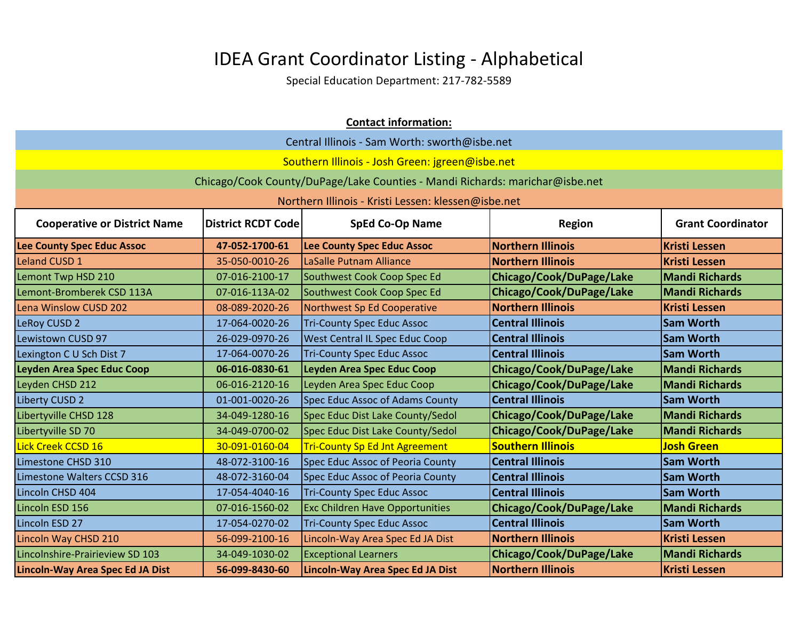|                                     | <b>Contact information:</b>                   |                                                                              |                          |                          |  |
|-------------------------------------|-----------------------------------------------|------------------------------------------------------------------------------|--------------------------|--------------------------|--|
|                                     | Central Illinois - Sam Worth: sworth@isbe.net |                                                                              |                          |                          |  |
|                                     |                                               | Southern Illinois - Josh Green: jgreen@isbe.net                              |                          |                          |  |
|                                     |                                               | Chicago/Cook County/DuPage/Lake Counties - Mandi Richards: marichar@isbe.net |                          |                          |  |
|                                     |                                               | Northern Illinois - Kristi Lessen: klessen@isbe.net                          |                          |                          |  |
| <b>Cooperative or District Name</b> | <b>District RCDT Code</b>                     | <b>SpEd Co-Op Name</b>                                                       | <b>Region</b>            | <b>Grant Coordinator</b> |  |
| <b>Lee County Spec Educ Assoc</b>   | 47-052-1700-61                                | <b>Lee County Spec Educ Assoc</b>                                            | <b>Northern Illinois</b> | <b>Kristi Lessen</b>     |  |
| Leland CUSD 1                       | 35-050-0010-26                                | LaSalle Putnam Alliance                                                      | <b>Northern Illinois</b> | <b>Kristi Lessen</b>     |  |
| Lemont Twp HSD 210                  | 07-016-2100-17                                | Southwest Cook Coop Spec Ed                                                  | Chicago/Cook/DuPage/Lake | <b>Mandi Richards</b>    |  |
| Lemont-Bromberek CSD 113A           | 07-016-113A-02                                | Southwest Cook Coop Spec Ed                                                  | Chicago/Cook/DuPage/Lake | <b>Mandi Richards</b>    |  |
| Lena Winslow CUSD 202               | 08-089-2020-26                                | Northwest Sp Ed Cooperative                                                  | <b>Northern Illinois</b> | <b>Kristi Lessen</b>     |  |
| <b>LeRoy CUSD 2</b>                 | 17-064-0020-26                                | <b>Tri-County Spec Educ Assoc</b>                                            | <b>Central Illinois</b>  | <b>Sam Worth</b>         |  |
| Lewistown CUSD 97                   | 26-029-0970-26                                | West Central IL Spec Educ Coop                                               | <b>Central Illinois</b>  | <b>Sam Worth</b>         |  |
| Lexington C U Sch Dist 7            | 17-064-0070-26                                | <b>Tri-County Spec Educ Assoc</b>                                            | <b>Central Illinois</b>  | <b>Sam Worth</b>         |  |
| <b>Leyden Area Spec Educ Coop</b>   | 06-016-0830-61                                | <b>Leyden Area Spec Educ Coop</b>                                            | Chicago/Cook/DuPage/Lake | <b>Mandi Richards</b>    |  |
| Leyden CHSD 212                     | 06-016-2120-16                                | Leyden Area Spec Educ Coop                                                   | Chicago/Cook/DuPage/Lake | <b>Mandi Richards</b>    |  |
| Liberty CUSD 2                      | 01-001-0020-26                                | Spec Educ Assoc of Adams County                                              | <b>Central Illinois</b>  | <b>Sam Worth</b>         |  |
| Libertyville CHSD 128               | 34-049-1280-16                                | Spec Educ Dist Lake County/Sedol                                             | Chicago/Cook/DuPage/Lake | <b>Mandi Richards</b>    |  |
| Libertyville SD 70                  | 34-049-0700-02                                | Spec Educ Dist Lake County/Sedol                                             | Chicago/Cook/DuPage/Lake | <b>Mandi Richards</b>    |  |
| Lick Creek CCSD 16                  | 30-091-0160-04                                | <b>Tri-County Sp Ed Jnt Agreement</b>                                        | <b>Southern Illinois</b> | <b>Josh Green</b>        |  |
| Limestone CHSD 310                  | 48-072-3100-16                                | Spec Educ Assoc of Peoria County                                             | <b>Central Illinois</b>  | <b>Sam Worth</b>         |  |
| Limestone Walters CCSD 316          | 48-072-3160-04                                | Spec Educ Assoc of Peoria County                                             | <b>Central Illinois</b>  | <b>Sam Worth</b>         |  |
| Lincoln CHSD 404                    | 17-054-4040-16                                | <b>Tri-County Spec Educ Assoc</b>                                            | <b>Central Illinois</b>  | <b>Sam Worth</b>         |  |
| Lincoln ESD 156                     | 07-016-1560-02                                | <b>Exc Children Have Opportunities</b>                                       | Chicago/Cook/DuPage/Lake | <b>Mandi Richards</b>    |  |
| Lincoln ESD 27                      | 17-054-0270-02                                | <b>Tri-County Spec Educ Assoc</b>                                            | <b>Central Illinois</b>  | <b>Sam Worth</b>         |  |
| Lincoln Way CHSD 210                | 56-099-2100-16                                | Lincoln-Way Area Spec Ed JA Dist                                             | <b>Northern Illinois</b> | <b>Kristi Lessen</b>     |  |
| Lincolnshire-Prairieview SD 103     | 34-049-1030-02                                | <b>Exceptional Learners</b>                                                  | Chicago/Cook/DuPage/Lake | <b>Mandi Richards</b>    |  |
| Lincoln-Way Area Spec Ed JA Dist    | 56-099-8430-60                                | Lincoln-Way Area Spec Ed JA Dist                                             | <b>Northern Illinois</b> | <b>Kristi Lessen</b>     |  |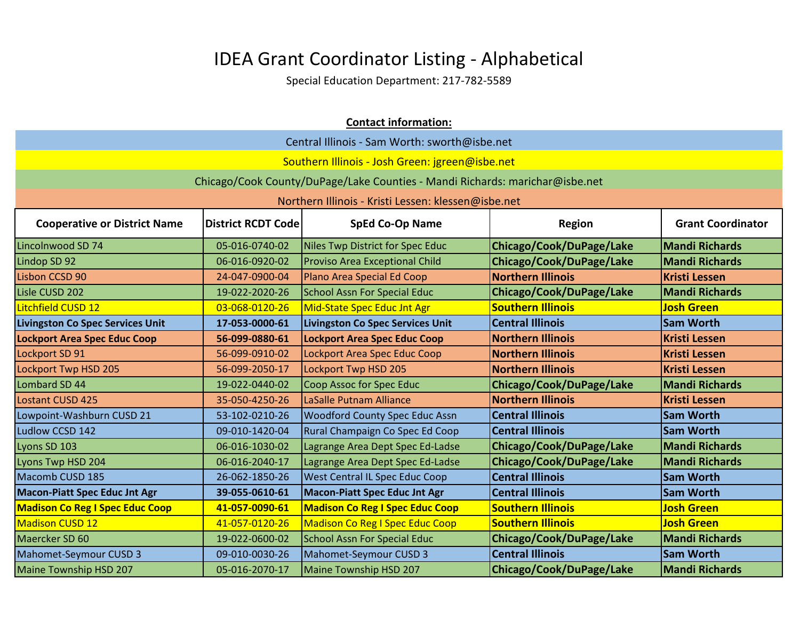| <b>Contact information:</b>                                                                                                             |                |                                                                              |                          |                       |  |
|-----------------------------------------------------------------------------------------------------------------------------------------|----------------|------------------------------------------------------------------------------|--------------------------|-----------------------|--|
|                                                                                                                                         |                | Central Illinois - Sam Worth: sworth@isbe.net                                |                          |                       |  |
|                                                                                                                                         |                | Southern Illinois - Josh Green: jgreen@isbe.net                              |                          |                       |  |
|                                                                                                                                         |                | Chicago/Cook County/DuPage/Lake Counties - Mandi Richards: marichar@isbe.net |                          |                       |  |
|                                                                                                                                         |                | Northern Illinois - Kristi Lessen: klessen@isbe.net                          |                          |                       |  |
| <b>SpEd Co-Op Name</b><br><b>Grant Coordinator</b><br><b>Cooperative or District Name</b><br><b>District RCDT Code</b><br><b>Region</b> |                |                                                                              |                          |                       |  |
| Lincolnwood SD 74                                                                                                                       | 05-016-0740-02 | Niles Twp District for Spec Educ                                             | Chicago/Cook/DuPage/Lake | <b>Mandi Richards</b> |  |
| Lindop SD 92                                                                                                                            | 06-016-0920-02 | <b>Proviso Area Exceptional Child</b>                                        | Chicago/Cook/DuPage/Lake | <b>Mandi Richards</b> |  |
| Lisbon CCSD 90                                                                                                                          | 24-047-0900-04 | Plano Area Special Ed Coop                                                   | <b>Northern Illinois</b> | <b>Kristi Lessen</b>  |  |
| Lisle CUSD 202                                                                                                                          | 19-022-2020-26 | <b>School Assn For Special Educ</b>                                          | Chicago/Cook/DuPage/Lake | <b>Mandi Richards</b> |  |
| Litchfield CUSD 12                                                                                                                      | 03-068-0120-26 | Mid-State Spec Educ Jnt Agr                                                  | <b>Southern Illinois</b> | <b>Josh Green</b>     |  |
| Livingston Co Spec Services Unit                                                                                                        | 17-053-0000-61 | <b>Livingston Co Spec Services Unit</b>                                      | <b>Central Illinois</b>  | <b>Sam Worth</b>      |  |
| <b>Lockport Area Spec Educ Coop</b>                                                                                                     | 56-099-0880-61 | <b>Lockport Area Spec Educ Coop</b>                                          | <b>Northern Illinois</b> | <b>Kristi Lessen</b>  |  |
| Lockport SD 91                                                                                                                          | 56-099-0910-02 | Lockport Area Spec Educ Coop                                                 | <b>Northern Illinois</b> | <b>Kristi Lessen</b>  |  |
| Lockport Twp HSD 205                                                                                                                    | 56-099-2050-17 | Lockport Twp HSD 205                                                         | <b>Northern Illinois</b> | <b>Kristi Lessen</b>  |  |
| Lombard SD 44                                                                                                                           | 19-022-0440-02 | Coop Assoc for Spec Educ                                                     | Chicago/Cook/DuPage/Lake | <b>Mandi Richards</b> |  |
| <b>Lostant CUSD 425</b>                                                                                                                 | 35-050-4250-26 | LaSalle Putnam Alliance                                                      | <b>Northern Illinois</b> | <b>Kristi Lessen</b>  |  |
| Lowpoint-Washburn CUSD 21                                                                                                               | 53-102-0210-26 | <b>Woodford County Spec Educ Assn</b>                                        | <b>Central Illinois</b>  | <b>Sam Worth</b>      |  |
| Ludlow CCSD 142                                                                                                                         | 09-010-1420-04 | Rural Champaign Co Spec Ed Coop                                              | <b>Central Illinois</b>  | <b>Sam Worth</b>      |  |
| Lyons SD 103                                                                                                                            | 06-016-1030-02 | Lagrange Area Dept Spec Ed-Ladse                                             | Chicago/Cook/DuPage/Lake | Mandi Richards        |  |
| Lyons Twp HSD 204                                                                                                                       | 06-016-2040-17 | Lagrange Area Dept Spec Ed-Ladse                                             | Chicago/Cook/DuPage/Lake | <b>Mandi Richards</b> |  |
| Macomb CUSD 185                                                                                                                         | 26-062-1850-26 | <b>West Central IL Spec Educ Coop</b>                                        | <b>Central Illinois</b>  | <b>Sam Worth</b>      |  |
| <b>Macon-Piatt Spec Educ Jnt Agr</b>                                                                                                    | 39-055-0610-61 | <b>Macon-Piatt Spec Educ Jnt Agr</b>                                         | <b>Central Illinois</b>  | <b>Sam Worth</b>      |  |
| <b>Madison Co Reg I Spec Educ Coop</b>                                                                                                  | 41-057-0090-61 | <b>Madison Co Reg I Spec Educ Coop</b>                                       | <b>Southern Illinois</b> | <b>Josh Green</b>     |  |
| <b>Madison CUSD 12</b>                                                                                                                  | 41-057-0120-26 | <b>Madison Co Reg I Spec Educ Coop</b>                                       | <b>Southern Illinois</b> | <b>Josh Green</b>     |  |
| Maercker SD 60                                                                                                                          | 19-022-0600-02 | <b>School Assn For Special Educ</b>                                          | Chicago/Cook/DuPage/Lake | <b>Mandi Richards</b> |  |
| Mahomet-Seymour CUSD 3                                                                                                                  | 09-010-0030-26 | Mahomet-Seymour CUSD 3                                                       | <b>Central Illinois</b>  | <b>Sam Worth</b>      |  |
| <b>Maine Township HSD 207</b>                                                                                                           | 05-016-2070-17 | Maine Township HSD 207                                                       | Chicago/Cook/DuPage/Lake | <b>Mandi Richards</b> |  |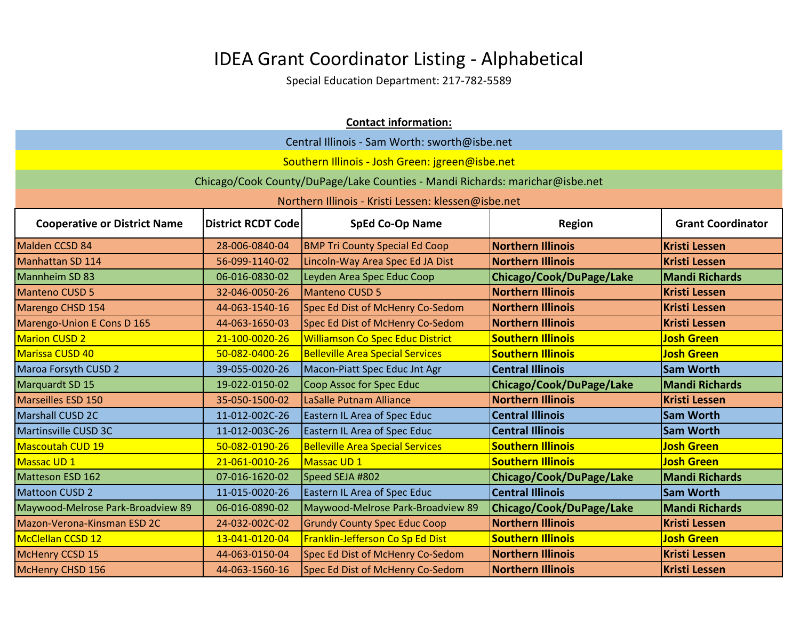|                                     | <b>Contact information:</b>                   |                                                                              |                          |                          |  |
|-------------------------------------|-----------------------------------------------|------------------------------------------------------------------------------|--------------------------|--------------------------|--|
|                                     | Central Illinois - Sam Worth: sworth@isbe.net |                                                                              |                          |                          |  |
|                                     |                                               | Southern Illinois - Josh Green: jgreen@isbe.net                              |                          |                          |  |
|                                     |                                               | Chicago/Cook County/DuPage/Lake Counties - Mandi Richards: marichar@isbe.net |                          |                          |  |
|                                     |                                               | Northern Illinois - Kristi Lessen: klessen@isbe.net                          |                          |                          |  |
|                                     |                                               |                                                                              |                          |                          |  |
| <b>Cooperative or District Name</b> | <b>District RCDT Code</b>                     | <b>SpEd Co-Op Name</b>                                                       | <b>Region</b>            | <b>Grant Coordinator</b> |  |
| Malden CCSD 84                      | 28-006-0840-04                                | <b>BMP Tri County Special Ed Coop</b>                                        | <b>Northern Illinois</b> | <b>Kristi Lessen</b>     |  |
| Manhattan SD 114                    | 56-099-1140-02                                | Lincoln-Way Area Spec Ed JA Dist                                             | <b>Northern Illinois</b> | <b>Kristi Lessen</b>     |  |
| Mannheim SD 83                      | 06-016-0830-02                                | Leyden Area Spec Educ Coop                                                   | Chicago/Cook/DuPage/Lake | <b>Mandi Richards</b>    |  |
| <b>Manteno CUSD 5</b>               | 32-046-0050-26                                | <b>Manteno CUSD 5</b>                                                        | <b>Northern Illinois</b> | <b>Kristi Lessen</b>     |  |
| Marengo CHSD 154                    | 44-063-1540-16                                | Spec Ed Dist of McHenry Co-Sedom                                             | <b>Northern Illinois</b> | <b>Kristi Lessen</b>     |  |
| Marengo-Union E Cons D 165          | 44-063-1650-03                                | Spec Ed Dist of McHenry Co-Sedom                                             | <b>Northern Illinois</b> | <b>Kristi Lessen</b>     |  |
| <b>Marion CUSD 2</b>                | 21-100-0020-26                                | <b>Williamson Co Spec Educ District</b>                                      | <b>Southern Illinois</b> | <b>Josh Green</b>        |  |
| Marissa CUSD 40                     | 50-082-0400-26                                | <b>Belleville Area Special Services</b>                                      | <b>Southern Illinois</b> | <b>Josh Green</b>        |  |
| <b>Maroa Forsyth CUSD 2</b>         | 39-055-0020-26                                | Macon-Piatt Spec Educ Jnt Agr                                                | <b>Central Illinois</b>  | <b>Sam Worth</b>         |  |
| Marquardt SD 15                     | 19-022-0150-02                                | <b>Coop Assoc for Spec Educ</b>                                              | Chicago/Cook/DuPage/Lake | <b>Mandi Richards</b>    |  |
| Marseilles ESD 150                  | 35-050-1500-02                                | LaSalle Putnam Alliance                                                      | <b>Northern Illinois</b> | <b>Kristi Lessen</b>     |  |
| Marshall CUSD 2C                    | 11-012-002C-26                                | Eastern IL Area of Spec Educ                                                 | <b>Central Illinois</b>  | <b>Sam Worth</b>         |  |
| Martinsville CUSD 3C                | 11-012-003C-26                                | <b>Eastern IL Area of Spec Educ</b>                                          | <b>Central Illinois</b>  | <b>Sam Worth</b>         |  |
| Mascoutah CUD 19                    | 50-082-0190-26                                | <b>Belleville Area Special Services</b>                                      | <b>Southern Illinois</b> | <b>Josh Green</b>        |  |
| Massac UD 1                         | 21-061-0010-26                                | Massac UD 1                                                                  | <b>Southern Illinois</b> | <b>Josh Green</b>        |  |
| Matteson ESD 162                    | 07-016-1620-02                                | Speed SEJA #802                                                              | Chicago/Cook/DuPage/Lake | <b>Mandi Richards</b>    |  |
| <b>Mattoon CUSD 2</b>               | 11-015-0020-26                                | Eastern IL Area of Spec Educ                                                 | <b>Central Illinois</b>  | <b>Sam Worth</b>         |  |
| Maywood-Melrose Park-Broadview 89   | 06-016-0890-02                                | Maywood-Melrose Park-Broadview 89                                            | Chicago/Cook/DuPage/Lake | <b>Mandi Richards</b>    |  |
| Mazon-Verona-Kinsman ESD 2C         | 24-032-002C-02                                | <b>Grundy County Spec Educ Coop</b>                                          | <b>Northern Illinois</b> | <b>Kristi Lessen</b>     |  |
| McClellan CCSD 12                   | 13-041-0120-04                                | Franklin-Jefferson Co Sp Ed Dist                                             | <b>Southern Illinois</b> | <b>Josh Green</b>        |  |
| McHenry CCSD 15                     | 44-063-0150-04                                | Spec Ed Dist of McHenry Co-Sedom                                             | <b>Northern Illinois</b> | <b>Kristi Lessen</b>     |  |
| McHenry CHSD 156                    | 44-063-1560-16                                | Spec Ed Dist of McHenry Co-Sedom                                             | <b>Northern Illinois</b> | <b>Kristi Lessen</b>     |  |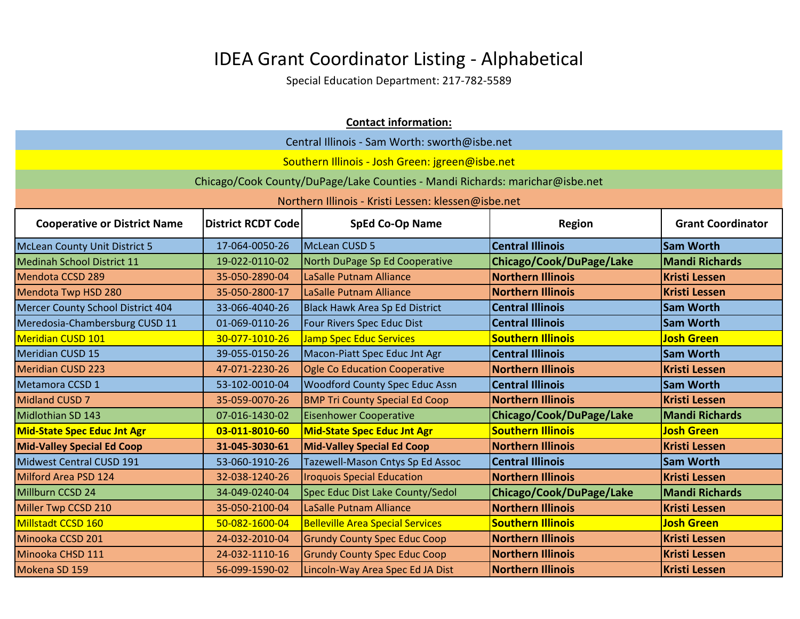|                                                                                                                                         | <b>Contact information:</b> |                                                                              |                          |                       |
|-----------------------------------------------------------------------------------------------------------------------------------------|-----------------------------|------------------------------------------------------------------------------|--------------------------|-----------------------|
|                                                                                                                                         |                             | Central Illinois - Sam Worth: sworth@isbe.net                                |                          |                       |
|                                                                                                                                         |                             | Southern Illinois - Josh Green: jgreen@isbe.net                              |                          |                       |
|                                                                                                                                         |                             | Chicago/Cook County/DuPage/Lake Counties - Mandi Richards: marichar@isbe.net |                          |                       |
|                                                                                                                                         |                             | Northern Illinois - Kristi Lessen: klessen@isbe.net                          |                          |                       |
| <b>SpEd Co-Op Name</b><br><b>Grant Coordinator</b><br><b>Cooperative or District Name</b><br><b>District RCDT Code</b><br><b>Region</b> |                             |                                                                              |                          |                       |
| <b>McLean County Unit District 5</b>                                                                                                    | 17-064-0050-26              | McLean CUSD 5                                                                | <b>Central Illinois</b>  | <b>Sam Worth</b>      |
| Medinah School District 11                                                                                                              | 19-022-0110-02              | North DuPage Sp Ed Cooperative                                               | Chicago/Cook/DuPage/Lake | <b>Mandi Richards</b> |
| Mendota CCSD 289                                                                                                                        | 35-050-2890-04              | <b>LaSalle Putnam Alliance</b>                                               | <b>Northern Illinois</b> | <b>Kristi Lessen</b>  |
| Mendota Twp HSD 280                                                                                                                     | 35-050-2800-17              | LaSalle Putnam Alliance                                                      | <b>Northern Illinois</b> | <b>Kristi Lessen</b>  |
| Mercer County School District 404                                                                                                       | 33-066-4040-26              | Black Hawk Area Sp Ed District                                               | <b>Central Illinois</b>  | <b>Sam Worth</b>      |
| Meredosia-Chambersburg CUSD 11                                                                                                          | 01-069-0110-26              | Four Rivers Spec Educ Dist                                                   | <b>Central Illinois</b>  | <b>Sam Worth</b>      |
| <b>Meridian CUSD 101</b>                                                                                                                | 30-077-1010-26              | <b>Jamp Spec Educ Services</b>                                               | <b>Southern Illinois</b> | <b>Josh Green</b>     |
| <b>Meridian CUSD 15</b>                                                                                                                 | 39-055-0150-26              | Macon-Piatt Spec Educ Jnt Agr                                                | <b>Central Illinois</b>  | <b>Sam Worth</b>      |
| <b>Meridian CUSD 223</b>                                                                                                                | 47-071-2230-26              | <b>Ogle Co Education Cooperative</b>                                         | <b>Northern Illinois</b> | <b>Kristi Lessen</b>  |
| Metamora CCSD 1                                                                                                                         | 53-102-0010-04              | <b>Woodford County Spec Educ Assn</b>                                        | <b>Central Illinois</b>  | <b>Sam Worth</b>      |
| Midland CUSD 7                                                                                                                          | 35-059-0070-26              | <b>BMP Tri County Special Ed Coop</b>                                        | <b>Northern Illinois</b> | <b>Kristi Lessen</b>  |
| Midlothian SD 143                                                                                                                       | 07-016-1430-02              | <b>Eisenhower Cooperative</b>                                                | Chicago/Cook/DuPage/Lake | <b>Mandi Richards</b> |
| <b>Mid-State Spec Educ Jnt Agr</b>                                                                                                      | 03-011-8010-60              | <b>Mid-State Spec Educ Jnt Agr</b>                                           | <b>Southern Illinois</b> | <b>Josh Green</b>     |
| <b>Mid-Valley Special Ed Coop</b>                                                                                                       | 31-045-3030-61              | <b>Mid-Valley Special Ed Coop</b>                                            | <b>Northern Illinois</b> | <b>Kristi Lessen</b>  |
| Midwest Central CUSD 191                                                                                                                | 53-060-1910-26              | Tazewell-Mason Cntys Sp Ed Assoc                                             | <b>Central Illinois</b>  | <b>Sam Worth</b>      |
| Milford Area PSD 124                                                                                                                    | 32-038-1240-26              | <b>Iroquois Special Education</b>                                            | <b>Northern Illinois</b> | <b>Kristi Lessen</b>  |
| Millburn CCSD 24                                                                                                                        | 34-049-0240-04              | Spec Educ Dist Lake County/Sedol                                             | Chicago/Cook/DuPage/Lake | <b>Mandi Richards</b> |
| Miller Twp CCSD 210                                                                                                                     | 35-050-2100-04              | LaSalle Putnam Alliance                                                      | <b>Northern Illinois</b> | <b>Kristi Lessen</b>  |
| Millstadt CCSD 160                                                                                                                      | 50-082-1600-04              | <b>Belleville Area Special Services</b>                                      | <b>Southern Illinois</b> | <b>Josh Green</b>     |
| Minooka CCSD 201                                                                                                                        | 24-032-2010-04              | <b>Grundy County Spec Educ Coop</b>                                          | <b>Northern Illinois</b> | <b>Kristi Lessen</b>  |
| Minooka CHSD 111                                                                                                                        | 24-032-1110-16              | <b>Grundy County Spec Educ Coop</b>                                          | <b>Northern Illinois</b> | <b>Kristi Lessen</b>  |
| Mokena SD 159                                                                                                                           | 56-099-1590-02              | Lincoln-Way Area Spec Ed JA Dist                                             | <b>Northern Illinois</b> | <b>Kristi Lessen</b>  |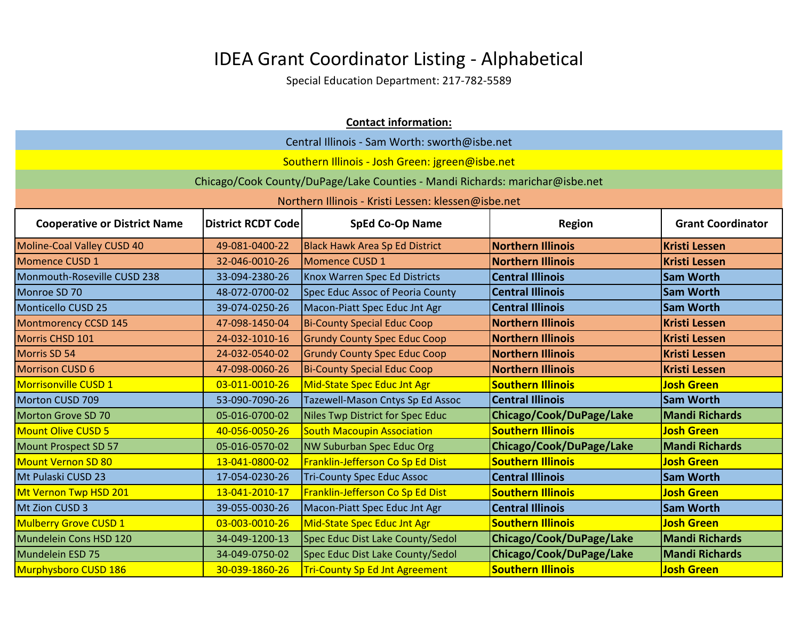|                                                                                                                                         | <b>Contact information:</b> |                                                                              |                          |                       |
|-----------------------------------------------------------------------------------------------------------------------------------------|-----------------------------|------------------------------------------------------------------------------|--------------------------|-----------------------|
|                                                                                                                                         |                             | Central Illinois - Sam Worth: sworth@isbe.net                                |                          |                       |
|                                                                                                                                         |                             | Southern Illinois - Josh Green: jgreen@isbe.net                              |                          |                       |
|                                                                                                                                         |                             | Chicago/Cook County/DuPage/Lake Counties - Mandi Richards: marichar@isbe.net |                          |                       |
|                                                                                                                                         |                             | Northern Illinois - Kristi Lessen: klessen@isbe.net                          |                          |                       |
| <b>SpEd Co-Op Name</b><br><b>Grant Coordinator</b><br><b>Cooperative or District Name</b><br><b>District RCDT Code</b><br><b>Region</b> |                             |                                                                              |                          |                       |
| Moline-Coal Valley CUSD 40                                                                                                              | 49-081-0400-22              | <b>Black Hawk Area Sp Ed District</b>                                        | <b>Northern Illinois</b> | <b>Kristi Lessen</b>  |
| Momence CUSD 1                                                                                                                          | 32-046-0010-26              | Momence CUSD 1                                                               | <b>Northern Illinois</b> | <b>Kristi Lessen</b>  |
| Monmouth-Roseville CUSD 238                                                                                                             | 33-094-2380-26              | Knox Warren Spec Ed Districts                                                | <b>Central Illinois</b>  | <b>Sam Worth</b>      |
| Monroe SD 70                                                                                                                            | 48-072-0700-02              | Spec Educ Assoc of Peoria County                                             | <b>Central Illinois</b>  | <b>Sam Worth</b>      |
| Monticello CUSD 25                                                                                                                      | 39-074-0250-26              | Macon-Piatt Spec Educ Jnt Agr                                                | <b>Central Illinois</b>  | <b>Sam Worth</b>      |
| Montmorency CCSD 145                                                                                                                    | 47-098-1450-04              | <b>Bi-County Special Educ Coop</b>                                           | <b>Northern Illinois</b> | <b>Kristi Lessen</b>  |
| Morris CHSD 101                                                                                                                         | 24-032-1010-16              | <b>Grundy County Spec Educ Coop</b>                                          | <b>Northern Illinois</b> | <b>Kristi Lessen</b>  |
| Morris SD 54                                                                                                                            | 24-032-0540-02              | <b>Grundy County Spec Educ Coop</b>                                          | <b>Northern Illinois</b> | <b>Kristi Lessen</b>  |
| <b>Morrison CUSD 6</b>                                                                                                                  | 47-098-0060-26              | <b>Bi-County Special Educ Coop</b>                                           | <b>Northern Illinois</b> | <b>Kristi Lessen</b>  |
| Morrisonville CUSD 1                                                                                                                    | 03-011-0010-26              | Mid-State Spec Educ Jnt Agr                                                  | <b>Southern Illinois</b> | <b>Josh Green</b>     |
| Morton CUSD 709                                                                                                                         | 53-090-7090-26              | Tazewell-Mason Cntys Sp Ed Assoc                                             | <b>Central Illinois</b>  | <b>Sam Worth</b>      |
| Morton Grove SD 70                                                                                                                      | 05-016-0700-02              | Niles Twp District for Spec Educ                                             | Chicago/Cook/DuPage/Lake | <b>Mandi Richards</b> |
| <b>Mount Olive CUSD 5</b>                                                                                                               | 40-056-0050-26              | <b>South Macoupin Association</b>                                            | <b>Southern Illinois</b> | <b>Josh Green</b>     |
| Mount Prospect SD 57                                                                                                                    | 05-016-0570-02              | <b>NW Suburban Spec Educ Org</b>                                             | Chicago/Cook/DuPage/Lake | <b>Mandi Richards</b> |
| <b>Mount Vernon SD 80</b>                                                                                                               | 13-041-0800-02              | Franklin-Jefferson Co Sp Ed Dist                                             | <b>Southern Illinois</b> | <b>Josh Green</b>     |
| Mt Pulaski CUSD 23                                                                                                                      | 17-054-0230-26              | <b>Tri-County Spec Educ Assoc</b>                                            | <b>Central Illinois</b>  | <b>Sam Worth</b>      |
| Mt Vernon Twp HSD 201                                                                                                                   | 13-041-2010-17              | Franklin-Jefferson Co Sp Ed Dist                                             | <b>Southern Illinois</b> | <b>Josh Green</b>     |
| Mt Zion CUSD 3                                                                                                                          | 39-055-0030-26              | Macon-Piatt Spec Educ Jnt Agr                                                | <b>Central Illinois</b>  | <b>Sam Worth</b>      |
| Mulberry Grove CUSD 1                                                                                                                   | 03-003-0010-26              | Mid-State Spec Educ Jnt Agr                                                  | <b>Southern Illinois</b> | <b>Josh Green</b>     |
| Mundelein Cons HSD 120                                                                                                                  | 34-049-1200-13              | Spec Educ Dist Lake County/Sedol                                             | Chicago/Cook/DuPage/Lake | <b>Mandi Richards</b> |
| Mundelein ESD 75                                                                                                                        | 34-049-0750-02              | Spec Educ Dist Lake County/Sedol                                             | Chicago/Cook/DuPage/Lake | <b>Mandi Richards</b> |
| Murphysboro CUSD 186                                                                                                                    | 30-039-1860-26              | <b>Tri-County Sp Ed Jnt Agreement</b>                                        | <b>Southern Illinois</b> | <b>Josh Green</b>     |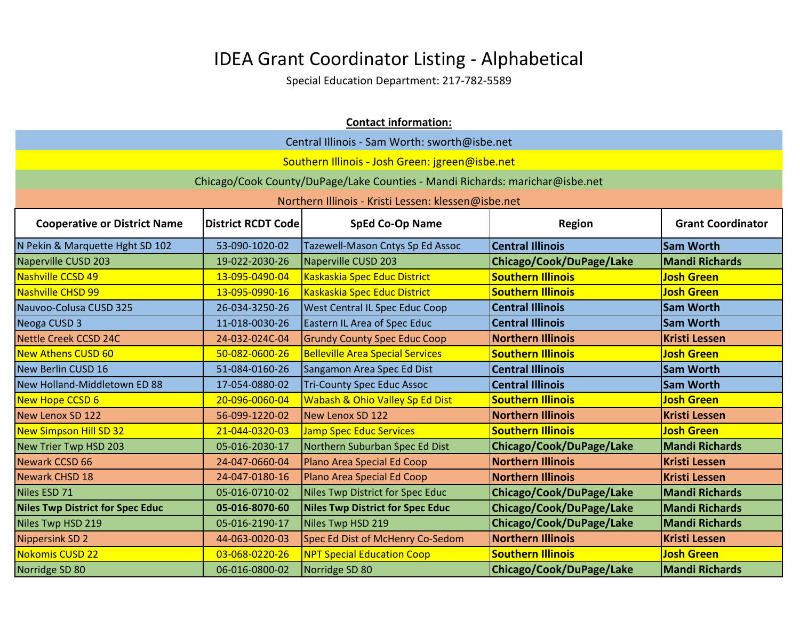|                                         |                                               | <b>Contact information:</b>                                                  |                          |                          |  |
|-----------------------------------------|-----------------------------------------------|------------------------------------------------------------------------------|--------------------------|--------------------------|--|
|                                         | Central Illinois - Sam Worth: sworth@isbe.net |                                                                              |                          |                          |  |
|                                         |                                               | Southern Illinois - Josh Green: jgreen@isbe.net                              |                          |                          |  |
|                                         |                                               | Chicago/Cook County/DuPage/Lake Counties - Mandi Richards: marichar@isbe.net |                          |                          |  |
|                                         |                                               | Northern Illinois - Kristi Lessen: klessen@isbe.net                          |                          |                          |  |
| <b>Cooperative or District Name</b>     | <b>District RCDT Code</b>                     | <b>SpEd Co-Op Name</b>                                                       | <b>Region</b>            | <b>Grant Coordinator</b> |  |
| N Pekin & Marquette Hght SD 102         | 53-090-1020-02                                | Tazewell-Mason Cntys Sp Ed Assoc                                             | <b>Central Illinois</b>  | <b>Sam Worth</b>         |  |
| Naperville CUSD 203                     | 19-022-2030-26                                | Naperville CUSD 203                                                          | Chicago/Cook/DuPage/Lake | <b>Mandi Richards</b>    |  |
| Nashville CCSD 49                       | 13-095-0490-04                                | Kaskaskia Spec Educ District                                                 | <b>Southern Illinois</b> | <b>Josh Green</b>        |  |
| Nashville CHSD 99                       | 13-095-0990-16                                | Kaskaskia Spec Educ District                                                 | <b>Southern Illinois</b> | <b>Josh Green</b>        |  |
| Nauvoo-Colusa CUSD 325                  | 26-034-3250-26                                | <b>West Central IL Spec Educ Coop</b>                                        | <b>Central Illinois</b>  | <b>Sam Worth</b>         |  |
| Neoga CUSD 3                            | 11-018-0030-26                                | <b>Eastern IL Area of Spec Educ</b>                                          | <b>Central Illinois</b>  | <b>Sam Worth</b>         |  |
| <b>Nettle Creek CCSD 24C</b>            | 24-032-024C-04                                | <b>Grundy County Spec Educ Coop</b>                                          | <b>Northern Illinois</b> | <b>Kristi Lessen</b>     |  |
| New Athens CUSD 60                      | 50-082-0600-26                                | <b>Belleville Area Special Services</b>                                      | <b>Southern Illinois</b> | <b>Josh Green</b>        |  |
| New Berlin CUSD 16                      | 51-084-0160-26                                | Sangamon Area Spec Ed Dist                                                   | <b>Central Illinois</b>  | <b>Sam Worth</b>         |  |
| New Holland-Middletown ED 88            | 17-054-0880-02                                | <b>Tri-County Spec Educ Assoc</b>                                            | <b>Central Illinois</b>  | <b>Sam Worth</b>         |  |
| New Hope CCSD 6                         | 20-096-0060-04                                | Wabash & Ohio Valley Sp Ed Dist                                              | <b>Southern Illinois</b> | <b>Josh Green</b>        |  |
| New Lenox SD 122                        | 56-099-1220-02                                | New Lenox SD 122                                                             | <b>Northern Illinois</b> | <b>Kristi Lessen</b>     |  |
| <b>New Simpson Hill SD 32</b>           | 21-044-0320-03                                | <b>Jamp Spec Educ Services</b>                                               | <b>Southern Illinois</b> | <b>Josh Green</b>        |  |
| New Trier Twp HSD 203                   | 05-016-2030-17                                | Northern Suburban Spec Ed Dist                                               | Chicago/Cook/DuPage/Lake | <b>Mandi Richards</b>    |  |
| Newark CCSD 66                          | 24-047-0660-04                                | Plano Area Special Ed Coop                                                   | <b>Northern Illinois</b> | <b>Kristi Lessen</b>     |  |
| Newark CHSD 18                          | 24-047-0180-16                                | Plano Area Special Ed Coop                                                   | <b>Northern Illinois</b> | <b>Kristi Lessen</b>     |  |
| Niles ESD 71                            | 05-016-0710-02                                | Niles Twp District for Spec Educ                                             | Chicago/Cook/DuPage/Lake | <b>Mandi Richards</b>    |  |
| <b>Niles Twp District for Spec Educ</b> | 05-016-8070-60                                | <b>Niles Twp District for Spec Educ</b>                                      | Chicago/Cook/DuPage/Lake | <b>Mandi Richards</b>    |  |
| Niles Twp HSD 219                       | 05-016-2190-17                                | Niles Twp HSD 219                                                            | Chicago/Cook/DuPage/Lake | <b>Mandi Richards</b>    |  |
| <b>Nippersink SD 2</b>                  | 44-063-0020-03                                | Spec Ed Dist of McHenry Co-Sedom                                             | <b>Northern Illinois</b> | <b>Kristi Lessen</b>     |  |
| Nokomis CUSD 22                         | 03-068-0220-26                                | <b>NPT Special Education Coop</b>                                            | <b>Southern Illinois</b> | <b>Josh Green</b>        |  |
| Norridge SD 80                          | 06-016-0800-02                                | Norridge SD 80                                                               | Chicago/Cook/DuPage/Lake | <b>Mandi Richards</b>    |  |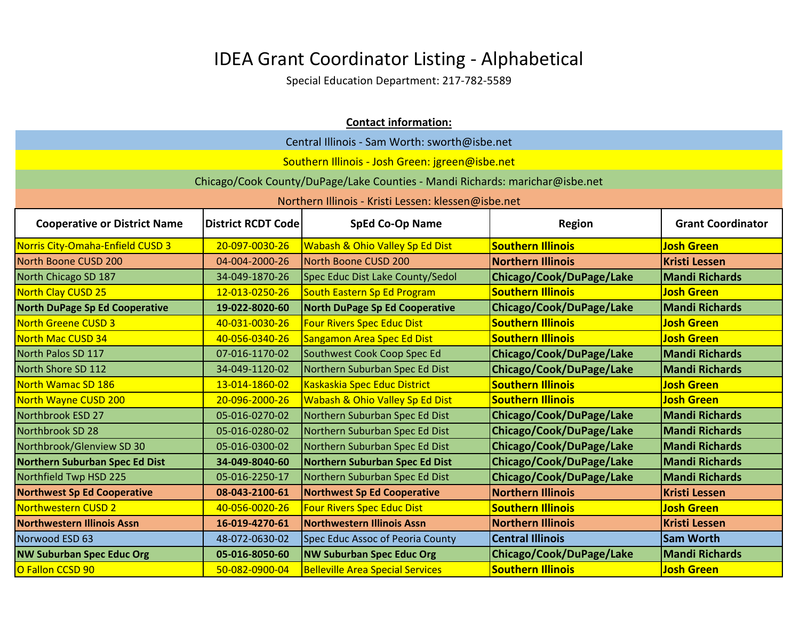|                                       | <b>Contact information:</b>                   |                                                                              |                          |                          |  |
|---------------------------------------|-----------------------------------------------|------------------------------------------------------------------------------|--------------------------|--------------------------|--|
|                                       | Central Illinois - Sam Worth: sworth@isbe.net |                                                                              |                          |                          |  |
|                                       |                                               | Southern Illinois - Josh Green: jgreen@isbe.net                              |                          |                          |  |
|                                       |                                               | Chicago/Cook County/DuPage/Lake Counties - Mandi Richards: marichar@isbe.net |                          |                          |  |
|                                       |                                               | Northern Illinois - Kristi Lessen: klessen@isbe.net                          |                          |                          |  |
| <b>Cooperative or District Name</b>   | <b>District RCDT Code</b>                     | <b>SpEd Co-Op Name</b>                                                       | <b>Region</b>            | <b>Grant Coordinator</b> |  |
| Norris City-Omaha-Enfield CUSD 3      | 20-097-0030-26                                | Wabash & Ohio Valley Sp Ed Dist                                              | <b>Southern Illinois</b> | <b>Josh Green</b>        |  |
| North Boone CUSD 200                  | 04-004-2000-26                                | North Boone CUSD 200                                                         | <b>Northern Illinois</b> | <b>Kristi Lessen</b>     |  |
| North Chicago SD 187                  | 34-049-1870-26                                | Spec Educ Dist Lake County/Sedol                                             | Chicago/Cook/DuPage/Lake | <b>Mandi Richards</b>    |  |
| North Clay CUSD 25                    | 12-013-0250-26                                | South Eastern Sp Ed Program                                                  | <b>Southern Illinois</b> | <b>Josh Green</b>        |  |
| <b>North DuPage Sp Ed Cooperative</b> | 19-022-8020-60                                | <b>North DuPage Sp Ed Cooperative</b>                                        | Chicago/Cook/DuPage/Lake | <b>Mandi Richards</b>    |  |
| <b>North Greene CUSD 3</b>            | 40-031-0030-26                                | <b>Four Rivers Spec Educ Dist</b>                                            | <b>Southern Illinois</b> | <b>Josh Green</b>        |  |
| North Mac CUSD 34                     | 40-056-0340-26                                | <b>Sangamon Area Spec Ed Dist</b>                                            | <b>Southern Illinois</b> | <b>Josh Green</b>        |  |
| North Palos SD 117                    | 07-016-1170-02                                | Southwest Cook Coop Spec Ed                                                  | Chicago/Cook/DuPage/Lake | <b>Mandi Richards</b>    |  |
| North Shore SD 112                    | 34-049-1120-02                                | Northern Suburban Spec Ed Dist                                               | Chicago/Cook/DuPage/Lake | <b>Mandi Richards</b>    |  |
| North Wamac SD 186                    | 13-014-1860-02                                | Kaskaskia Spec Educ District                                                 | <b>Southern Illinois</b> | <b>Josh Green</b>        |  |
| North Wayne CUSD 200                  | 20-096-2000-26                                | Wabash & Ohio Valley Sp Ed Dist                                              | <b>Southern Illinois</b> | <b>Josh Green</b>        |  |
| Northbrook ESD 27                     | 05-016-0270-02                                | Northern Suburban Spec Ed Dist                                               | Chicago/Cook/DuPage/Lake | <b>Mandi Richards</b>    |  |
| Northbrook SD 28                      | 05-016-0280-02                                | Northern Suburban Spec Ed Dist                                               | Chicago/Cook/DuPage/Lake | <b>Mandi Richards</b>    |  |
| Northbrook/Glenview SD 30             | 05-016-0300-02                                | Northern Suburban Spec Ed Dist                                               | Chicago/Cook/DuPage/Lake | <b>Mandi Richards</b>    |  |
| Northern Suburban Spec Ed Dist        | 34-049-8040-60                                | Northern Suburban Spec Ed Dist                                               | Chicago/Cook/DuPage/Lake | <b>Mandi Richards</b>    |  |
| Northfield Twp HSD 225                | 05-016-2250-17                                | Northern Suburban Spec Ed Dist                                               | Chicago/Cook/DuPage/Lake | <b>Mandi Richards</b>    |  |
| <b>Northwest Sp Ed Cooperative</b>    | 08-043-2100-61                                | <b>Northwest Sp Ed Cooperative</b>                                           | <b>Northern Illinois</b> | <b>Kristi Lessen</b>     |  |
| Northwestern CUSD 2                   | 40-056-0020-26                                | <b>Four Rivers Spec Educ Dist</b>                                            | <b>Southern Illinois</b> | <b>Josh Green</b>        |  |
| <b>Northwestern Illinois Assn</b>     | 16-019-4270-61                                | Northwestern Illinois Assn                                                   | <b>Northern Illinois</b> | <b>Kristi Lessen</b>     |  |
| Norwood ESD 63                        | 48-072-0630-02                                | Spec Educ Assoc of Peoria County                                             | <b>Central Illinois</b>  | <b>Sam Worth</b>         |  |
| <b>NW Suburban Spec Educ Org</b>      | 05-016-8050-60                                | <b>NW Suburban Spec Educ Org</b>                                             | Chicago/Cook/DuPage/Lake | <b>Mandi Richards</b>    |  |
| O Fallon CCSD 90                      | 50-082-0900-04                                | <b>Belleville Area Special Services</b>                                      | <b>Southern Illinois</b> | <b>Josh Green</b>        |  |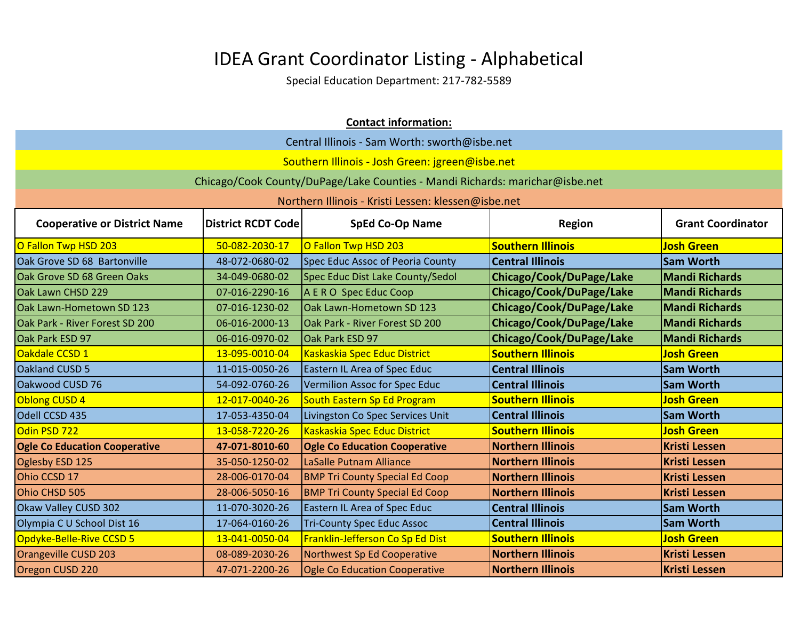|                                                                                                                                         | <b>Contact information:</b> |                                                                              |                          |                       |
|-----------------------------------------------------------------------------------------------------------------------------------------|-----------------------------|------------------------------------------------------------------------------|--------------------------|-----------------------|
|                                                                                                                                         |                             | Central Illinois - Sam Worth: sworth@isbe.net                                |                          |                       |
|                                                                                                                                         |                             | Southern Illinois - Josh Green: jgreen@isbe.net                              |                          |                       |
|                                                                                                                                         |                             | Chicago/Cook County/DuPage/Lake Counties - Mandi Richards: marichar@isbe.net |                          |                       |
|                                                                                                                                         |                             | Northern Illinois - Kristi Lessen: klessen@isbe.net                          |                          |                       |
| <b>Grant Coordinator</b><br><b>Cooperative or District Name</b><br><b>District RCDT Code</b><br><b>SpEd Co-Op Name</b><br><b>Region</b> |                             |                                                                              |                          |                       |
| O Fallon Twp HSD 203                                                                                                                    | 50-082-2030-17              | O Fallon Twp HSD 203                                                         | <b>Southern Illinois</b> | <b>Josh Green</b>     |
| Oak Grove SD 68 Bartonville                                                                                                             | 48-072-0680-02              | Spec Educ Assoc of Peoria County                                             | <b>Central Illinois</b>  | <b>Sam Worth</b>      |
| Oak Grove SD 68 Green Oaks                                                                                                              | 34-049-0680-02              | Spec Educ Dist Lake County/Sedol                                             | Chicago/Cook/DuPage/Lake | <b>Mandi Richards</b> |
| Oak Lawn CHSD 229                                                                                                                       | 07-016-2290-16              | A E R O Spec Educ Coop                                                       | Chicago/Cook/DuPage/Lake | <b>Mandi Richards</b> |
| Oak Lawn-Hometown SD 123                                                                                                                | 07-016-1230-02              | Oak Lawn-Hometown SD 123                                                     | Chicago/Cook/DuPage/Lake | <b>Mandi Richards</b> |
| Oak Park - River Forest SD 200                                                                                                          | 06-016-2000-13              | Oak Park - River Forest SD 200                                               | Chicago/Cook/DuPage/Lake | <b>Mandi Richards</b> |
| Oak Park ESD 97                                                                                                                         | 06-016-0970-02              | Oak Park ESD 97                                                              | Chicago/Cook/DuPage/Lake | <b>Mandi Richards</b> |
| Oakdale CCSD 1                                                                                                                          | 13-095-0010-04              | Kaskaskia Spec Educ District                                                 | <b>Southern Illinois</b> | <b>Josh Green</b>     |
| Oakland CUSD 5                                                                                                                          | 11-015-0050-26              | Eastern IL Area of Spec Educ                                                 | <b>Central Illinois</b>  | <b>Sam Worth</b>      |
| Oakwood CUSD 76                                                                                                                         | 54-092-0760-26              | Vermilion Assoc for Spec Educ                                                | <b>Central Illinois</b>  | <b>Sam Worth</b>      |
| Oblong CUSD 4                                                                                                                           | 12-017-0040-26              | South Eastern Sp Ed Program                                                  | <b>Southern Illinois</b> | <b>Josh Green</b>     |
| Odell CCSD 435                                                                                                                          | 17-053-4350-04              | Livingston Co Spec Services Unit                                             | <b>Central Illinois</b>  | <b>Sam Worth</b>      |
| Odin PSD 722                                                                                                                            | 13-058-7220-26              | Kaskaskia Spec Educ District                                                 | <b>Southern Illinois</b> | <b>Josh Green</b>     |
| <b>Ogle Co Education Cooperative</b>                                                                                                    | 47-071-8010-60              | <b>Ogle Co Education Cooperative</b>                                         | <b>Northern Illinois</b> | <b>Kristi Lessen</b>  |
| Oglesby ESD 125                                                                                                                         | 35-050-1250-02              | LaSalle Putnam Alliance                                                      | <b>Northern Illinois</b> | <b>Kristi Lessen</b>  |
| Ohio CCSD 17                                                                                                                            | 28-006-0170-04              | <b>BMP Tri County Special Ed Coop</b>                                        | <b>Northern Illinois</b> | <b>Kristi Lessen</b>  |
| Ohio CHSD 505                                                                                                                           | 28-006-5050-16              | <b>BMP Tri County Special Ed Coop</b>                                        | <b>Northern Illinois</b> | <b>Kristi Lessen</b>  |
| Okaw Valley CUSD 302                                                                                                                    | 11-070-3020-26              | Eastern IL Area of Spec Educ                                                 | <b>Central Illinois</b>  | <b>Sam Worth</b>      |
| Olympia C U School Dist 16                                                                                                              | 17-064-0160-26              | <b>Tri-County Spec Educ Assoc</b>                                            | <b>Central Illinois</b>  | <b>Sam Worth</b>      |
| Opdyke-Belle-Rive CCSD 5                                                                                                                | 13-041-0050-04              | Franklin-Jefferson Co Sp Ed Dist                                             | <b>Southern Illinois</b> | <b>Josh Green</b>     |
| Orangeville CUSD 203                                                                                                                    | 08-089-2030-26              | Northwest Sp Ed Cooperative                                                  | <b>Northern Illinois</b> | <b>Kristi Lessen</b>  |
| Oregon CUSD 220                                                                                                                         | 47-071-2200-26              | <b>Ogle Co Education Cooperative</b>                                         | <b>Northern Illinois</b> | <b>Kristi Lessen</b>  |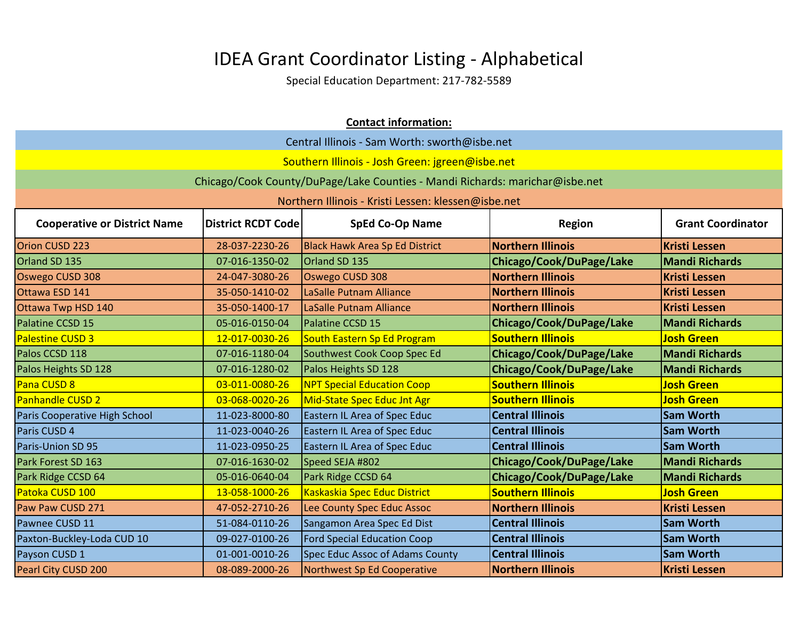|                                     | <b>Contact information:</b>                                                                      |                                                                              |                          |                       |  |
|-------------------------------------|--------------------------------------------------------------------------------------------------|------------------------------------------------------------------------------|--------------------------|-----------------------|--|
|                                     | Central Illinois - Sam Worth: sworth@isbe.net                                                    |                                                                              |                          |                       |  |
|                                     |                                                                                                  | Southern Illinois - Josh Green: jgreen@isbe.net                              |                          |                       |  |
|                                     |                                                                                                  | Chicago/Cook County/DuPage/Lake Counties - Mandi Richards: marichar@isbe.net |                          |                       |  |
|                                     |                                                                                                  | Northern Illinois - Kristi Lessen: klessen@isbe.net                          |                          |                       |  |
| <b>Cooperative or District Name</b> | <b>District RCDT Code</b><br><b>SpEd Co-Op Name</b><br><b>Grant Coordinator</b><br><b>Region</b> |                                                                              |                          |                       |  |
| <b>Orion CUSD 223</b>               | 28-037-2230-26                                                                                   | <b>Black Hawk Area Sp Ed District</b>                                        | <b>Northern Illinois</b> | <b>Kristi Lessen</b>  |  |
| Orland SD 135                       | 07-016-1350-02                                                                                   | Orland SD 135                                                                | Chicago/Cook/DuPage/Lake | <b>Mandi Richards</b> |  |
| Oswego CUSD 308                     | 24-047-3080-26                                                                                   | Oswego CUSD 308                                                              | <b>Northern Illinois</b> | <b>Kristi Lessen</b>  |  |
| Ottawa ESD 141                      | 35-050-1410-02                                                                                   | LaSalle Putnam Alliance                                                      | <b>Northern Illinois</b> | <b>Kristi Lessen</b>  |  |
| Ottawa Twp HSD 140                  | 35-050-1400-17                                                                                   | LaSalle Putnam Alliance                                                      | <b>Northern Illinois</b> | <b>Kristi Lessen</b>  |  |
| Palatine CCSD 15                    | 05-016-0150-04                                                                                   | Palatine CCSD 15                                                             | Chicago/Cook/DuPage/Lake | <b>Mandi Richards</b> |  |
| <b>Palestine CUSD 3</b>             | 12-017-0030-26                                                                                   | South Eastern Sp Ed Program                                                  | <b>Southern Illinois</b> | <b>Josh Green</b>     |  |
| Palos CCSD 118                      | 07-016-1180-04                                                                                   | Southwest Cook Coop Spec Ed                                                  | Chicago/Cook/DuPage/Lake | <b>Mandi Richards</b> |  |
| Palos Heights SD 128                | 07-016-1280-02                                                                                   | Palos Heights SD 128                                                         | Chicago/Cook/DuPage/Lake | <b>Mandi Richards</b> |  |
| Pana CUSD 8                         | 03-011-0080-26                                                                                   | <b>NPT Special Education Coop</b>                                            | <b>Southern Illinois</b> | <b>Josh Green</b>     |  |
| <b>Panhandle CUSD 2</b>             | 03-068-0020-26                                                                                   | Mid-State Spec Educ Jnt Agr                                                  | <b>Southern Illinois</b> | <b>Josh Green</b>     |  |
| Paris Cooperative High School       | 11-023-8000-80                                                                                   | <b>Eastern IL Area of Spec Educ</b>                                          | <b>Central Illinois</b>  | <b>Sam Worth</b>      |  |
| Paris CUSD 4                        | 11-023-0040-26                                                                                   | <b>Eastern IL Area of Spec Educ</b>                                          | <b>Central Illinois</b>  | <b>Sam Worth</b>      |  |
| Paris-Union SD 95                   | 11-023-0950-25                                                                                   | Eastern IL Area of Spec Educ                                                 | <b>Central Illinois</b>  | <b>Sam Worth</b>      |  |
| Park Forest SD 163                  | 07-016-1630-02                                                                                   | Speed SEJA #802                                                              | Chicago/Cook/DuPage/Lake | <b>Mandi Richards</b> |  |
| Park Ridge CCSD 64                  | 05-016-0640-04                                                                                   | Park Ridge CCSD 64                                                           | Chicago/Cook/DuPage/Lake | <b>Mandi Richards</b> |  |
| Patoka CUSD 100                     | 13-058-1000-26                                                                                   | Kaskaskia Spec Educ District                                                 | <b>Southern Illinois</b> | <b>Josh Green</b>     |  |
| Paw Paw CUSD 271                    | 47-052-2710-26                                                                                   | Lee County Spec Educ Assoc                                                   | <b>Northern Illinois</b> | <b>Kristi Lessen</b>  |  |
| Pawnee CUSD 11                      | 51-084-0110-26                                                                                   | Sangamon Area Spec Ed Dist                                                   | <b>Central Illinois</b>  | <b>Sam Worth</b>      |  |
| Paxton-Buckley-Loda CUD 10          | 09-027-0100-26                                                                                   | <b>Ford Special Education Coop</b>                                           | <b>Central Illinois</b>  | <b>Sam Worth</b>      |  |
| Payson CUSD 1                       | 01-001-0010-26                                                                                   | Spec Educ Assoc of Adams County                                              | <b>Central Illinois</b>  | <b>Sam Worth</b>      |  |
| Pearl City CUSD 200                 | 08-089-2000-26                                                                                   | Northwest Sp Ed Cooperative                                                  | <b>Northern Illinois</b> | <b>Kristi Lessen</b>  |  |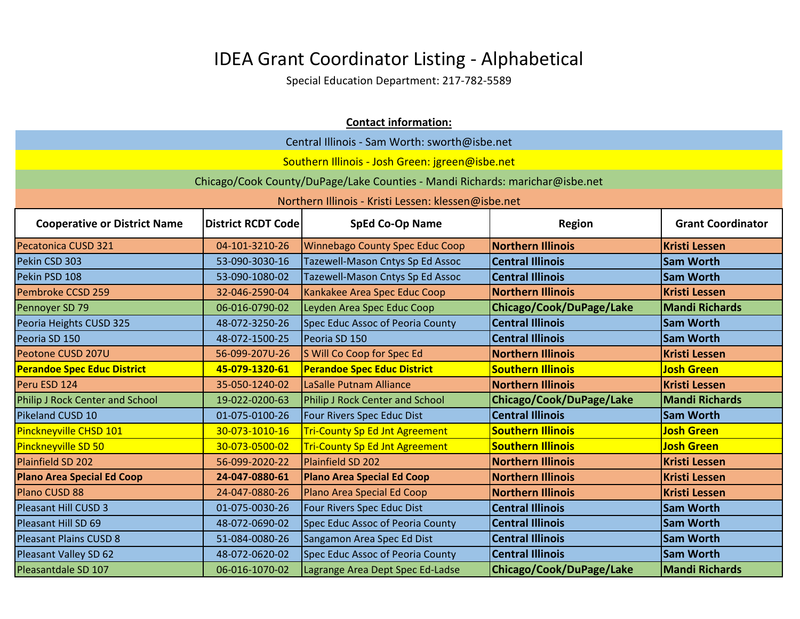|                                                                                                                                         | <b>Contact information:</b> |                                                                              |                          |                       |
|-----------------------------------------------------------------------------------------------------------------------------------------|-----------------------------|------------------------------------------------------------------------------|--------------------------|-----------------------|
| Central Illinois - Sam Worth: sworth@isbe.net                                                                                           |                             |                                                                              |                          |                       |
|                                                                                                                                         |                             | Southern Illinois - Josh Green: jgreen@isbe.net                              |                          |                       |
|                                                                                                                                         |                             | Chicago/Cook County/DuPage/Lake Counties - Mandi Richards: marichar@isbe.net |                          |                       |
|                                                                                                                                         |                             | Northern Illinois - Kristi Lessen: klessen@isbe.net                          |                          |                       |
| <b>Cooperative or District Name</b><br><b>District RCDT Code</b><br><b>SpEd Co-Op Name</b><br><b>Grant Coordinator</b><br><b>Region</b> |                             |                                                                              |                          |                       |
| Pecatonica CUSD 321                                                                                                                     | 04-101-3210-26              | <b>Winnebago County Spec Educ Coop</b>                                       | <b>Northern Illinois</b> | <b>Kristi Lessen</b>  |
| Pekin CSD 303                                                                                                                           | 53-090-3030-16              | Tazewell-Mason Cntys Sp Ed Assoc                                             | <b>Central Illinois</b>  | <b>Sam Worth</b>      |
| Pekin PSD 108                                                                                                                           | 53-090-1080-02              | Tazewell-Mason Cntys Sp Ed Assoc                                             | <b>Central Illinois</b>  | <b>Sam Worth</b>      |
| Pembroke CCSD 259                                                                                                                       | 32-046-2590-04              | Kankakee Area Spec Educ Coop                                                 | <b>Northern Illinois</b> | <b>Kristi Lessen</b>  |
| Pennoyer SD 79                                                                                                                          | 06-016-0790-02              | Leyden Area Spec Educ Coop                                                   | Chicago/Cook/DuPage/Lake | <b>Mandi Richards</b> |
| Peoria Heights CUSD 325                                                                                                                 | 48-072-3250-26              | Spec Educ Assoc of Peoria County                                             | <b>Central Illinois</b>  | <b>Sam Worth</b>      |
| Peoria SD 150                                                                                                                           | 48-072-1500-25              | Peoria SD 150                                                                | <b>Central Illinois</b>  | <b>Sam Worth</b>      |
| Peotone CUSD 207U                                                                                                                       | 56-099-207U-26              | S Will Co Coop for Spec Ed                                                   | <b>Northern Illinois</b> | <b>Kristi Lessen</b>  |
| <b>Perandoe Spec Educ District</b>                                                                                                      | 45-079-1320-61              | <b>Perandoe Spec Educ District</b>                                           | <b>Southern Illinois</b> | <b>Josh Green</b>     |
| Peru ESD 124                                                                                                                            | 35-050-1240-02              | LaSalle Putnam Alliance                                                      | <b>Northern Illinois</b> | <b>Kristi Lessen</b>  |
| Philip J Rock Center and School                                                                                                         | 19-022-0200-63              | Philip J Rock Center and School                                              | Chicago/Cook/DuPage/Lake | <b>Mandi Richards</b> |
| Pikeland CUSD 10                                                                                                                        | 01-075-0100-26              | Four Rivers Spec Educ Dist                                                   | <b>Central Illinois</b>  | <b>Sam Worth</b>      |
| Pinckneyville CHSD 101                                                                                                                  | 30-073-1010-16              | <b>Tri-County Sp Ed Jnt Agreement</b>                                        | <b>Southern Illinois</b> | <b>Josh Green</b>     |
| Pinckneyville SD 50                                                                                                                     | 30-073-0500-02              | <b>Tri-County Sp Ed Jnt Agreement</b>                                        | <b>Southern Illinois</b> | <b>Josh Green</b>     |
| Plainfield SD 202                                                                                                                       | 56-099-2020-22              | Plainfield SD 202                                                            | <b>Northern Illinois</b> | <b>Kristi Lessen</b>  |
| <b>Plano Area Special Ed Coop</b>                                                                                                       | 24-047-0880-61              | <b>Plano Area Special Ed Coop</b>                                            | <b>Northern Illinois</b> | <b>Kristi Lessen</b>  |
| Plano CUSD 88                                                                                                                           | 24-047-0880-26              | Plano Area Special Ed Coop                                                   | <b>Northern Illinois</b> | <b>Kristi Lessen</b>  |
| Pleasant Hill CUSD 3                                                                                                                    | 01-075-0030-26              | Four Rivers Spec Educ Dist                                                   | <b>Central Illinois</b>  | <b>Sam Worth</b>      |
| Pleasant Hill SD 69                                                                                                                     | 48-072-0690-02              | Spec Educ Assoc of Peoria County                                             | <b>Central Illinois</b>  | <b>Sam Worth</b>      |
| <b>Pleasant Plains CUSD 8</b>                                                                                                           | 51-084-0080-26              | Sangamon Area Spec Ed Dist                                                   | <b>Central Illinois</b>  | <b>Sam Worth</b>      |
| Pleasant Valley SD 62                                                                                                                   | 48-072-0620-02              | Spec Educ Assoc of Peoria County                                             | <b>Central Illinois</b>  | <b>Sam Worth</b>      |
| Pleasantdale SD 107                                                                                                                     | 06-016-1070-02              | Lagrange Area Dept Spec Ed-Ladse                                             | Chicago/Cook/DuPage/Lake | <b>Mandi Richards</b> |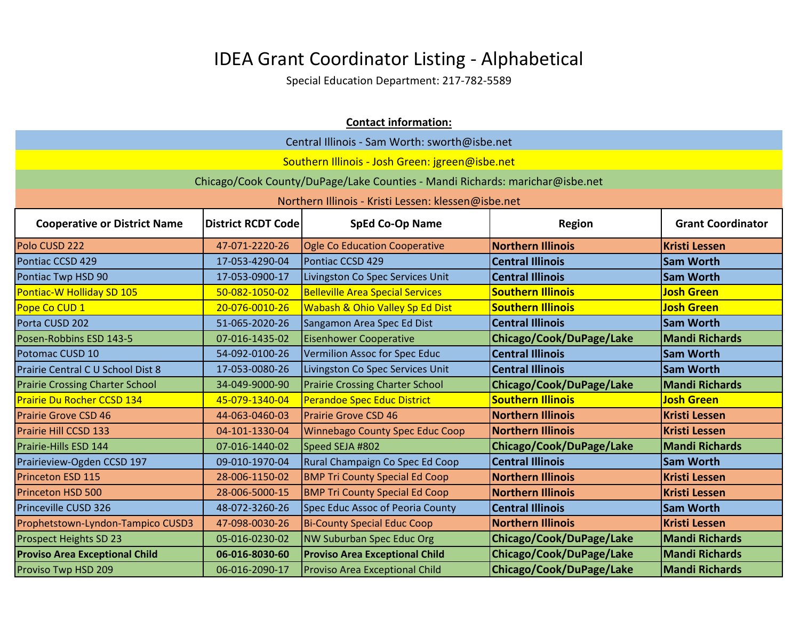|                                        |                                                                                                  | <b>Contact information:</b>                                                  |                          |                       |  |  |
|----------------------------------------|--------------------------------------------------------------------------------------------------|------------------------------------------------------------------------------|--------------------------|-----------------------|--|--|
|                                        | Central Illinois - Sam Worth: sworth@isbe.net                                                    |                                                                              |                          |                       |  |  |
|                                        |                                                                                                  | Southern Illinois - Josh Green: jgreen@isbe.net                              |                          |                       |  |  |
|                                        |                                                                                                  | Chicago/Cook County/DuPage/Lake Counties - Mandi Richards: marichar@isbe.net |                          |                       |  |  |
|                                        |                                                                                                  | Northern Illinois - Kristi Lessen: klessen@isbe.net                          |                          |                       |  |  |
| <b>Cooperative or District Name</b>    | <b>Grant Coordinator</b><br><b>District RCDT Code</b><br><b>SpEd Co-Op Name</b><br><b>Region</b> |                                                                              |                          |                       |  |  |
| Polo CUSD 222                          | 47-071-2220-26                                                                                   | <b>Ogle Co Education Cooperative</b>                                         | <b>Northern Illinois</b> | <b>Kristi Lessen</b>  |  |  |
| Pontiac CCSD 429                       | 17-053-4290-04                                                                                   | Pontiac CCSD 429                                                             | <b>Central Illinois</b>  | <b>Sam Worth</b>      |  |  |
| Pontiac Twp HSD 90                     | 17-053-0900-17                                                                                   | Livingston Co Spec Services Unit                                             | <b>Central Illinois</b>  | <b>Sam Worth</b>      |  |  |
| Pontiac-W Holliday SD 105              | 50-082-1050-02                                                                                   | <b>Belleville Area Special Services</b>                                      | <b>Southern Illinois</b> | <b>Josh Green</b>     |  |  |
| Pope Co CUD 1                          | 20-076-0010-26                                                                                   | Wabash & Ohio Valley Sp Ed Dist                                              | <b>Southern Illinois</b> | <b>Josh Green</b>     |  |  |
| Porta CUSD 202                         | 51-065-2020-26                                                                                   | Sangamon Area Spec Ed Dist                                                   | <b>Central Illinois</b>  | <b>Sam Worth</b>      |  |  |
| Posen-Robbins ESD 143-5                | 07-016-1435-02                                                                                   | <b>Eisenhower Cooperative</b>                                                | Chicago/Cook/DuPage/Lake | <b>Mandi Richards</b> |  |  |
| Potomac CUSD 10                        | 54-092-0100-26                                                                                   | Vermilion Assoc for Spec Educ                                                | <b>Central Illinois</b>  | <b>Sam Worth</b>      |  |  |
| Prairie Central C U School Dist 8      | 17-053-0080-26                                                                                   | Livingston Co Spec Services Unit                                             | <b>Central Illinois</b>  | <b>Sam Worth</b>      |  |  |
| <b>Prairie Crossing Charter School</b> | 34-049-9000-90                                                                                   | <b>Prairie Crossing Charter School</b>                                       | Chicago/Cook/DuPage/Lake | <b>Mandi Richards</b> |  |  |
| <b>Prairie Du Rocher CCSD 134</b>      | 45-079-1340-04                                                                                   | <b>Perandoe Spec Educ District</b>                                           | <b>Southern Illinois</b> | <b>Josh Green</b>     |  |  |
| <b>Prairie Grove CSD 46</b>            | 44-063-0460-03                                                                                   | <b>Prairie Grove CSD 46</b>                                                  | <b>Northern Illinois</b> | <b>Kristi Lessen</b>  |  |  |
| Prairie Hill CCSD 133                  | 04-101-1330-04                                                                                   | <b>Winnebago County Spec Educ Coop</b>                                       | <b>Northern Illinois</b> | <b>Kristi Lessen</b>  |  |  |
| Prairie-Hills ESD 144                  | 07-016-1440-02                                                                                   | Speed SEJA #802                                                              | Chicago/Cook/DuPage/Lake | <b>Mandi Richards</b> |  |  |
| Prairieview-Ogden CCSD 197             | 09-010-1970-04                                                                                   | Rural Champaign Co Spec Ed Coop                                              | <b>Central Illinois</b>  | <b>Sam Worth</b>      |  |  |
| <b>Princeton ESD 115</b>               | 28-006-1150-02                                                                                   | <b>BMP Tri County Special Ed Coop</b>                                        | <b>Northern Illinois</b> | <b>Kristi Lessen</b>  |  |  |
| <b>Princeton HSD 500</b>               | 28-006-5000-15                                                                                   | <b>BMP Tri County Special Ed Coop</b>                                        | <b>Northern Illinois</b> | <b>Kristi Lessen</b>  |  |  |
| Princeville CUSD 326                   | 48-072-3260-26                                                                                   | Spec Educ Assoc of Peoria County                                             | <b>Central Illinois</b>  | <b>Sam Worth</b>      |  |  |
| Prophetstown-Lyndon-Tampico CUSD3      | 47-098-0030-26                                                                                   | <b>Bi-County Special Educ Coop</b>                                           | <b>Northern Illinois</b> | <b>Kristi Lessen</b>  |  |  |
| Prospect Heights SD 23                 | 05-016-0230-02                                                                                   | <b>NW Suburban Spec Educ Org</b>                                             | Chicago/Cook/DuPage/Lake | <b>Mandi Richards</b> |  |  |
| <b>Proviso Area Exceptional Child</b>  | 06-016-8030-60                                                                                   | <b>Proviso Area Exceptional Child</b>                                        | Chicago/Cook/DuPage/Lake | <b>Mandi Richards</b> |  |  |
| Proviso Twp HSD 209                    | 06-016-2090-17                                                                                   | <b>Proviso Area Exceptional Child</b>                                        | Chicago/Cook/DuPage/Lake | <b>Mandi Richards</b> |  |  |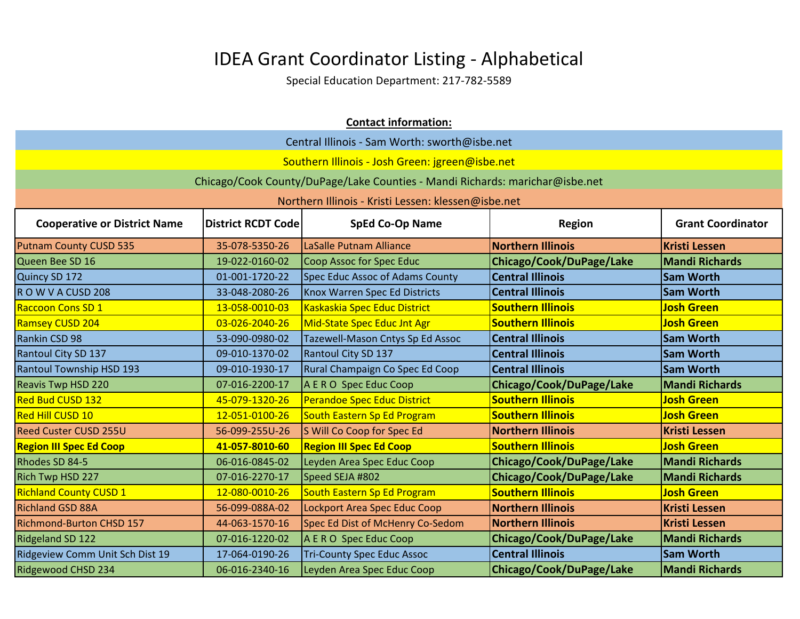|                                               |                                                                                                  | <b>Contact information:</b>                                                  |                          |                       |  |
|-----------------------------------------------|--------------------------------------------------------------------------------------------------|------------------------------------------------------------------------------|--------------------------|-----------------------|--|
| Central Illinois - Sam Worth: sworth@isbe.net |                                                                                                  |                                                                              |                          |                       |  |
|                                               |                                                                                                  | Southern Illinois - Josh Green: jgreen@isbe.net                              |                          |                       |  |
|                                               |                                                                                                  | Chicago/Cook County/DuPage/Lake Counties - Mandi Richards: marichar@isbe.net |                          |                       |  |
|                                               |                                                                                                  | Northern Illinois - Kristi Lessen: klessen@isbe.net                          |                          |                       |  |
| <b>Cooperative or District Name</b>           | <b>SpEd Co-Op Name</b><br><b>Grant Coordinator</b><br><b>District RCDT Code</b><br><b>Region</b> |                                                                              |                          |                       |  |
| <b>Putnam County CUSD 535</b>                 | 35-078-5350-26                                                                                   | LaSalle Putnam Alliance                                                      | <b>Northern Illinois</b> | <b>Kristi Lessen</b>  |  |
| Queen Bee SD 16                               | 19-022-0160-02                                                                                   | <b>Coop Assoc for Spec Educ</b>                                              | Chicago/Cook/DuPage/Lake | <b>Mandi Richards</b> |  |
| Quincy SD 172                                 | 01-001-1720-22                                                                                   | <b>Spec Educ Assoc of Adams County</b>                                       | <b>Central Illinois</b>  | <b>Sam Worth</b>      |  |
| ROWVACUSD 208                                 | 33-048-2080-26                                                                                   | Knox Warren Spec Ed Districts                                                | <b>Central Illinois</b>  | <b>Sam Worth</b>      |  |
| <b>Raccoon Cons SD 1</b>                      | 13-058-0010-03                                                                                   | Kaskaskia Spec Educ District                                                 | <b>Southern Illinois</b> | <b>Josh Green</b>     |  |
| Ramsey CUSD 204                               | 03-026-2040-26                                                                                   | Mid-State Spec Educ Jnt Agr                                                  | <b>Southern Illinois</b> | <b>Josh Green</b>     |  |
| Rankin CSD 98                                 | 53-090-0980-02                                                                                   | Tazewell-Mason Cntys Sp Ed Assoc                                             | <b>Central Illinois</b>  | <b>Sam Worth</b>      |  |
| <b>Rantoul City SD 137</b>                    | 09-010-1370-02                                                                                   | Rantoul City SD 137                                                          | <b>Central Illinois</b>  | <b>Sam Worth</b>      |  |
| <b>Rantoul Township HSD 193</b>               | 09-010-1930-17                                                                                   | Rural Champaign Co Spec Ed Coop                                              | <b>Central Illinois</b>  | <b>Sam Worth</b>      |  |
| <b>Reavis Twp HSD 220</b>                     | 07-016-2200-17                                                                                   | A E R O Spec Educ Coop                                                       | Chicago/Cook/DuPage/Lake | <b>Mandi Richards</b> |  |
| <b>Red Bud CUSD 132</b>                       | 45-079-1320-26                                                                                   | Perandoe Spec Educ District                                                  | <b>Southern Illinois</b> | <b>Josh Green</b>     |  |
| <b>Red Hill CUSD 10</b>                       | 12-051-0100-26                                                                                   | South Eastern Sp Ed Program                                                  | <b>Southern Illinois</b> | <b>Josh Green</b>     |  |
| <b>Reed Custer CUSD 255U</b>                  | 56-099-255U-26                                                                                   | S Will Co Coop for Spec Ed                                                   | <b>Northern Illinois</b> | <b>Kristi Lessen</b>  |  |
| <b>Region III Spec Ed Coop</b>                | 41-057-8010-60                                                                                   | <b>Region III Spec Ed Coop</b>                                               | <b>Southern Illinois</b> | <b>Josh Green</b>     |  |
| Rhodes SD 84-5                                | 06-016-0845-02                                                                                   | Leyden Area Spec Educ Coop                                                   | Chicago/Cook/DuPage/Lake | <b>Mandi Richards</b> |  |
| Rich Twp HSD 227                              | 07-016-2270-17                                                                                   | Speed SEJA #802                                                              | Chicago/Cook/DuPage/Lake | <b>Mandi Richards</b> |  |
| <b>Richland County CUSD 1</b>                 | 12-080-0010-26                                                                                   | South Eastern Sp Ed Program                                                  | <b>Southern Illinois</b> | <b>Josh Green</b>     |  |
| <b>Richland GSD 88A</b>                       | 56-099-088A-02                                                                                   | Lockport Area Spec Educ Coop                                                 | <b>Northern Illinois</b> | <b>Kristi Lessen</b>  |  |
| <b>Richmond-Burton CHSD 157</b>               | 44-063-1570-16                                                                                   | Spec Ed Dist of McHenry Co-Sedom                                             | <b>Northern Illinois</b> | <b>Kristi Lessen</b>  |  |
| <b>Ridgeland SD 122</b>                       | 07-016-1220-02                                                                                   | A E R O Spec Educ Coop                                                       | Chicago/Cook/DuPage/Lake | <b>Mandi Richards</b> |  |
| Ridgeview Comm Unit Sch Dist 19               | 17-064-0190-26                                                                                   | <b>Tri-County Spec Educ Assoc</b>                                            | <b>Central Illinois</b>  | <b>Sam Worth</b>      |  |
| Ridgewood CHSD 234                            | 06-016-2340-16                                                                                   | Leyden Area Spec Educ Coop                                                   | Chicago/Cook/DuPage/Lake | <b>Mandi Richards</b> |  |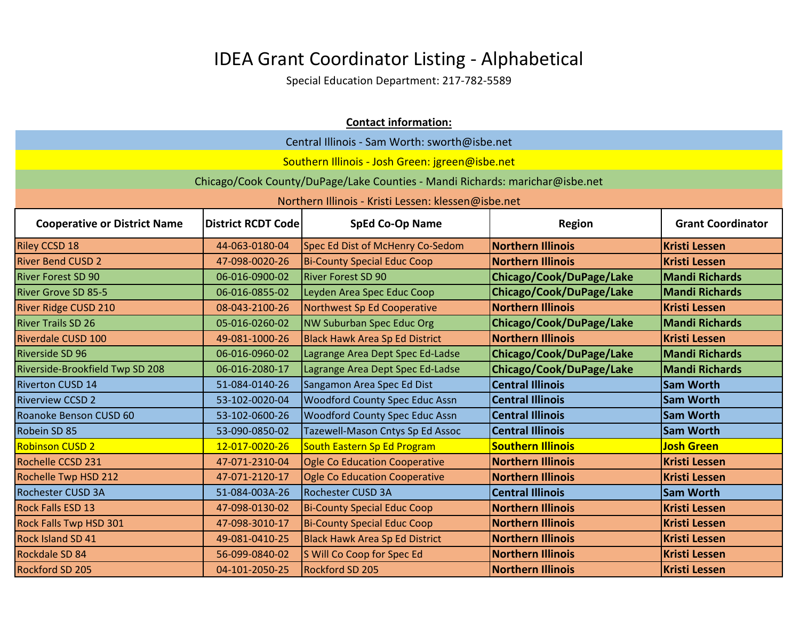| Central Illinois - Sam Worth: sworth@isbe.net<br>Southern Illinois - Josh Green: jgreen@isbe.net<br>Chicago/Cook County/DuPage/Lake Counties - Mandi Richards: marichar@isbe.net<br>Northern Illinois - Kristi Lessen: klessen@isbe.net<br><b>SpEd Co-Op Name</b><br><b>Grant Coordinator</b><br><b>Cooperative or District Name</b><br><b>District RCDT Code</b><br><b>Region</b><br><b>Northern Illinois</b><br><b>Kristi Lessen</b><br>44-063-0180-04<br>Spec Ed Dist of McHenry Co-Sedom<br><b>Riley CCSD 18</b><br><b>River Bend CUSD 2</b><br><b>Bi-County Special Educ Coop</b><br><b>Northern Illinois</b><br><b>Kristi Lessen</b><br>47-098-0020-26<br><b>River Forest SD 90</b><br>Chicago/Cook/DuPage/Lake<br><b>Mandi Richards</b><br><b>River Forest SD 90</b><br>06-016-0900-02<br><b>River Grove SD 85-5</b><br>Chicago/Cook/DuPage/Lake<br><b>Mandi Richards</b><br>06-016-0855-02<br>Leyden Area Spec Educ Coop<br>08-043-2100-26<br>Northwest Sp Ed Cooperative<br><b>Northern Illinois</b><br><b>Kristi Lessen</b><br><b>River Ridge CUSD 210</b><br><b>River Trails SD 26</b><br>NW Suburban Spec Educ Org<br>Chicago/Cook/DuPage/Lake<br><b>Mandi Richards</b><br>05-016-0260-02<br><b>Northern Illinois</b><br><b>Kristi Lessen</b><br><b>Riverdale CUSD 100</b><br>49-081-1000-26<br><b>Black Hawk Area Sp Ed District</b><br><b>Riverside SD 96</b><br>Chicago/Cook/DuPage/Lake<br><b>Mandi Richards</b><br>06-016-0960-02<br>Lagrange Area Dept Spec Ed-Ladse<br>Chicago/Cook/DuPage/Lake<br>Riverside-Brookfield Twp SD 208<br>06-016-2080-17<br>Lagrange Area Dept Spec Ed-Ladse<br><b>Mandi Richards</b><br><b>Central Illinois</b><br><b>Sam Worth</b><br><b>Riverton CUSD 14</b><br>Sangamon Area Spec Ed Dist<br>51-084-0140-26<br><b>Riverview CCSD 2</b><br>53-102-0020-04<br><b>Woodford County Spec Educ Assn</b><br><b>Central Illinois</b><br><b>Sam Worth</b><br><b>Woodford County Spec Educ Assn</b><br><b>Central Illinois</b><br><b>Sam Worth</b><br>Roanoke Benson CUSD 60<br>53-102-0600-26<br><b>Central Illinois</b><br><b>Sam Worth</b><br>53-090-0850-02<br>Tazewell-Mason Cntys Sp Ed Assoc<br>Robein SD 85<br><b>Southern Illinois</b><br><b>Robinson CUSD 2</b><br>12-017-0020-26<br>South Eastern Sp Ed Program<br><b>Josh Green</b><br><b>Northern Illinois</b><br><b>Kristi Lessen</b><br><b>Rochelle CCSD 231</b><br>Ogle Co Education Cooperative<br>47-071-2310-04<br><b>Northern Illinois</b><br><b>Rochelle Twp HSD 212</b><br>47-071-2120-17<br><b>Ogle Co Education Cooperative</b><br><b>Kristi Lessen</b><br>Rochester CUSD 3A<br><b>Rochester CUSD 3A</b><br>51-084-003A-26<br><b>Central Illinois</b><br><b>Sam Worth</b><br><b>Northern Illinois</b><br><b>Kristi Lessen</b><br><b>Rock Falls ESD 13</b><br>47-098-0130-02<br><b>Bi-County Special Educ Coop</b><br><b>Rock Falls Twp HSD 301</b><br><b>Bi-County Special Educ Coop</b><br><b>Northern Illinois</b><br><b>Kristi Lessen</b><br>47-098-3010-17<br><b>Rock Island SD 41</b><br>49-081-0410-25<br><b>Northern Illinois</b><br><b>Kristi Lessen</b><br><b>Black Hawk Area Sp Ed District</b><br><b>Northern Illinois</b><br><b>Kristi Lessen</b><br>Rockdale SD 84<br>56-099-0840-02<br>S Will Co Coop for Spec Ed<br>Rockford SD 205<br><b>Northern Illinois</b><br><b>Rockford SD 205</b><br>04-101-2050-25<br><b>Kristi Lessen</b> |  | <b>Contact information:</b> |  |  |  |  |
|---------------------------------------------------------------------------------------------------------------------------------------------------------------------------------------------------------------------------------------------------------------------------------------------------------------------------------------------------------------------------------------------------------------------------------------------------------------------------------------------------------------------------------------------------------------------------------------------------------------------------------------------------------------------------------------------------------------------------------------------------------------------------------------------------------------------------------------------------------------------------------------------------------------------------------------------------------------------------------------------------------------------------------------------------------------------------------------------------------------------------------------------------------------------------------------------------------------------------------------------------------------------------------------------------------------------------------------------------------------------------------------------------------------------------------------------------------------------------------------------------------------------------------------------------------------------------------------------------------------------------------------------------------------------------------------------------------------------------------------------------------------------------------------------------------------------------------------------------------------------------------------------------------------------------------------------------------------------------------------------------------------------------------------------------------------------------------------------------------------------------------------------------------------------------------------------------------------------------------------------------------------------------------------------------------------------------------------------------------------------------------------------------------------------------------------------------------------------------------------------------------------------------------------------------------------------------------------------------------------------------------------------------------------------------------------------------------------------------------------------------------------------------------------------------------------------------------------------------------------------------------------------------------------------------------------------------------------------------------------------------------------------------------------------------------------------------------------------------------------------------------------------------------------------------------------------------------------------------------------------------------------------------------------------------------------------------------------------------------------------|--|-----------------------------|--|--|--|--|
|                                                                                                                                                                                                                                                                                                                                                                                                                                                                                                                                                                                                                                                                                                                                                                                                                                                                                                                                                                                                                                                                                                                                                                                                                                                                                                                                                                                                                                                                                                                                                                                                                                                                                                                                                                                                                                                                                                                                                                                                                                                                                                                                                                                                                                                                                                                                                                                                                                                                                                                                                                                                                                                                                                                                                                                                                                                                                                                                                                                                                                                                                                                                                                                                                                                                                                                                                                     |  |                             |  |  |  |  |
|                                                                                                                                                                                                                                                                                                                                                                                                                                                                                                                                                                                                                                                                                                                                                                                                                                                                                                                                                                                                                                                                                                                                                                                                                                                                                                                                                                                                                                                                                                                                                                                                                                                                                                                                                                                                                                                                                                                                                                                                                                                                                                                                                                                                                                                                                                                                                                                                                                                                                                                                                                                                                                                                                                                                                                                                                                                                                                                                                                                                                                                                                                                                                                                                                                                                                                                                                                     |  |                             |  |  |  |  |
|                                                                                                                                                                                                                                                                                                                                                                                                                                                                                                                                                                                                                                                                                                                                                                                                                                                                                                                                                                                                                                                                                                                                                                                                                                                                                                                                                                                                                                                                                                                                                                                                                                                                                                                                                                                                                                                                                                                                                                                                                                                                                                                                                                                                                                                                                                                                                                                                                                                                                                                                                                                                                                                                                                                                                                                                                                                                                                                                                                                                                                                                                                                                                                                                                                                                                                                                                                     |  |                             |  |  |  |  |
|                                                                                                                                                                                                                                                                                                                                                                                                                                                                                                                                                                                                                                                                                                                                                                                                                                                                                                                                                                                                                                                                                                                                                                                                                                                                                                                                                                                                                                                                                                                                                                                                                                                                                                                                                                                                                                                                                                                                                                                                                                                                                                                                                                                                                                                                                                                                                                                                                                                                                                                                                                                                                                                                                                                                                                                                                                                                                                                                                                                                                                                                                                                                                                                                                                                                                                                                                                     |  |                             |  |  |  |  |
|                                                                                                                                                                                                                                                                                                                                                                                                                                                                                                                                                                                                                                                                                                                                                                                                                                                                                                                                                                                                                                                                                                                                                                                                                                                                                                                                                                                                                                                                                                                                                                                                                                                                                                                                                                                                                                                                                                                                                                                                                                                                                                                                                                                                                                                                                                                                                                                                                                                                                                                                                                                                                                                                                                                                                                                                                                                                                                                                                                                                                                                                                                                                                                                                                                                                                                                                                                     |  |                             |  |  |  |  |
|                                                                                                                                                                                                                                                                                                                                                                                                                                                                                                                                                                                                                                                                                                                                                                                                                                                                                                                                                                                                                                                                                                                                                                                                                                                                                                                                                                                                                                                                                                                                                                                                                                                                                                                                                                                                                                                                                                                                                                                                                                                                                                                                                                                                                                                                                                                                                                                                                                                                                                                                                                                                                                                                                                                                                                                                                                                                                                                                                                                                                                                                                                                                                                                                                                                                                                                                                                     |  |                             |  |  |  |  |
|                                                                                                                                                                                                                                                                                                                                                                                                                                                                                                                                                                                                                                                                                                                                                                                                                                                                                                                                                                                                                                                                                                                                                                                                                                                                                                                                                                                                                                                                                                                                                                                                                                                                                                                                                                                                                                                                                                                                                                                                                                                                                                                                                                                                                                                                                                                                                                                                                                                                                                                                                                                                                                                                                                                                                                                                                                                                                                                                                                                                                                                                                                                                                                                                                                                                                                                                                                     |  |                             |  |  |  |  |
|                                                                                                                                                                                                                                                                                                                                                                                                                                                                                                                                                                                                                                                                                                                                                                                                                                                                                                                                                                                                                                                                                                                                                                                                                                                                                                                                                                                                                                                                                                                                                                                                                                                                                                                                                                                                                                                                                                                                                                                                                                                                                                                                                                                                                                                                                                                                                                                                                                                                                                                                                                                                                                                                                                                                                                                                                                                                                                                                                                                                                                                                                                                                                                                                                                                                                                                                                                     |  |                             |  |  |  |  |
|                                                                                                                                                                                                                                                                                                                                                                                                                                                                                                                                                                                                                                                                                                                                                                                                                                                                                                                                                                                                                                                                                                                                                                                                                                                                                                                                                                                                                                                                                                                                                                                                                                                                                                                                                                                                                                                                                                                                                                                                                                                                                                                                                                                                                                                                                                                                                                                                                                                                                                                                                                                                                                                                                                                                                                                                                                                                                                                                                                                                                                                                                                                                                                                                                                                                                                                                                                     |  |                             |  |  |  |  |
|                                                                                                                                                                                                                                                                                                                                                                                                                                                                                                                                                                                                                                                                                                                                                                                                                                                                                                                                                                                                                                                                                                                                                                                                                                                                                                                                                                                                                                                                                                                                                                                                                                                                                                                                                                                                                                                                                                                                                                                                                                                                                                                                                                                                                                                                                                                                                                                                                                                                                                                                                                                                                                                                                                                                                                                                                                                                                                                                                                                                                                                                                                                                                                                                                                                                                                                                                                     |  |                             |  |  |  |  |
|                                                                                                                                                                                                                                                                                                                                                                                                                                                                                                                                                                                                                                                                                                                                                                                                                                                                                                                                                                                                                                                                                                                                                                                                                                                                                                                                                                                                                                                                                                                                                                                                                                                                                                                                                                                                                                                                                                                                                                                                                                                                                                                                                                                                                                                                                                                                                                                                                                                                                                                                                                                                                                                                                                                                                                                                                                                                                                                                                                                                                                                                                                                                                                                                                                                                                                                                                                     |  |                             |  |  |  |  |
|                                                                                                                                                                                                                                                                                                                                                                                                                                                                                                                                                                                                                                                                                                                                                                                                                                                                                                                                                                                                                                                                                                                                                                                                                                                                                                                                                                                                                                                                                                                                                                                                                                                                                                                                                                                                                                                                                                                                                                                                                                                                                                                                                                                                                                                                                                                                                                                                                                                                                                                                                                                                                                                                                                                                                                                                                                                                                                                                                                                                                                                                                                                                                                                                                                                                                                                                                                     |  |                             |  |  |  |  |
|                                                                                                                                                                                                                                                                                                                                                                                                                                                                                                                                                                                                                                                                                                                                                                                                                                                                                                                                                                                                                                                                                                                                                                                                                                                                                                                                                                                                                                                                                                                                                                                                                                                                                                                                                                                                                                                                                                                                                                                                                                                                                                                                                                                                                                                                                                                                                                                                                                                                                                                                                                                                                                                                                                                                                                                                                                                                                                                                                                                                                                                                                                                                                                                                                                                                                                                                                                     |  |                             |  |  |  |  |
|                                                                                                                                                                                                                                                                                                                                                                                                                                                                                                                                                                                                                                                                                                                                                                                                                                                                                                                                                                                                                                                                                                                                                                                                                                                                                                                                                                                                                                                                                                                                                                                                                                                                                                                                                                                                                                                                                                                                                                                                                                                                                                                                                                                                                                                                                                                                                                                                                                                                                                                                                                                                                                                                                                                                                                                                                                                                                                                                                                                                                                                                                                                                                                                                                                                                                                                                                                     |  |                             |  |  |  |  |
|                                                                                                                                                                                                                                                                                                                                                                                                                                                                                                                                                                                                                                                                                                                                                                                                                                                                                                                                                                                                                                                                                                                                                                                                                                                                                                                                                                                                                                                                                                                                                                                                                                                                                                                                                                                                                                                                                                                                                                                                                                                                                                                                                                                                                                                                                                                                                                                                                                                                                                                                                                                                                                                                                                                                                                                                                                                                                                                                                                                                                                                                                                                                                                                                                                                                                                                                                                     |  |                             |  |  |  |  |
|                                                                                                                                                                                                                                                                                                                                                                                                                                                                                                                                                                                                                                                                                                                                                                                                                                                                                                                                                                                                                                                                                                                                                                                                                                                                                                                                                                                                                                                                                                                                                                                                                                                                                                                                                                                                                                                                                                                                                                                                                                                                                                                                                                                                                                                                                                                                                                                                                                                                                                                                                                                                                                                                                                                                                                                                                                                                                                                                                                                                                                                                                                                                                                                                                                                                                                                                                                     |  |                             |  |  |  |  |
|                                                                                                                                                                                                                                                                                                                                                                                                                                                                                                                                                                                                                                                                                                                                                                                                                                                                                                                                                                                                                                                                                                                                                                                                                                                                                                                                                                                                                                                                                                                                                                                                                                                                                                                                                                                                                                                                                                                                                                                                                                                                                                                                                                                                                                                                                                                                                                                                                                                                                                                                                                                                                                                                                                                                                                                                                                                                                                                                                                                                                                                                                                                                                                                                                                                                                                                                                                     |  |                             |  |  |  |  |
|                                                                                                                                                                                                                                                                                                                                                                                                                                                                                                                                                                                                                                                                                                                                                                                                                                                                                                                                                                                                                                                                                                                                                                                                                                                                                                                                                                                                                                                                                                                                                                                                                                                                                                                                                                                                                                                                                                                                                                                                                                                                                                                                                                                                                                                                                                                                                                                                                                                                                                                                                                                                                                                                                                                                                                                                                                                                                                                                                                                                                                                                                                                                                                                                                                                                                                                                                                     |  |                             |  |  |  |  |
|                                                                                                                                                                                                                                                                                                                                                                                                                                                                                                                                                                                                                                                                                                                                                                                                                                                                                                                                                                                                                                                                                                                                                                                                                                                                                                                                                                                                                                                                                                                                                                                                                                                                                                                                                                                                                                                                                                                                                                                                                                                                                                                                                                                                                                                                                                                                                                                                                                                                                                                                                                                                                                                                                                                                                                                                                                                                                                                                                                                                                                                                                                                                                                                                                                                                                                                                                                     |  |                             |  |  |  |  |
|                                                                                                                                                                                                                                                                                                                                                                                                                                                                                                                                                                                                                                                                                                                                                                                                                                                                                                                                                                                                                                                                                                                                                                                                                                                                                                                                                                                                                                                                                                                                                                                                                                                                                                                                                                                                                                                                                                                                                                                                                                                                                                                                                                                                                                                                                                                                                                                                                                                                                                                                                                                                                                                                                                                                                                                                                                                                                                                                                                                                                                                                                                                                                                                                                                                                                                                                                                     |  |                             |  |  |  |  |
|                                                                                                                                                                                                                                                                                                                                                                                                                                                                                                                                                                                                                                                                                                                                                                                                                                                                                                                                                                                                                                                                                                                                                                                                                                                                                                                                                                                                                                                                                                                                                                                                                                                                                                                                                                                                                                                                                                                                                                                                                                                                                                                                                                                                                                                                                                                                                                                                                                                                                                                                                                                                                                                                                                                                                                                                                                                                                                                                                                                                                                                                                                                                                                                                                                                                                                                                                                     |  |                             |  |  |  |  |
|                                                                                                                                                                                                                                                                                                                                                                                                                                                                                                                                                                                                                                                                                                                                                                                                                                                                                                                                                                                                                                                                                                                                                                                                                                                                                                                                                                                                                                                                                                                                                                                                                                                                                                                                                                                                                                                                                                                                                                                                                                                                                                                                                                                                                                                                                                                                                                                                                                                                                                                                                                                                                                                                                                                                                                                                                                                                                                                                                                                                                                                                                                                                                                                                                                                                                                                                                                     |  |                             |  |  |  |  |
|                                                                                                                                                                                                                                                                                                                                                                                                                                                                                                                                                                                                                                                                                                                                                                                                                                                                                                                                                                                                                                                                                                                                                                                                                                                                                                                                                                                                                                                                                                                                                                                                                                                                                                                                                                                                                                                                                                                                                                                                                                                                                                                                                                                                                                                                                                                                                                                                                                                                                                                                                                                                                                                                                                                                                                                                                                                                                                                                                                                                                                                                                                                                                                                                                                                                                                                                                                     |  |                             |  |  |  |  |
|                                                                                                                                                                                                                                                                                                                                                                                                                                                                                                                                                                                                                                                                                                                                                                                                                                                                                                                                                                                                                                                                                                                                                                                                                                                                                                                                                                                                                                                                                                                                                                                                                                                                                                                                                                                                                                                                                                                                                                                                                                                                                                                                                                                                                                                                                                                                                                                                                                                                                                                                                                                                                                                                                                                                                                                                                                                                                                                                                                                                                                                                                                                                                                                                                                                                                                                                                                     |  |                             |  |  |  |  |
|                                                                                                                                                                                                                                                                                                                                                                                                                                                                                                                                                                                                                                                                                                                                                                                                                                                                                                                                                                                                                                                                                                                                                                                                                                                                                                                                                                                                                                                                                                                                                                                                                                                                                                                                                                                                                                                                                                                                                                                                                                                                                                                                                                                                                                                                                                                                                                                                                                                                                                                                                                                                                                                                                                                                                                                                                                                                                                                                                                                                                                                                                                                                                                                                                                                                                                                                                                     |  |                             |  |  |  |  |
|                                                                                                                                                                                                                                                                                                                                                                                                                                                                                                                                                                                                                                                                                                                                                                                                                                                                                                                                                                                                                                                                                                                                                                                                                                                                                                                                                                                                                                                                                                                                                                                                                                                                                                                                                                                                                                                                                                                                                                                                                                                                                                                                                                                                                                                                                                                                                                                                                                                                                                                                                                                                                                                                                                                                                                                                                                                                                                                                                                                                                                                                                                                                                                                                                                                                                                                                                                     |  |                             |  |  |  |  |
|                                                                                                                                                                                                                                                                                                                                                                                                                                                                                                                                                                                                                                                                                                                                                                                                                                                                                                                                                                                                                                                                                                                                                                                                                                                                                                                                                                                                                                                                                                                                                                                                                                                                                                                                                                                                                                                                                                                                                                                                                                                                                                                                                                                                                                                                                                                                                                                                                                                                                                                                                                                                                                                                                                                                                                                                                                                                                                                                                                                                                                                                                                                                                                                                                                                                                                                                                                     |  |                             |  |  |  |  |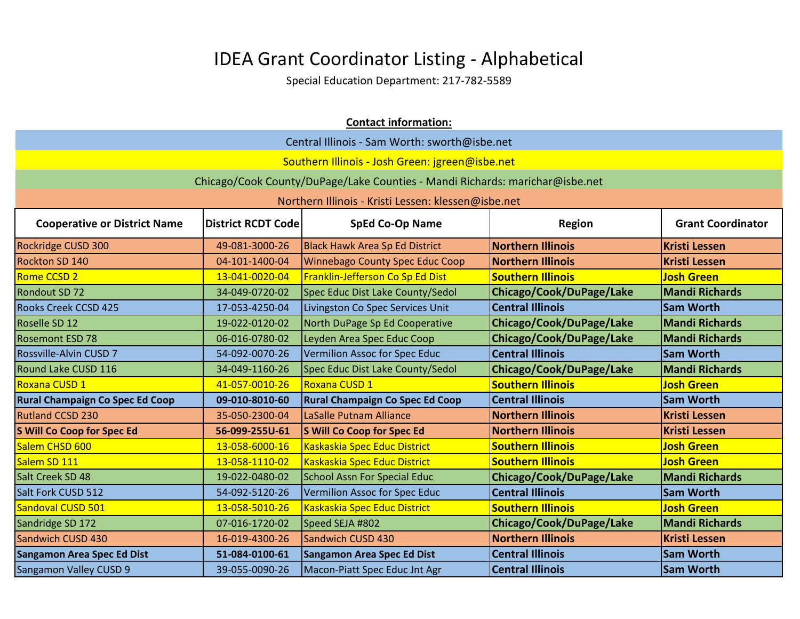|                                               |                           | <b>Contact information:</b>                                                  |                          |                          |
|-----------------------------------------------|---------------------------|------------------------------------------------------------------------------|--------------------------|--------------------------|
| Central Illinois - Sam Worth: sworth@isbe.net |                           |                                                                              |                          |                          |
|                                               |                           | Southern Illinois - Josh Green: jgreen@isbe.net                              |                          |                          |
|                                               |                           | Chicago/Cook County/DuPage/Lake Counties - Mandi Richards: marichar@isbe.net |                          |                          |
|                                               |                           | Northern Illinois - Kristi Lessen: klessen@isbe.net                          |                          |                          |
|                                               |                           |                                                                              |                          |                          |
| <b>Cooperative or District Name</b>           | <b>District RCDT Code</b> | <b>SpEd Co-Op Name</b>                                                       | Region                   | <b>Grant Coordinator</b> |
| Rockridge CUSD 300                            | 49-081-3000-26            | <b>Black Hawk Area Sp Ed District</b>                                        | <b>Northern Illinois</b> | <b>Kristi Lessen</b>     |
| Rockton SD 140                                | 04-101-1400-04            | <b>Winnebago County Spec Educ Coop</b>                                       | <b>Northern Illinois</b> | <b>Kristi Lessen</b>     |
| <b>Rome CCSD 2</b>                            | 13-041-0020-04            | Franklin-Jefferson Co Sp Ed Dist                                             | <b>Southern Illinois</b> | <b>Josh Green</b>        |
| <b>Rondout SD 72</b>                          | 34-049-0720-02            | Spec Educ Dist Lake County/Sedol                                             | Chicago/Cook/DuPage/Lake | <b>Mandi Richards</b>    |
| <b>Rooks Creek CCSD 425</b>                   | 17-053-4250-04            | Livingston Co Spec Services Unit                                             | <b>Central Illinois</b>  | <b>Sam Worth</b>         |
| Roselle SD 12                                 | 19-022-0120-02            | North DuPage Sp Ed Cooperative                                               | Chicago/Cook/DuPage/Lake | <b>Mandi Richards</b>    |
| <b>Rosemont ESD 78</b>                        | 06-016-0780-02            | Leyden Area Spec Educ Coop                                                   | Chicago/Cook/DuPage/Lake | <b>Mandi Richards</b>    |
| <b>Rossville-Alvin CUSD 7</b>                 | 54-092-0070-26            | Vermilion Assoc for Spec Educ                                                | <b>Central Illinois</b>  | <b>Sam Worth</b>         |
| <b>Round Lake CUSD 116</b>                    | 34-049-1160-26            | Spec Educ Dist Lake County/Sedol                                             | Chicago/Cook/DuPage/Lake | <b>Mandi Richards</b>    |
| Roxana CUSD 1                                 | 41-057-0010-26            | Roxana CUSD 1                                                                | <b>Southern Illinois</b> | <b>Josh Green</b>        |
| Rural Champaign Co Spec Ed Coop               | 09-010-8010-60            | <b>Rural Champaign Co Spec Ed Coop</b>                                       | <b>Central Illinois</b>  | <b>Sam Worth</b>         |
| <b>Rutland CCSD 230</b>                       | 35-050-2300-04            | LaSalle Putnam Alliance                                                      | <b>Northern Illinois</b> | <b>Kristi Lessen</b>     |
| S Will Co Coop for Spec Ed                    | 56-099-255U-61            | S Will Co Coop for Spec Ed                                                   | <b>Northern Illinois</b> | <b>Kristi Lessen</b>     |
| Salem CHSD 600                                | 13-058-6000-16            | Kaskaskia Spec Educ District                                                 | <b>Southern Illinois</b> | <b>Josh Green</b>        |
| Salem SD 111                                  | 13-058-1110-02            | Kaskaskia Spec Educ District                                                 | <b>Southern Illinois</b> | <b>Josh Green</b>        |
| Salt Creek SD 48                              | 19-022-0480-02            | <b>School Assn For Special Educ</b>                                          | Chicago/Cook/DuPage/Lake | <b>Mandi Richards</b>    |
| Salt Fork CUSD 512                            | 54-092-5120-26            | Vermilion Assoc for Spec Educ                                                | <b>Central Illinois</b>  | <b>Sam Worth</b>         |
| Sandoval CUSD 501                             | 13-058-5010-26            | Kaskaskia Spec Educ District                                                 | <b>Southern Illinois</b> | <b>Josh Green</b>        |
| Sandridge SD 172                              | 07-016-1720-02            | Speed SEJA #802                                                              | Chicago/Cook/DuPage/Lake | <b>Mandi Richards</b>    |
| Sandwich CUSD 430                             | 16-019-4300-26            | Sandwich CUSD 430                                                            | <b>Northern Illinois</b> | <b>Kristi Lessen</b>     |
| <b>Sangamon Area Spec Ed Dist</b>             | 51-084-0100-61            | Sangamon Area Spec Ed Dist                                                   | <b>Central Illinois</b>  | <b>Sam Worth</b>         |
| <b>Sangamon Valley CUSD 9</b>                 | 39-055-0090-26            | Macon-Piatt Spec Educ Jnt Agr                                                | <b>Central Illinois</b>  | <b>Sam Worth</b>         |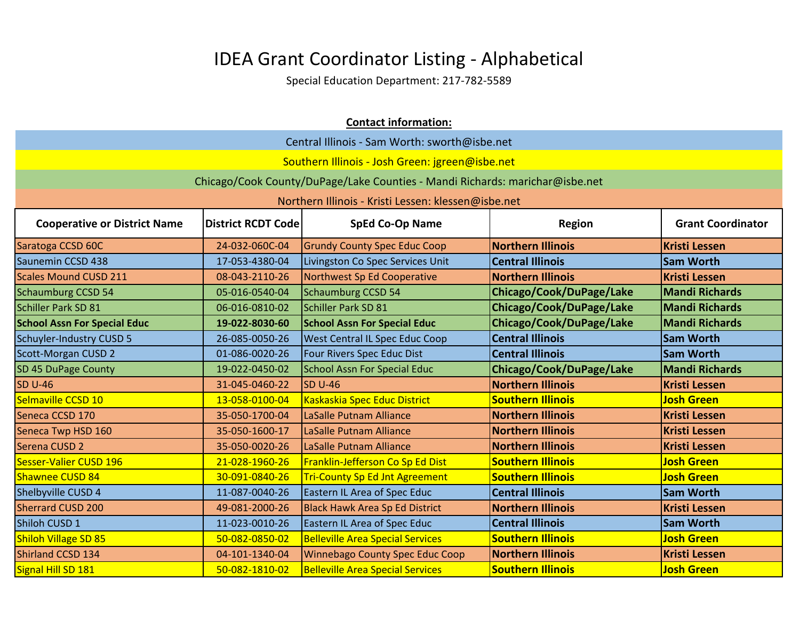|                                     | <b>Contact information:</b> |                                                                              |                          |                          |
|-------------------------------------|-----------------------------|------------------------------------------------------------------------------|--------------------------|--------------------------|
|                                     |                             | Central Illinois - Sam Worth: sworth@isbe.net                                |                          |                          |
|                                     |                             | Southern Illinois - Josh Green: jgreen@isbe.net                              |                          |                          |
|                                     |                             | Chicago/Cook County/DuPage/Lake Counties - Mandi Richards: marichar@isbe.net |                          |                          |
|                                     |                             | Northern Illinois - Kristi Lessen: klessen@isbe.net                          |                          |                          |
| <b>Cooperative or District Name</b> | <b>District RCDT Code</b>   | <b>SpEd Co-Op Name</b>                                                       | <b>Region</b>            | <b>Grant Coordinator</b> |
| Saratoga CCSD 60C                   | 24-032-060C-04              | <b>Grundy County Spec Educ Coop</b>                                          | <b>Northern Illinois</b> | <b>Kristi Lessen</b>     |
| Saunemin CCSD 438                   | 17-053-4380-04              | Livingston Co Spec Services Unit                                             | <b>Central Illinois</b>  | <b>Sam Worth</b>         |
| <b>Scales Mound CUSD 211</b>        | 08-043-2110-26              | Northwest Sp Ed Cooperative                                                  | <b>Northern Illinois</b> | <b>Kristi Lessen</b>     |
| <b>Schaumburg CCSD 54</b>           | 05-016-0540-04              | <b>Schaumburg CCSD 54</b>                                                    | Chicago/Cook/DuPage/Lake | <b>Mandi Richards</b>    |
| Schiller Park SD 81                 | 06-016-0810-02              | Schiller Park SD 81                                                          | Chicago/Cook/DuPage/Lake | <b>Mandi Richards</b>    |
| <b>School Assn For Special Educ</b> | 19-022-8030-60              | <b>School Assn For Special Educ</b>                                          | Chicago/Cook/DuPage/Lake | <b>Mandi Richards</b>    |
| Schuyler-Industry CUSD 5            | 26-085-0050-26              | <b>West Central IL Spec Educ Coop</b>                                        | <b>Central Illinois</b>  | <b>Sam Worth</b>         |
| <b>Scott-Morgan CUSD 2</b>          | 01-086-0020-26              | Four Rivers Spec Educ Dist                                                   | <b>Central Illinois</b>  | <b>Sam Worth</b>         |
| SD 45 DuPage County                 | 19-022-0450-02              | <b>School Assn For Special Educ</b>                                          | Chicago/Cook/DuPage/Lake | <b>Mandi Richards</b>    |
| <b>SD U-46</b>                      | 31-045-0460-22              | <b>SD U-46</b>                                                               | <b>Northern Illinois</b> | <b>Kristi Lessen</b>     |
| Selmaville CCSD 10                  | 13-058-0100-04              | Kaskaskia Spec Educ District                                                 | <b>Southern Illinois</b> | <b>Josh Green</b>        |
| Seneca CCSD 170                     | 35-050-1700-04              | LaSalle Putnam Alliance                                                      | <b>Northern Illinois</b> | <b>Kristi Lessen</b>     |
| Seneca Twp HSD 160                  | 35-050-1600-17              | LaSalle Putnam Alliance                                                      | <b>Northern Illinois</b> | <b>Kristi Lessen</b>     |
| Serena CUSD 2                       | 35-050-0020-26              | LaSalle Putnam Alliance                                                      | <b>Northern Illinois</b> | <b>Kristi Lessen</b>     |
| Sesser-Valier CUSD 196              | 21-028-1960-26              | Franklin-Jefferson Co Sp Ed Dist                                             | <b>Southern Illinois</b> | <b>Josh Green</b>        |
| Shawnee CUSD 84                     | 30-091-0840-26              | <b>Tri-County Sp Ed Jnt Agreement</b>                                        | <b>Southern Illinois</b> | <b>Josh Green</b>        |
| Shelbyville CUSD 4                  | 11-087-0040-26              | Eastern IL Area of Spec Educ                                                 | <b>Central Illinois</b>  | <b>Sam Worth</b>         |
| <b>Sherrard CUSD 200</b>            | 49-081-2000-26              | <b>Black Hawk Area Sp Ed District</b>                                        | <b>Northern Illinois</b> | <b>Kristi Lessen</b>     |
| Shiloh CUSD 1                       | 11-023-0010-26              | Eastern IL Area of Spec Educ                                                 | <b>Central Illinois</b>  | <b>Sam Worth</b>         |
| Shiloh Village SD 85                | 50-082-0850-02              | <b>Belleville Area Special Services</b>                                      | <b>Southern Illinois</b> | <b>Josh Green</b>        |
| Shirland CCSD 134                   | 04-101-1340-04              | <b>Winnebago County Spec Educ Coop</b>                                       | <b>Northern Illinois</b> | <b>Kristi Lessen</b>     |
| Signal Hill SD 181                  | 50-082-1810-02              | <b>Belleville Area Special Services</b>                                      | <b>Southern Illinois</b> | <b>Josh Green</b>        |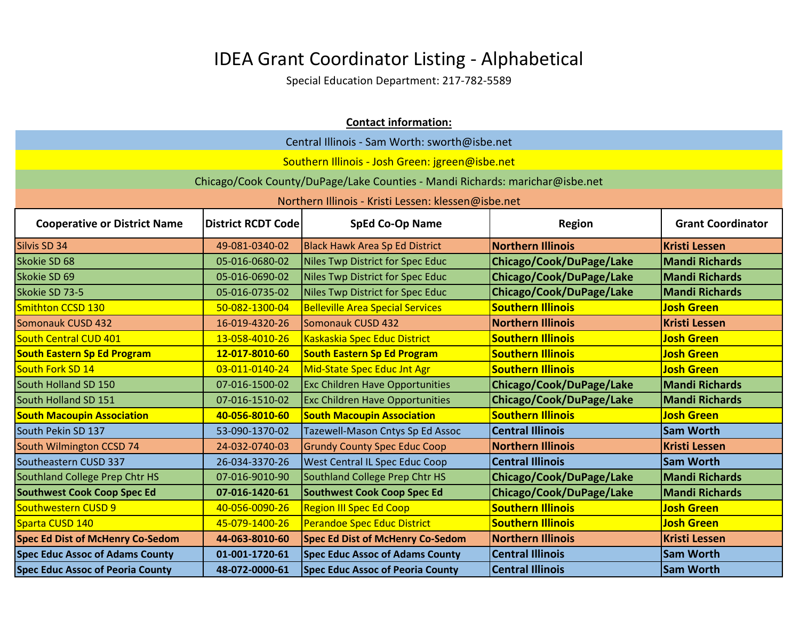|                                         | <b>Contact information:</b>                   |                                                                              |                          |                          |  |
|-----------------------------------------|-----------------------------------------------|------------------------------------------------------------------------------|--------------------------|--------------------------|--|
|                                         | Central Illinois - Sam Worth: sworth@isbe.net |                                                                              |                          |                          |  |
|                                         |                                               | Southern Illinois - Josh Green: jgreen@isbe.net                              |                          |                          |  |
|                                         |                                               | Chicago/Cook County/DuPage/Lake Counties - Mandi Richards: marichar@isbe.net |                          |                          |  |
|                                         |                                               | Northern Illinois - Kristi Lessen: klessen@isbe.net                          |                          |                          |  |
| <b>Cooperative or District Name</b>     | <b>District RCDT Code</b>                     | <b>SpEd Co-Op Name</b>                                                       | <b>Region</b>            | <b>Grant Coordinator</b> |  |
|                                         |                                               |                                                                              |                          |                          |  |
| Silvis SD 34                            | 49-081-0340-02                                | <b>Black Hawk Area Sp Ed District</b>                                        | <b>Northern Illinois</b> | <b>Kristi Lessen</b>     |  |
| Skokie SD 68                            | 05-016-0680-02                                | Niles Twp District for Spec Educ                                             | Chicago/Cook/DuPage/Lake | <b>Mandi Richards</b>    |  |
| Skokie SD 69                            | 05-016-0690-02                                | Niles Twp District for Spec Educ                                             | Chicago/Cook/DuPage/Lake | <b>Mandi Richards</b>    |  |
| Skokie SD 73-5                          | 05-016-0735-02                                | Niles Twp District for Spec Educ                                             | Chicago/Cook/DuPage/Lake | <b>Mandi Richards</b>    |  |
| <b>Smithton CCSD 130</b>                | 50-082-1300-04                                | <b>Belleville Area Special Services</b>                                      | <b>Southern Illinois</b> | <b>Josh Green</b>        |  |
| Somonauk CUSD 432                       | 16-019-4320-26                                | Somonauk CUSD 432                                                            | <b>Northern Illinois</b> | <b>Kristi Lessen</b>     |  |
| South Central CUD 401                   | 13-058-4010-26                                | Kaskaskia Spec Educ District                                                 | <b>Southern Illinois</b> | <b>Josh Green</b>        |  |
| <b>South Eastern Sp Ed Program</b>      | 12-017-8010-60                                | <b>South Eastern Sp Ed Program</b>                                           | <b>Southern Illinois</b> | <b>Josh Green</b>        |  |
| South Fork SD 14                        | 03-011-0140-24                                | Mid-State Spec Educ Jnt Agr                                                  | <b>Southern Illinois</b> | <b>Josh Green</b>        |  |
| South Holland SD 150                    | 07-016-1500-02                                | <b>Exc Children Have Opportunities</b>                                       | Chicago/Cook/DuPage/Lake | <b>Mandi Richards</b>    |  |
| South Holland SD 151                    | 07-016-1510-02                                | <b>Exc Children Have Opportunities</b>                                       | Chicago/Cook/DuPage/Lake | <b>Mandi Richards</b>    |  |
| <b>South Macoupin Association</b>       | 40-056-8010-60                                | <b>South Macoupin Association</b>                                            | <b>Southern Illinois</b> | <b>Josh Green</b>        |  |
| South Pekin SD 137                      | 53-090-1370-02                                | Tazewell-Mason Cntys Sp Ed Assoc                                             | <b>Central Illinois</b>  | <b>Sam Worth</b>         |  |
| South Wilmington CCSD 74                | 24-032-0740-03                                | <b>Grundy County Spec Educ Coop</b>                                          | <b>Northern Illinois</b> | <b>Kristi Lessen</b>     |  |
| Southeastern CUSD 337                   | 26-034-3370-26                                | <b>West Central IL Spec Educ Coop</b>                                        | <b>Central Illinois</b>  | <b>Sam Worth</b>         |  |
| Southland College Prep Chtr HS          | 07-016-9010-90                                | Southland College Prep Chtr HS                                               | Chicago/Cook/DuPage/Lake | <b>Mandi Richards</b>    |  |
| <b>Southwest Cook Coop Spec Ed</b>      | 07-016-1420-61                                | Southwest Cook Coop Spec Ed                                                  | Chicago/Cook/DuPage/Lake | <b>Mandi Richards</b>    |  |
| Southwestern CUSD 9                     | 40-056-0090-26                                | <b>Region III Spec Ed Coop</b>                                               | <b>Southern Illinois</b> | <b>Josh Green</b>        |  |
| Sparta CUSD 140                         | 45-079-1400-26                                | Perandoe Spec Educ District                                                  | <b>Southern Illinois</b> | <b>Josh Green</b>        |  |
| <b>Spec Ed Dist of McHenry Co-Sedom</b> | 44-063-8010-60                                | <b>Spec Ed Dist of McHenry Co-Sedom</b>                                      | <b>Northern Illinois</b> | <b>Kristi Lessen</b>     |  |
| <b>Spec Educ Assoc of Adams County</b>  | 01-001-1720-61                                | <b>Spec Educ Assoc of Adams County</b>                                       | <b>Central Illinois</b>  | <b>Sam Worth</b>         |  |
| <b>Spec Educ Assoc of Peoria County</b> | 48-072-0000-61                                | <b>Spec Educ Assoc of Peoria County</b>                                      | <b>Central Illinois</b>  | <b>Sam Worth</b>         |  |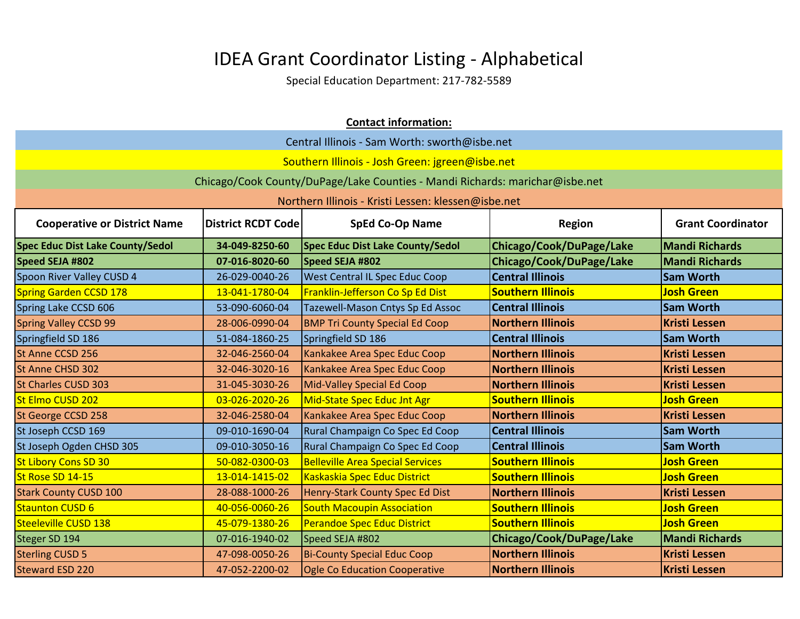| <b>Contact information:</b>                                                                                                             |                |                                                                              |                          |                       |
|-----------------------------------------------------------------------------------------------------------------------------------------|----------------|------------------------------------------------------------------------------|--------------------------|-----------------------|
| Central Illinois - Sam Worth: sworth@isbe.net                                                                                           |                |                                                                              |                          |                       |
| Southern Illinois - Josh Green: jgreen@isbe.net                                                                                         |                |                                                                              |                          |                       |
|                                                                                                                                         |                | Chicago/Cook County/DuPage/Lake Counties - Mandi Richards: marichar@isbe.net |                          |                       |
|                                                                                                                                         |                | Northern Illinois - Kristi Lessen: klessen@isbe.net                          |                          |                       |
| <b>Cooperative or District Name</b><br><b>District RCDT Code</b><br><b>SpEd Co-Op Name</b><br><b>Grant Coordinator</b><br><b>Region</b> |                |                                                                              |                          |                       |
| <b>Spec Educ Dist Lake County/Sedol</b>                                                                                                 | 34-049-8250-60 | <b>Spec Educ Dist Lake County/Sedol</b>                                      | Chicago/Cook/DuPage/Lake | <b>Mandi Richards</b> |
| Speed SEJA #802                                                                                                                         | 07-016-8020-60 | Speed SEJA #802                                                              | Chicago/Cook/DuPage/Lake | <b>Mandi Richards</b> |
| Spoon River Valley CUSD 4                                                                                                               | 26-029-0040-26 | West Central IL Spec Educ Coop                                               | <b>Central Illinois</b>  | <b>Sam Worth</b>      |
| <b>Spring Garden CCSD 178</b>                                                                                                           | 13-041-1780-04 | Franklin-Jefferson Co Sp Ed Dist                                             | <b>Southern Illinois</b> | <b>Josh Green</b>     |
| Spring Lake CCSD 606                                                                                                                    | 53-090-6060-04 | Tazewell-Mason Cntys Sp Ed Assoc                                             | <b>Central Illinois</b>  | <b>Sam Worth</b>      |
| <b>Spring Valley CCSD 99</b>                                                                                                            | 28-006-0990-04 | <b>BMP Tri County Special Ed Coop</b>                                        | <b>Northern Illinois</b> | <b>Kristi Lessen</b>  |
| Springfield SD 186                                                                                                                      | 51-084-1860-25 | Springfield SD 186                                                           | <b>Central Illinois</b>  | <b>Sam Worth</b>      |
| St Anne CCSD 256                                                                                                                        | 32-046-2560-04 | Kankakee Area Spec Educ Coop                                                 | <b>Northern Illinois</b> | <b>Kristi Lessen</b>  |
| St Anne CHSD 302                                                                                                                        | 32-046-3020-16 | Kankakee Area Spec Educ Coop                                                 | <b>Northern Illinois</b> | <b>Kristi Lessen</b>  |
| <b>St Charles CUSD 303</b>                                                                                                              | 31-045-3030-26 | Mid-Valley Special Ed Coop                                                   | <b>Northern Illinois</b> | <b>Kristi Lessen</b>  |
| St Elmo CUSD 202                                                                                                                        | 03-026-2020-26 | Mid-State Spec Educ Jnt Agr                                                  | <b>Southern Illinois</b> | <b>Josh Green</b>     |
| St George CCSD 258                                                                                                                      | 32-046-2580-04 | Kankakee Area Spec Educ Coop                                                 | <b>Northern Illinois</b> | <b>Kristi Lessen</b>  |
| St Joseph CCSD 169                                                                                                                      | 09-010-1690-04 | Rural Champaign Co Spec Ed Coop                                              | <b>Central Illinois</b>  | <b>Sam Worth</b>      |
| St Joseph Ogden CHSD 305                                                                                                                | 09-010-3050-16 | Rural Champaign Co Spec Ed Coop                                              | <b>Central Illinois</b>  | <b>Sam Worth</b>      |
| <b>St Libory Cons SD 30</b>                                                                                                             | 50-082-0300-03 | <b>Belleville Area Special Services</b>                                      | <b>Southern Illinois</b> | <b>Josh Green</b>     |
| St Rose SD 14-15                                                                                                                        | 13-014-1415-02 | Kaskaskia Spec Educ District                                                 | <b>Southern Illinois</b> | <b>Josh Green</b>     |
| <b>Stark County CUSD 100</b>                                                                                                            | 28-088-1000-26 | Henry-Stark County Spec Ed Dist                                              | <b>Northern Illinois</b> | <b>Kristi Lessen</b>  |
| <b>Staunton CUSD 6</b>                                                                                                                  | 40-056-0060-26 | <b>South Macoupin Association</b>                                            | <b>Southern Illinois</b> | <b>Josh Green</b>     |
| <b>Steeleville CUSD 138</b>                                                                                                             | 45-079-1380-26 | Perandoe Spec Educ District                                                  | <b>Southern Illinois</b> | <b>Josh Green</b>     |
| Steger SD 194                                                                                                                           | 07-016-1940-02 | Speed SEJA #802                                                              | Chicago/Cook/DuPage/Lake | <b>Mandi Richards</b> |
| <b>Sterling CUSD 5</b>                                                                                                                  | 47-098-0050-26 | <b>Bi-County Special Educ Coop</b>                                           | <b>Northern Illinois</b> | <b>Kristi Lessen</b>  |
| <b>Steward ESD 220</b>                                                                                                                  | 47-052-2200-02 | <b>Ogle Co Education Cooperative</b>                                         | <b>Northern Illinois</b> | <b>Kristi Lessen</b>  |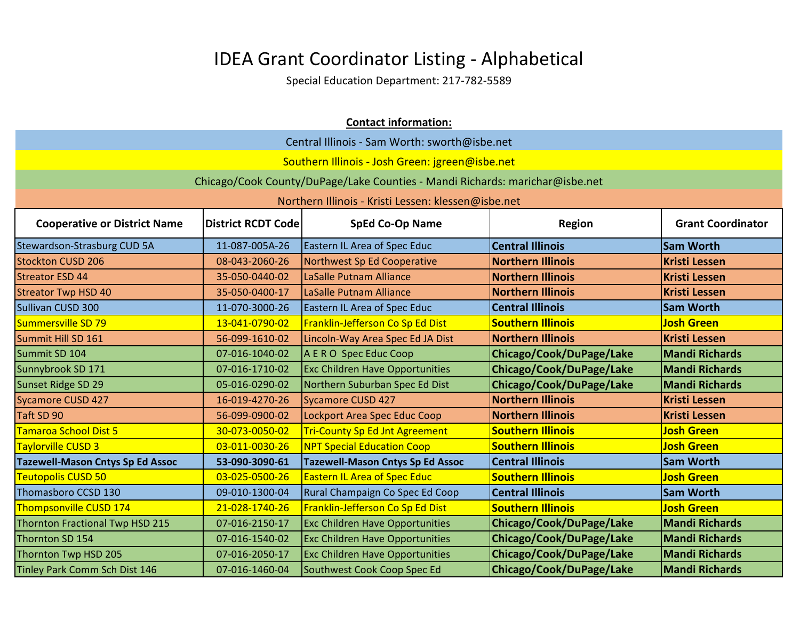| <b>Contact information:</b>                   |                           |                                                                              |                          |                          |
|-----------------------------------------------|---------------------------|------------------------------------------------------------------------------|--------------------------|--------------------------|
| Central Illinois - Sam Worth: sworth@isbe.net |                           |                                                                              |                          |                          |
|                                               |                           | Southern Illinois - Josh Green: jgreen@isbe.net                              |                          |                          |
|                                               |                           | Chicago/Cook County/DuPage/Lake Counties - Mandi Richards: marichar@isbe.net |                          |                          |
|                                               |                           | Northern Illinois - Kristi Lessen: klessen@isbe.net                          |                          |                          |
| <b>Cooperative or District Name</b>           | <b>District RCDT Code</b> | <b>SpEd Co-Op Name</b>                                                       | <b>Region</b>            | <b>Grant Coordinator</b> |
| <b>Stewardson-Strasburg CUD 5A</b>            | 11-087-005A-26            | Eastern IL Area of Spec Educ                                                 | <b>Central Illinois</b>  | <b>Sam Worth</b>         |
| <b>Stockton CUSD 206</b>                      | 08-043-2060-26            | Northwest Sp Ed Cooperative                                                  | <b>Northern Illinois</b> | <b>Kristi Lessen</b>     |
| <b>Streator ESD 44</b>                        | 35-050-0440-02            | LaSalle Putnam Alliance                                                      | <b>Northern Illinois</b> | <b>Kristi Lessen</b>     |
| <b>Streator Twp HSD 40</b>                    | 35-050-0400-17            | LaSalle Putnam Alliance                                                      | <b>Northern Illinois</b> | <b>Kristi Lessen</b>     |
| Sullivan CUSD 300                             | 11-070-3000-26            | <b>Eastern IL Area of Spec Educ</b>                                          | <b>Central Illinois</b>  | <b>Sam Worth</b>         |
| Summersville SD 79                            | 13-041-0790-02            | Franklin-Jefferson Co Sp Ed Dist                                             | <b>Southern Illinois</b> | <b>Josh Green</b>        |
| Summit Hill SD 161                            | 56-099-1610-02            | Lincoln-Way Area Spec Ed JA Dist                                             | <b>Northern Illinois</b> | <b>Kristi Lessen</b>     |
| Summit SD 104                                 | 07-016-1040-02            | A E R O Spec Educ Coop                                                       | Chicago/Cook/DuPage/Lake | <b>Mandi Richards</b>    |
| Sunnybrook SD 171                             | 07-016-1710-02            | <b>Exc Children Have Opportunities</b>                                       | Chicago/Cook/DuPage/Lake | <b>Mandi Richards</b>    |
| Sunset Ridge SD 29                            | 05-016-0290-02            | Northern Suburban Spec Ed Dist                                               | Chicago/Cook/DuPage/Lake | <b>Mandi Richards</b>    |
| <b>Sycamore CUSD 427</b>                      | 16-019-4270-26            | <b>Sycamore CUSD 427</b>                                                     | <b>Northern Illinois</b> | <b>Kristi Lessen</b>     |
| Taft SD 90                                    | 56-099-0900-02            | Lockport Area Spec Educ Coop                                                 | <b>Northern Illinois</b> | <b>Kristi Lessen</b>     |
| <b>Tamaroa School Dist 5</b>                  | 30-073-0050-02            | <b>Tri-County Sp Ed Jnt Agreement</b>                                        | <b>Southern Illinois</b> | <b>Josh Green</b>        |
| Taylorville CUSD 3                            | 03-011-0030-26            | <b>NPT Special Education Coop</b>                                            | <b>Southern Illinois</b> | <b>Josh Green</b>        |
| <b>Tazewell-Mason Cntys Sp Ed Assoc</b>       | 53-090-3090-61            | <b>Tazewell-Mason Cntys Sp Ed Assoc</b>                                      | <b>Central Illinois</b>  | <b>Sam Worth</b>         |
| <b>Teutopolis CUSD 50</b>                     | 03-025-0500-26            | <b>Eastern IL Area of Spec Educ</b>                                          | <b>Southern Illinois</b> | <b>Josh Green</b>        |
| Thomasboro CCSD 130                           | 09-010-1300-04            | Rural Champaign Co Spec Ed Coop                                              | <b>Central Illinois</b>  | <b>Sam Worth</b>         |
| Thompsonville CUSD 174                        | 21-028-1740-26            | Franklin-Jefferson Co Sp Ed Dist                                             | <b>Southern Illinois</b> | <b>Josh Green</b>        |
| Thornton Fractional Twp HSD 215               | 07-016-2150-17            | <b>Exc Children Have Opportunities</b>                                       | Chicago/Cook/DuPage/Lake | <b>Mandi Richards</b>    |
| Thornton SD 154                               | 07-016-1540-02            | <b>Exc Children Have Opportunities</b>                                       | Chicago/Cook/DuPage/Lake | <b>Mandi Richards</b>    |
| Thornton Twp HSD 205                          | 07-016-2050-17            | <b>Exc Children Have Opportunities</b>                                       | Chicago/Cook/DuPage/Lake | <b>Mandi Richards</b>    |
| Tinley Park Comm Sch Dist 146                 | 07-016-1460-04            | Southwest Cook Coop Spec Ed                                                  | Chicago/Cook/DuPage/Lake | <b>Mandi Richards</b>    |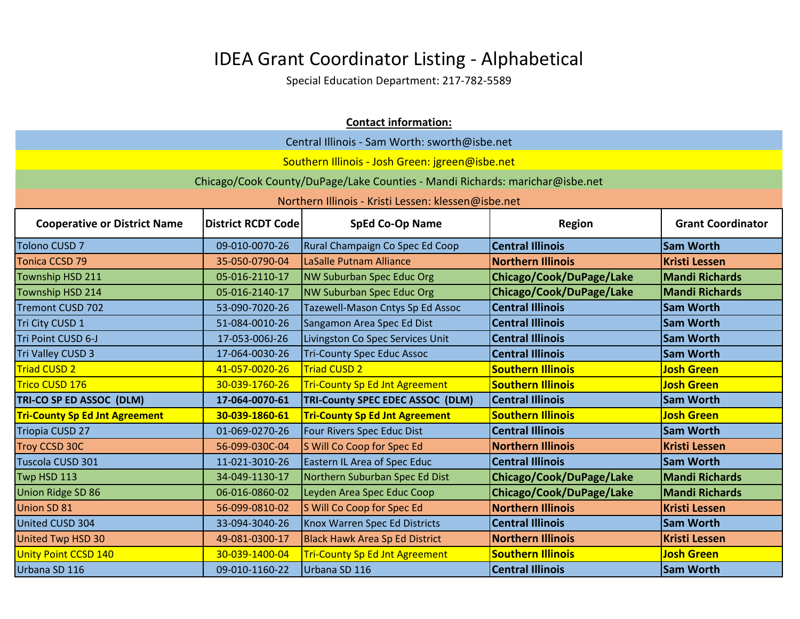| <b>Contact information:</b>                   |                                                 |                                                                              |                          |                          |  |
|-----------------------------------------------|-------------------------------------------------|------------------------------------------------------------------------------|--------------------------|--------------------------|--|
| Central Illinois - Sam Worth: sworth@isbe.net |                                                 |                                                                              |                          |                          |  |
|                                               | Southern Illinois - Josh Green: jgreen@isbe.net |                                                                              |                          |                          |  |
|                                               |                                                 | Chicago/Cook County/DuPage/Lake Counties - Mandi Richards: marichar@isbe.net |                          |                          |  |
|                                               |                                                 | Northern Illinois - Kristi Lessen: klessen@isbe.net                          |                          |                          |  |
| <b>Cooperative or District Name</b>           | <b>District RCDT Code</b>                       | <b>SpEd Co-Op Name</b>                                                       | <b>Region</b>            | <b>Grant Coordinator</b> |  |
| <b>Tolono CUSD 7</b>                          | 09-010-0070-26                                  | Rural Champaign Co Spec Ed Coop                                              | <b>Central Illinois</b>  | <b>Sam Worth</b>         |  |
| Tonica CCSD 79                                | 35-050-0790-04                                  | LaSalle Putnam Alliance                                                      | <b>Northern Illinois</b> | <b>Kristi Lessen</b>     |  |
| Township HSD 211                              | 05-016-2110-17                                  | <b>NW Suburban Spec Educ Org</b>                                             | Chicago/Cook/DuPage/Lake | <b>Mandi Richards</b>    |  |
| Township HSD 214                              | 05-016-2140-17                                  | NW Suburban Spec Educ Org                                                    | Chicago/Cook/DuPage/Lake | <b>Mandi Richards</b>    |  |
| <b>Tremont CUSD 702</b>                       | 53-090-7020-26                                  | Tazewell-Mason Cntys Sp Ed Assoc                                             | <b>Central Illinois</b>  | <b>Sam Worth</b>         |  |
| Tri City CUSD 1                               | 51-084-0010-26                                  | Sangamon Area Spec Ed Dist                                                   | <b>Central Illinois</b>  | <b>Sam Worth</b>         |  |
| Tri Point CUSD 6-J                            | 17-053-006J-26                                  | Livingston Co Spec Services Unit                                             | <b>Central Illinois</b>  | <b>Sam Worth</b>         |  |
| <b>Tri Valley CUSD 3</b>                      | 17-064-0030-26                                  | <b>Tri-County Spec Educ Assoc</b>                                            | <b>Central Illinois</b>  | <b>Sam Worth</b>         |  |
| <b>Triad CUSD 2</b>                           | 41-057-0020-26                                  | <b>Triad CUSD 2</b>                                                          | <b>Southern Illinois</b> | <b>Josh Green</b>        |  |
| Trico CUSD 176                                | 30-039-1760-26                                  | <b>Tri-County Sp Ed Jnt Agreement</b>                                        | <b>Southern Illinois</b> | <b>Josh Green</b>        |  |
| TRI-CO SP ED ASSOC (DLM)                      | 17-064-0070-61                                  | <b>TRI-County SPEC EDEC ASSOC (DLM)</b>                                      | <b>Central Illinois</b>  | <b>Sam Worth</b>         |  |
| <b>Tri-County Sp Ed Jnt Agreement</b>         | 30-039-1860-61                                  | <b>Tri-County Sp Ed Jnt Agreement</b>                                        | <b>Southern Illinois</b> | <b>Josh Green</b>        |  |
| Triopia CUSD 27                               | 01-069-0270-26                                  | Four Rivers Spec Educ Dist                                                   | <b>Central Illinois</b>  | <b>Sam Worth</b>         |  |
| Troy CCSD 30C                                 | 56-099-030C-04                                  | S Will Co Coop for Spec Ed                                                   | <b>Northern Illinois</b> | <b>Kristi Lessen</b>     |  |
| Tuscola CUSD 301                              | 11-021-3010-26                                  | <b>Eastern IL Area of Spec Educ</b>                                          | <b>Central Illinois</b>  | <b>Sam Worth</b>         |  |
| Twp HSD 113                                   | 34-049-1130-17                                  | Northern Suburban Spec Ed Dist                                               | Chicago/Cook/DuPage/Lake | <b>Mandi Richards</b>    |  |
| Union Ridge SD 86                             | 06-016-0860-02                                  | Leyden Area Spec Educ Coop                                                   | Chicago/Cook/DuPage/Lake | <b>Mandi Richards</b>    |  |
| Union SD 81                                   | 56-099-0810-02                                  | S Will Co Coop for Spec Ed                                                   | <b>Northern Illinois</b> | <b>Kristi Lessen</b>     |  |
| United CUSD 304                               | 33-094-3040-26                                  | Knox Warren Spec Ed Districts                                                | <b>Central Illinois</b>  | <b>Sam Worth</b>         |  |
| United Twp HSD 30                             | 49-081-0300-17                                  | <b>Black Hawk Area Sp Ed District</b>                                        | <b>Northern Illinois</b> | <b>Kristi Lessen</b>     |  |
| Unity Point CCSD 140                          | 30-039-1400-04                                  | <b>Tri-County Sp Ed Jnt Agreement</b>                                        | <b>Southern Illinois</b> | <b>Josh Green</b>        |  |
| Urbana SD 116                                 | 09-010-1160-22                                  | Urbana SD 116                                                                | <b>Central Illinois</b>  | <b>Sam Worth</b>         |  |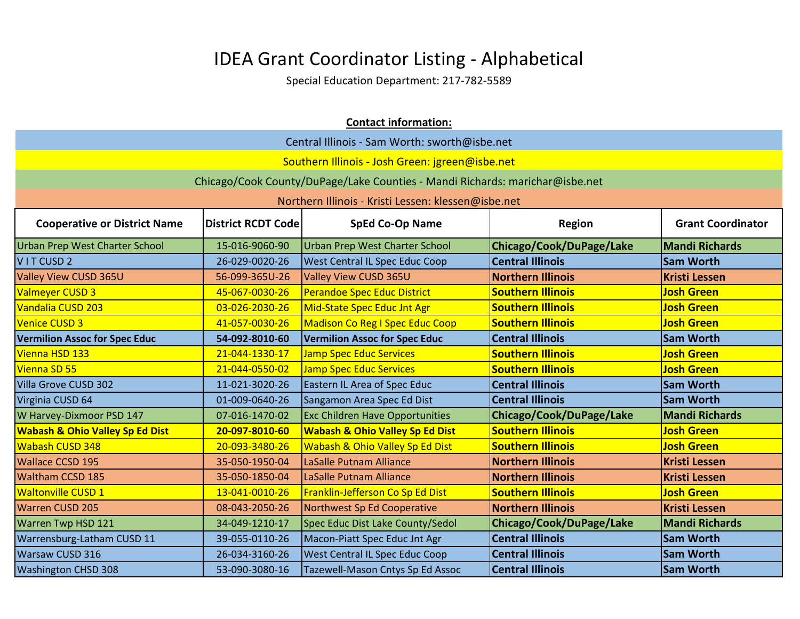| <b>Contact information:</b>                   |                           |                                                                              |                          |                          |
|-----------------------------------------------|---------------------------|------------------------------------------------------------------------------|--------------------------|--------------------------|
| Central Illinois - Sam Worth: sworth@isbe.net |                           |                                                                              |                          |                          |
|                                               |                           | Southern Illinois - Josh Green: jgreen@isbe.net                              |                          |                          |
|                                               |                           | Chicago/Cook County/DuPage/Lake Counties - Mandi Richards: marichar@isbe.net |                          |                          |
|                                               |                           | Northern Illinois - Kristi Lessen: klessen@isbe.net                          |                          |                          |
| <b>Cooperative or District Name</b>           | <b>District RCDT Code</b> | <b>SpEd Co-Op Name</b>                                                       | <b>Region</b>            | <b>Grant Coordinator</b> |
| <b>Urban Prep West Charter School</b>         | 15-016-9060-90            | <b>Urban Prep West Charter School</b>                                        | Chicago/Cook/DuPage/Lake | <b>Mandi Richards</b>    |
| VITCUSD <sub>2</sub>                          | 26-029-0020-26            | <b>West Central IL Spec Educ Coop</b>                                        | <b>Central Illinois</b>  | <b>Sam Worth</b>         |
| Valley View CUSD 365U                         | 56-099-365U-26            | Valley View CUSD 365U                                                        | <b>Northern Illinois</b> | <b>Kristi Lessen</b>     |
| <b>Valmeyer CUSD 3</b>                        | 45-067-0030-26            | Perandoe Spec Educ District                                                  | <b>Southern Illinois</b> | <b>Josh Green</b>        |
| Vandalia CUSD 203                             | 03-026-2030-26            | Mid-State Spec Educ Jnt Agr                                                  | <b>Southern Illinois</b> | <b>Josh Green</b>        |
| <b>Venice CUSD 3</b>                          | 41-057-0030-26            | <b>Madison Co Reg I Spec Educ Coop</b>                                       | <b>Southern Illinois</b> | <b>Josh Green</b>        |
| <b>Vermilion Assoc for Spec Educ</b>          | 54-092-8010-60            | <b>Vermilion Assoc for Spec Educ</b>                                         | <b>Central Illinois</b>  | <b>Sam Worth</b>         |
| Vienna HSD 133                                | 21-044-1330-17            | <b>Jamp Spec Educ Services</b>                                               | <b>Southern Illinois</b> | <b>Josh Green</b>        |
| Vienna SD 55                                  | 21-044-0550-02            | <b>Jamp Spec Educ Services</b>                                               | <b>Southern Illinois</b> | <b>Josh Green</b>        |
| Villa Grove CUSD 302                          | 11-021-3020-26            | Eastern IL Area of Spec Educ                                                 | <b>Central Illinois</b>  | <b>Sam Worth</b>         |
| Virginia CUSD 64                              | 01-009-0640-26            | Sangamon Area Spec Ed Dist                                                   | <b>Central Illinois</b>  | <b>Sam Worth</b>         |
| W Harvey-Dixmoor PSD 147                      | 07-016-1470-02            | <b>Exc Children Have Opportunities</b>                                       | Chicago/Cook/DuPage/Lake | <b>Mandi Richards</b>    |
| <b>Wabash &amp; Ohio Valley Sp Ed Dist</b>    | 20-097-8010-60            | <b>Wabash &amp; Ohio Valley Sp Ed Dist</b>                                   | <b>Southern Illinois</b> | <b>Josh Green</b>        |
| <b>Wabash CUSD 348</b>                        | 20-093-3480-26            | Wabash & Ohio Valley Sp Ed Dist                                              | <b>Southern Illinois</b> | <b>Josh Green</b>        |
| <b>Wallace CCSD 195</b>                       | 35-050-1950-04            | LaSalle Putnam Alliance                                                      | <b>Northern Illinois</b> | <b>Kristi Lessen</b>     |
| <b>Waltham CCSD 185</b>                       | 35-050-1850-04            | LaSalle Putnam Alliance                                                      | <b>Northern Illinois</b> | <b>Kristi Lessen</b>     |
| <b>Waltonville CUSD 1</b>                     | 13-041-0010-26            | Franklin-Jefferson Co Sp Ed Dist                                             | <b>Southern Illinois</b> | <b>Josh Green</b>        |
| <b>Warren CUSD 205</b>                        | 08-043-2050-26            | Northwest Sp Ed Cooperative                                                  | <b>Northern Illinois</b> | <b>Kristi Lessen</b>     |
| Warren Twp HSD 121                            | 34-049-1210-17            | Spec Educ Dist Lake County/Sedol                                             | Chicago/Cook/DuPage/Lake | <b>Mandi Richards</b>    |
| Warrensburg-Latham CUSD 11                    | 39-055-0110-26            | Macon-Piatt Spec Educ Jnt Agr                                                | <b>Central Illinois</b>  | <b>Sam Worth</b>         |
| Warsaw CUSD 316                               | 26-034-3160-26            | <b>West Central IL Spec Educ Coop</b>                                        | <b>Central Illinois</b>  | <b>Sam Worth</b>         |
| <b>Washington CHSD 308</b>                    | 53-090-3080-16            | Tazewell-Mason Cntys Sp Ed Assoc                                             | <b>Central Illinois</b>  | <b>Sam Worth</b>         |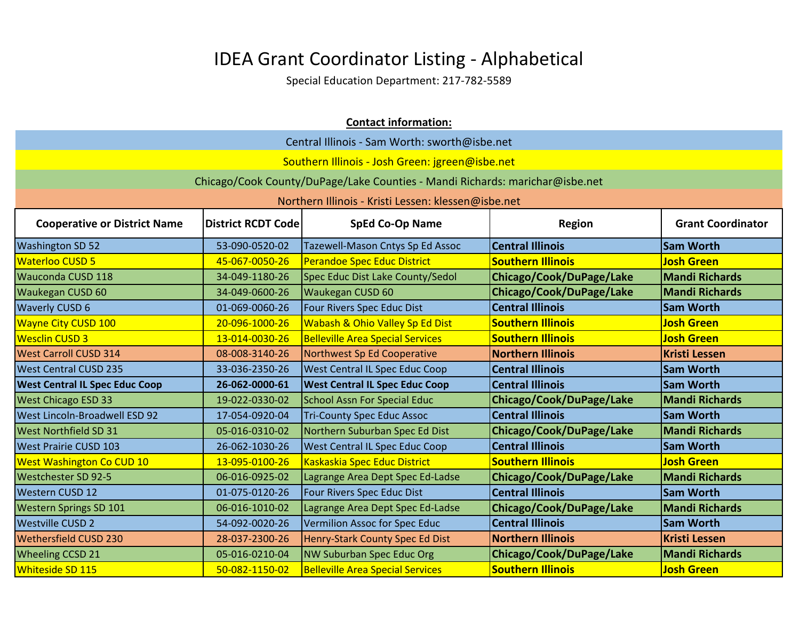| <b>Contact information:</b>                                                                                                             |                                                 |                                                                              |                          |                       |  |
|-----------------------------------------------------------------------------------------------------------------------------------------|-------------------------------------------------|------------------------------------------------------------------------------|--------------------------|-----------------------|--|
| Central Illinois - Sam Worth: sworth@isbe.net                                                                                           |                                                 |                                                                              |                          |                       |  |
|                                                                                                                                         | Southern Illinois - Josh Green: jgreen@isbe.net |                                                                              |                          |                       |  |
|                                                                                                                                         |                                                 | Chicago/Cook County/DuPage/Lake Counties - Mandi Richards: marichar@isbe.net |                          |                       |  |
|                                                                                                                                         |                                                 | Northern Illinois - Kristi Lessen: klessen@isbe.net                          |                          |                       |  |
| <b>Cooperative or District Name</b><br><b>District RCDT Code</b><br><b>SpEd Co-Op Name</b><br><b>Grant Coordinator</b><br><b>Region</b> |                                                 |                                                                              |                          |                       |  |
| <b>Washington SD 52</b>                                                                                                                 | 53-090-0520-02                                  | Tazewell-Mason Cntys Sp Ed Assoc                                             | <b>Central Illinois</b>  | <b>Sam Worth</b>      |  |
| <b>Waterloo CUSD 5</b>                                                                                                                  | 45-067-0050-26                                  | <b>Perandoe Spec Educ District</b>                                           | <b>Southern Illinois</b> | <b>Josh Green</b>     |  |
| Wauconda CUSD 118                                                                                                                       | 34-049-1180-26                                  | Spec Educ Dist Lake County/Sedol                                             | Chicago/Cook/DuPage/Lake | <b>Mandi Richards</b> |  |
| <b>Waukegan CUSD 60</b>                                                                                                                 | 34-049-0600-26                                  | Waukegan CUSD 60                                                             | Chicago/Cook/DuPage/Lake | <b>Mandi Richards</b> |  |
| <b>Waverly CUSD 6</b>                                                                                                                   | 01-069-0060-26                                  | Four Rivers Spec Educ Dist                                                   | <b>Central Illinois</b>  | <b>Sam Worth</b>      |  |
| <b>Wayne City CUSD 100</b>                                                                                                              | 20-096-1000-26                                  | Wabash & Ohio Valley Sp Ed Dist                                              | <b>Southern Illinois</b> | <b>Josh Green</b>     |  |
| <b>Wesclin CUSD 3</b>                                                                                                                   | 13-014-0030-26                                  | <b>Belleville Area Special Services</b>                                      | <b>Southern Illinois</b> | <b>Josh Green</b>     |  |
| <b>West Carroll CUSD 314</b>                                                                                                            | 08-008-3140-26                                  | Northwest Sp Ed Cooperative                                                  | <b>Northern Illinois</b> | <b>Kristi Lessen</b>  |  |
| <b>West Central CUSD 235</b>                                                                                                            | 33-036-2350-26                                  | <b>West Central IL Spec Educ Coop</b>                                        | <b>Central Illinois</b>  | <b>Sam Worth</b>      |  |
| <b>West Central IL Spec Educ Coop</b>                                                                                                   | 26-062-0000-61                                  | <b>West Central IL Spec Educ Coop</b>                                        | <b>Central Illinois</b>  | <b>Sam Worth</b>      |  |
| <b>West Chicago ESD 33</b>                                                                                                              | 19-022-0330-02                                  | <b>School Assn For Special Educ</b>                                          | Chicago/Cook/DuPage/Lake | <b>Mandi Richards</b> |  |
| West Lincoln-Broadwell ESD 92                                                                                                           | 17-054-0920-04                                  | <b>Tri-County Spec Educ Assoc</b>                                            | <b>Central Illinois</b>  | <b>Sam Worth</b>      |  |
| <b>West Northfield SD 31</b>                                                                                                            | 05-016-0310-02                                  | Northern Suburban Spec Ed Dist                                               | Chicago/Cook/DuPage/Lake | <b>Mandi Richards</b> |  |
| <b>West Prairie CUSD 103</b>                                                                                                            | 26-062-1030-26                                  | <b>West Central IL Spec Educ Coop</b>                                        | <b>Central Illinois</b>  | <b>Sam Worth</b>      |  |
| <b>West Washington Co CUD 10</b>                                                                                                        | 13-095-0100-26                                  | Kaskaskia Spec Educ District                                                 | <b>Southern Illinois</b> | <b>Josh Green</b>     |  |
| Westchester SD 92-5                                                                                                                     | 06-016-0925-02                                  | Lagrange Area Dept Spec Ed-Ladse                                             | Chicago/Cook/DuPage/Lake | <b>Mandi Richards</b> |  |
| <b>Western CUSD 12</b>                                                                                                                  | 01-075-0120-26                                  | Four Rivers Spec Educ Dist                                                   | <b>Central Illinois</b>  | <b>Sam Worth</b>      |  |
| <b>Western Springs SD 101</b>                                                                                                           | 06-016-1010-02                                  | Lagrange Area Dept Spec Ed-Ladse                                             | Chicago/Cook/DuPage/Lake | <b>Mandi Richards</b> |  |
| <b>Westville CUSD 2</b>                                                                                                                 | 54-092-0020-26                                  | Vermilion Assoc for Spec Educ                                                | <b>Central Illinois</b>  | <b>Sam Worth</b>      |  |
| Wethersfield CUSD 230                                                                                                                   | 28-037-2300-26                                  | Henry-Stark County Spec Ed Dist                                              | <b>Northern Illinois</b> | <b>Kristi Lessen</b>  |  |
| <b>Wheeling CCSD 21</b>                                                                                                                 | 05-016-0210-04                                  | NW Suburban Spec Educ Org                                                    | Chicago/Cook/DuPage/Lake | <b>Mandi Richards</b> |  |
| Whiteside SD 115                                                                                                                        | 50-082-1150-02                                  | <b>Belleville Area Special Services</b>                                      | <b>Southern Illinois</b> | <b>Josh Green</b>     |  |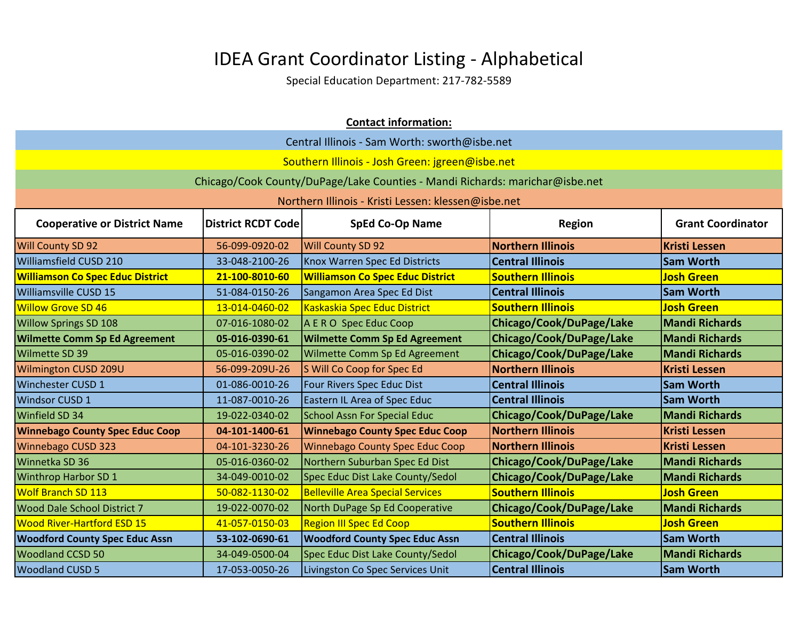| <b>Contact information:</b>                                                                                                      |                |                                                                              |                          |                       |
|----------------------------------------------------------------------------------------------------------------------------------|----------------|------------------------------------------------------------------------------|--------------------------|-----------------------|
| Central Illinois - Sam Worth: sworth@isbe.net                                                                                    |                |                                                                              |                          |                       |
|                                                                                                                                  |                | Southern Illinois - Josh Green: jgreen@isbe.net                              |                          |                       |
|                                                                                                                                  |                | Chicago/Cook County/DuPage/Lake Counties - Mandi Richards: marichar@isbe.net |                          |                       |
|                                                                                                                                  |                | Northern Illinois - Kristi Lessen: klessen@isbe.net                          |                          |                       |
| <b>SpEd Co-Op Name</b><br><b>Grant Coordinator</b><br><b>Cooperative or District Name</b><br>District RCDT Code<br><b>Region</b> |                |                                                                              |                          |                       |
| <b>Will County SD 92</b>                                                                                                         | 56-099-0920-02 | <b>Will County SD 92</b>                                                     | <b>Northern Illinois</b> | <b>Kristi Lessen</b>  |
| Williamsfield CUSD 210                                                                                                           | 33-048-2100-26 | Knox Warren Spec Ed Districts                                                | <b>Central Illinois</b>  | <b>Sam Worth</b>      |
| <b>Williamson Co Spec Educ District</b>                                                                                          | 21-100-8010-60 | <b>Williamson Co Spec Educ District</b>                                      | <b>Southern Illinois</b> | <b>Josh Green</b>     |
| Williamsville CUSD 15                                                                                                            | 51-084-0150-26 | Sangamon Area Spec Ed Dist                                                   | <b>Central Illinois</b>  | <b>Sam Worth</b>      |
| <b>Willow Grove SD 46</b>                                                                                                        | 13-014-0460-02 | Kaskaskia Spec Educ District                                                 | <b>Southern Illinois</b> | <b>Josh Green</b>     |
| Willow Springs SD 108                                                                                                            | 07-016-1080-02 | A E R O Spec Educ Coop                                                       | Chicago/Cook/DuPage/Lake | <b>Mandi Richards</b> |
| <b>Wilmette Comm Sp Ed Agreement</b>                                                                                             | 05-016-0390-61 | <b>Wilmette Comm Sp Ed Agreement</b>                                         | Chicago/Cook/DuPage/Lake | <b>Mandi Richards</b> |
| <b>Wilmette SD 39</b>                                                                                                            | 05-016-0390-02 | Wilmette Comm Sp Ed Agreement                                                | Chicago/Cook/DuPage/Lake | <b>Mandi Richards</b> |
| <b>Wilmington CUSD 209U</b>                                                                                                      | 56-099-209U-26 | S Will Co Coop for Spec Ed                                                   | <b>Northern Illinois</b> | <b>Kristi Lessen</b>  |
| Winchester CUSD 1                                                                                                                | 01-086-0010-26 | Four Rivers Spec Educ Dist                                                   | <b>Central Illinois</b>  | <b>Sam Worth</b>      |
| <b>Windsor CUSD 1</b>                                                                                                            | 11-087-0010-26 | Eastern IL Area of Spec Educ                                                 | <b>Central Illinois</b>  | <b>Sam Worth</b>      |
| Winfield SD 34                                                                                                                   | 19-022-0340-02 | <b>School Assn For Special Educ</b>                                          | Chicago/Cook/DuPage/Lake | <b>Mandi Richards</b> |
| <b>Winnebago County Spec Educ Coop</b>                                                                                           | 04-101-1400-61 | <b>Winnebago County Spec Educ Coop</b>                                       | <b>Northern Illinois</b> | <b>Kristi Lessen</b>  |
| <b>Winnebago CUSD 323</b>                                                                                                        | 04-101-3230-26 | <b>Winnebago County Spec Educ Coop</b>                                       | <b>Northern Illinois</b> | <b>Kristi Lessen</b>  |
| Winnetka SD 36                                                                                                                   | 05-016-0360-02 | Northern Suburban Spec Ed Dist                                               | Chicago/Cook/DuPage/Lake | <b>Mandi Richards</b> |
| <b>Winthrop Harbor SD 1</b>                                                                                                      | 34-049-0010-02 | Spec Educ Dist Lake County/Sedol                                             | Chicago/Cook/DuPage/Lake | <b>Mandi Richards</b> |
| <b>Wolf Branch SD 113</b>                                                                                                        | 50-082-1130-02 | <b>Belleville Area Special Services</b>                                      | <b>Southern Illinois</b> | <b>Josh Green</b>     |
| <b>Wood Dale School District 7</b>                                                                                               | 19-022-0070-02 | North DuPage Sp Ed Cooperative                                               | Chicago/Cook/DuPage/Lake | <b>Mandi Richards</b> |
| <b>Wood River-Hartford ESD 15</b>                                                                                                | 41-057-0150-03 | <b>Region III Spec Ed Coop</b>                                               | <b>Southern Illinois</b> | <b>Josh Green</b>     |
| <b>Woodford County Spec Educ Assn</b>                                                                                            | 53-102-0690-61 | <b>Woodford County Spec Educ Assn</b>                                        | <b>Central Illinois</b>  | <b>Sam Worth</b>      |
| <b>Woodland CCSD 50</b>                                                                                                          | 34-049-0500-04 | Spec Educ Dist Lake County/Sedol                                             | Chicago/Cook/DuPage/Lake | <b>Mandi Richards</b> |
| <b>Woodland CUSD 5</b>                                                                                                           | 17-053-0050-26 | Livingston Co Spec Services Unit                                             | <b>Central Illinois</b>  | <b>Sam Worth</b>      |